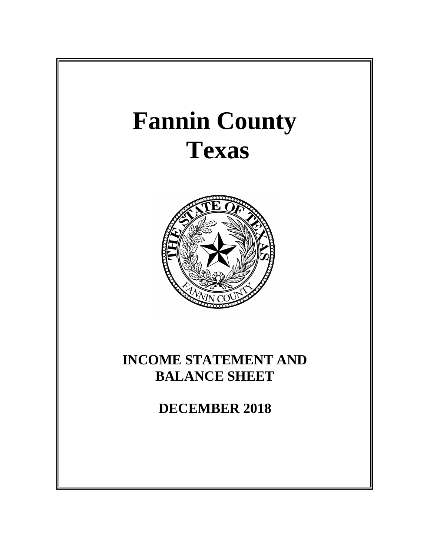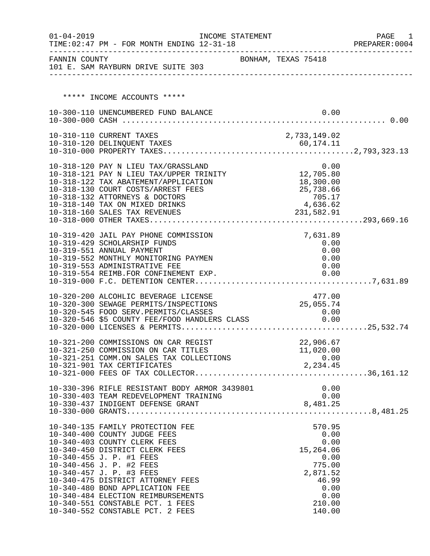| $01 - 04 - 2019$ | TIME: 02:47 PM - FOR MONTH ENDING 12-31-18                                                                                                                                                                                                                                                                                       | INCOME STATEMENT    |                    |                    |      | PAGE<br>1<br>PREPARER: 0004 |
|------------------|----------------------------------------------------------------------------------------------------------------------------------------------------------------------------------------------------------------------------------------------------------------------------------------------------------------------------------|---------------------|--------------------|--------------------|------|-----------------------------|
| FANNIN COUNTY    | 101 E. SAM RAYBURN DRIVE SUITE 303                                                                                                                                                                                                                                                                                               | BONHAM, TEXAS 75418 |                    |                    |      |                             |
|                  | ***** INCOME ACCOUNTS *****                                                                                                                                                                                                                                                                                                      |                     |                    |                    |      |                             |
|                  |                                                                                                                                                                                                                                                                                                                                  |                     |                    |                    | 0.00 |                             |
|                  | 10-300-110 UNENCUMBERED FUND BALANCE                                                                                                                                                                                                                                                                                             |                     |                    |                    |      |                             |
|                  | 10-310-110 CURRENT TAXES                                                                                                                                                                                                                                                                                                         |                     | 2,733,149.02       |                    |      |                             |
|                  |                                                                                                                                                                                                                                                                                                                                  |                     |                    |                    |      |                             |
|                  |                                                                                                                                                                                                                                                                                                                                  |                     |                    |                    |      |                             |
|                  |                                                                                                                                                                                                                                                                                                                                  |                     |                    |                    |      |                             |
|                  | 10-318-120 PAY N LIEU TAX/GRASSLAND 0.00<br>10-318-121 PAY N LIEU TAX/UPPER TRINITY 12,705.80                                                                                                                                                                                                                                    |                     |                    |                    |      |                             |
|                  | 10-318-122 TAX ABATEMENT/APPLICATION                                                                                                                                                                                                                                                                                             |                     |                    | 18,300.00          |      |                             |
|                  | 10-318-130 COURT COSTS/ARREST FEES<br>10-318-132 ATTORNEYS & DOCTORS                                                                                                                                                                                                                                                             |                     | 25,738.66          |                    |      |                             |
|                  | 10-318-140 TAX ON MIXED DRINKS                                                                                                                                                                                                                                                                                                   |                     |                    | 705.17<br>4,636.62 |      |                             |
|                  | 10-318-160 SALES TAX REVENUES                                                                                                                                                                                                                                                                                                    |                     | 231,582.91         |                    |      |                             |
|                  |                                                                                                                                                                                                                                                                                                                                  |                     |                    |                    |      |                             |
|                  | 10-319-420 JAIL PAY PHONE COMMISSION                                                                                                                                                                                                                                                                                             |                     |                    | 7,631.89           |      |                             |
|                  | 10-319-429 SCHOLARSHIP FUNDS                                                                                                                                                                                                                                                                                                     |                     |                    | 0.00               |      |                             |
|                  | 10-319-551 ANNUAL PAYMENT                                                                                                                                                                                                                                                                                                        |                     |                    |                    | 0.00 |                             |
|                  | 10-319-552 MONTHLY MONITORING PAYMEN                                                                                                                                                                                                                                                                                             |                     |                    |                    | 0.00 |                             |
|                  | 10-319-553 ADMINISTRATIVE FEE<br>10-319-554 REIMB.FOR CONFINEMENT EXP.                                                                                                                                                                                                                                                           |                     |                    | 0.00               | 0.00 |                             |
|                  |                                                                                                                                                                                                                                                                                                                                  |                     |                    |                    |      |                             |
|                  | 10-320-200 ALCOHLIC BEVERAGE LICENSE                                                                                                                                                                                                                                                                                             |                     |                    | 477.00             |      |                             |
|                  | 10-320-300 SEWAGE PERMITS/INSPECTIONS                                                                                                                                                                                                                                                                                            |                     | 25,055.74          |                    |      |                             |
|                  |                                                                                                                                                                                                                                                                                                                                  |                     |                    | 0.00               |      |                             |
|                  | 10-320-545 FOOD SERV.PERMITS/CLASSES<br>10-320-546 \$5 COUNTY FEE/FOOD HANDLERS CLASS                                                                                                                                                                                                                                            |                     |                    | 0.00               |      |                             |
|                  |                                                                                                                                                                                                                                                                                                                                  |                     |                    |                    |      |                             |
|                  | 10-321-200 COMMISSIONS ON CAR REGIST                                                                                                                                                                                                                                                                                             |                     |                    | 22,906.67          |      |                             |
|                  | 10-321-250 COMMISSION ON CAR TITLES                                                                                                                                                                                                                                                                                              |                     | 11,020.00          |                    |      |                             |
|                  | 10-321-251 COMM.ON SALES TAX COLLECTIONS<br>10-321-901 TAX CERTIFICATES                                                                                                                                                                                                                                                          |                     | $0.00$<br>2,234.45 |                    |      |                             |
|                  |                                                                                                                                                                                                                                                                                                                                  |                     |                    |                    |      |                             |
|                  |                                                                                                                                                                                                                                                                                                                                  |                     |                    |                    |      |                             |
|                  | 10-330-396 RIFLE RESISTANT BODY ARMOR 3439801                                                                                                                                                                                                                                                                                    |                     |                    | 0.00               |      |                             |
|                  |                                                                                                                                                                                                                                                                                                                                  |                     |                    |                    |      |                             |
|                  | $10-330-403\,\text{TEM}\,\,\text{REDEVELOPMENT}\,\,\text{TRAINING}\,\,\, 0.00\,\,\, 0.01\,\,\, 0.030-437\,\,\text{INDIGENT}\,\,\text{DEFENSE}\,\,\text{GRANT}\,\,\, 0.04\,\,\, 0.05\,\,\, 0.05\,\,\, 0.06\,\,\, 0.07\,\,\, 0.07\,\,\, 0.08\,\,\, 0.07\,\,\, 0.00\,\,\, 0.00\,\,\, 0.00\,\,\, 0.00\,\,\, 0.00\,\,\, 0.00\,\,\, 0$ |                     |                    |                    |      |                             |
|                  | 10-340-135 FAMILY PROTECTION FEE                                                                                                                                                                                                                                                                                                 |                     |                    | 570.95             |      |                             |
|                  | 10-340-400 COUNTY JUDGE FEES                                                                                                                                                                                                                                                                                                     |                     |                    |                    | 0.00 |                             |
|                  | 10-340-403 COUNTY CLERK FEES                                                                                                                                                                                                                                                                                                     |                     |                    |                    | 0.00 |                             |
|                  | 10-340-450 DISTRICT CLERK FEES                                                                                                                                                                                                                                                                                                   |                     |                    | 15,264.06          |      |                             |
|                  | 10-340-455 J. P. #1 FEES                                                                                                                                                                                                                                                                                                         |                     |                    |                    | 0.00 |                             |
|                  | 10-340-456 J. P. #2 FEES<br>10-340-457 J. P. #3 FEES                                                                                                                                                                                                                                                                             |                     |                    | 775.00<br>2,871.52 |      |                             |
|                  | 10-340-475 DISTRICT ATTORNEY FEES                                                                                                                                                                                                                                                                                                |                     |                    | 46.99              |      |                             |
|                  | 10-340-480 BOND APPLICATION FEE                                                                                                                                                                                                                                                                                                  |                     |                    |                    | 0.00 |                             |
|                  | 10-340-484 ELECTION REIMBURSEMENTS                                                                                                                                                                                                                                                                                               |                     |                    |                    | 0.00 |                             |
|                  | 10-340-551 CONSTABLE PCT. 1 FEES                                                                                                                                                                                                                                                                                                 |                     |                    | 210.00             |      |                             |
|                  | 10-340-552 CONSTABLE PCT. 2 FEES                                                                                                                                                                                                                                                                                                 |                     |                    | 140.00             |      |                             |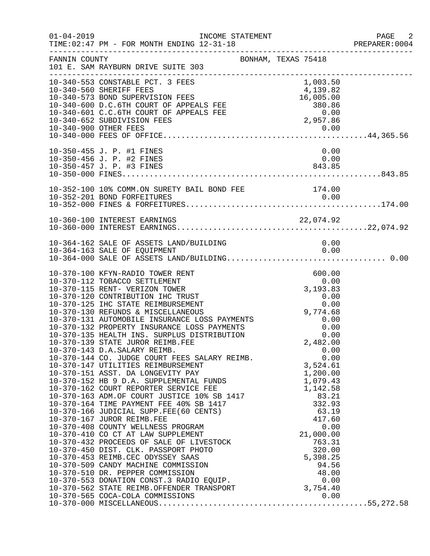| $01 - 04 - 2019$ | INCOME STATEMENT<br>TIME: 02:47 PM - FOR MONTH ENDING 12-31-18                                                                                                                                                                                                                                                                                                                                                                                                                                                             |                                                                                                                                | PAGE 2<br>PREPARER:0004 |
|------------------|----------------------------------------------------------------------------------------------------------------------------------------------------------------------------------------------------------------------------------------------------------------------------------------------------------------------------------------------------------------------------------------------------------------------------------------------------------------------------------------------------------------------------|--------------------------------------------------------------------------------------------------------------------------------|-------------------------|
| FANNIN COUNTY    | BONHAM, TEXAS 75418<br>101 E. SAM RAYBURN DRIVE SUITE 303                                                                                                                                                                                                                                                                                                                                                                                                                                                                  |                                                                                                                                |                         |
|                  | 10-340-553 CONSTABLE PCT. 3 FEES<br>10-340-560 SHERIFF FEES<br>10-340-560 SHERIFF FEES<br>10-340-600 D.C.6TH COURT OF APPEALS FEE 380.86<br>10-340-601 C.C.6TH COURT OF APPEALS FEE 380.86<br>2,957.86<br>2,957.86<br>10-340-900 OTHER FEES                                                                                                                                                                                                                                                                                | 1,003.50                                                                                                                       |                         |
|                  | 10-350-455 J. P. #1 FINES<br>10-350-456 J. P. #2 FINES<br>10-350-457 J. P. #3 FINES                                                                                                                                                                                                                                                                                                                                                                                                                                        | 0.00<br>0.00<br>843.85                                                                                                         |                         |
|                  | 10-352-100 10% COMM.ON SURETY BAIL BOND FEE 174.00                                                                                                                                                                                                                                                                                                                                                                                                                                                                         |                                                                                                                                |                         |
|                  |                                                                                                                                                                                                                                                                                                                                                                                                                                                                                                                            |                                                                                                                                |                         |
|                  | 10-364-162 SALE OF ASSETS LAND/BUILDING<br>10-364-163 SALE OF EQUIPMENT                                                                                                                                                                                                                                                                                                                                                                                                                                                    | 0.00<br>0.00                                                                                                                   |                         |
|                  | 10-370-100 KFYN-RADIO TOWER RENT<br>10-370-112 TOBACCO SETTLEMENT<br>10-370-115 RENT- VERIZON TOWER<br>10-370-120 CONTRIBUTION IHC TRUST<br>10-370-125 IHC STATE REIMBURSEMENT<br>10-370-130 REFUNDS & MISCELLANEOUS<br>10-370-131 AUTOMOBILE INSURANCE LOSS PAYMENTS 0.00<br>10-370-132 PROPERTY INSURANCE LOSS PAYMENTS<br>10-370-135 HEALTH INS. SURPLUS DISTRIBUTION<br>10-370-139 STATE JUROR REIMB.FEE<br>10-370-143 D.A.SALARY REIMB.<br>10-370-144 CO. JUDGE COURT FEES SALARY REIMB. 0.00<br>3,524.61<br>3,524.61 | 600.00<br>0.00<br>3, 193.83<br>$\begin{array}{c} 0\, .\, 00 \\ 0\, .\, 00 \end{array}$<br>9,774.68<br>0.00<br>0.00<br>2,482.00 |                         |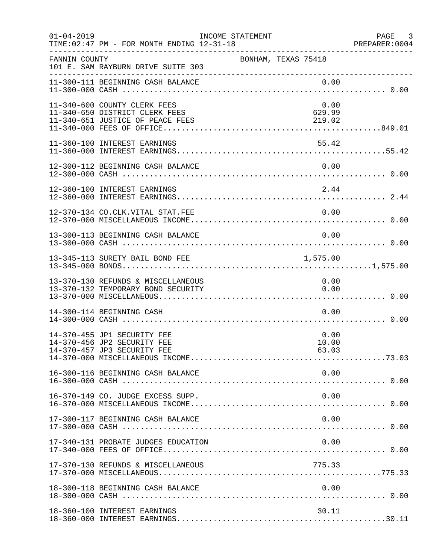| $01 - 04 - 2019$ | TIME: 02:47 PM - FOR MONTH ENDING 12-31-18                                                         | INCOME STATEMENT    |                          | PAGE 3<br>PREPARER:0004 |
|------------------|----------------------------------------------------------------------------------------------------|---------------------|--------------------------|-------------------------|
| FANNIN COUNTY    | 101 E. SAM RAYBURN DRIVE SUITE 303                                                                 | BONHAM, TEXAS 75418 |                          |                         |
|                  | 11-300-111 BEGINNING CASH BALANCE                                                                  |                     | 0.00                     |                         |
|                  | 11-340-600 COUNTY CLERK FEES<br>11-340-650 DISTRICT CLERK FEES<br>11-340-651 JUSTICE OF PEACE FEES |                     | 0.00<br>629.99<br>219.02 |                         |
|                  | 11-360-100 INTEREST EARNINGS                                                                       |                     | 55.42                    |                         |
|                  | 12-300-112 BEGINNING CASH BALANCE                                                                  |                     | 0.00                     |                         |
|                  | 12-360-100 INTEREST EARNINGS                                                                       |                     | 2.44                     |                         |
|                  | 12-370-134 CO.CLK.VITAL STAT.FEE                                                                   |                     | 0.00                     |                         |
|                  | 13-300-113 BEGINNING CASH BALANCE                                                                  |                     | 0.00                     |                         |
|                  | 13-345-113 SURETY BAIL BOND FEE                                                                    |                     | 1,575.00                 |                         |
|                  | 13-370-130 REFUNDS & MISCELLANEOUS<br>13-370-132 TEMPORARY BOND SECURITY                           |                     | 0.00<br>0.00             |                         |
|                  | 14-300-114 BEGINNING CASH                                                                          |                     | 0.00                     |                         |
|                  | 14-370-455 JP1 SECURITY FEE<br>14-370-456 JP2 SECURITY FEE<br>14-370-457 JP3 SECURITY FEE          |                     | 0.00<br>10.00<br>63.03   |                         |
|                  | 16-300-116 BEGINNING CASH BALANCE                                                                  |                     | 0.00                     |                         |
|                  | 16-370-149 CO. JUDGE EXCESS SUPP.                                                                  |                     | 0.00                     |                         |
|                  | 17-300-117 BEGINNING CASH BALANCE                                                                  |                     | 0.00                     |                         |
|                  | 17-340-131 PROBATE JUDGES EDUCATION                                                                |                     | 0.00                     |                         |
|                  | 17-370-130 REFUNDS & MISCELLANEOUS                                                                 |                     | 775.33                   |                         |
|                  | 18-300-118 BEGINNING CASH BALANCE                                                                  |                     | 0.00                     |                         |
|                  | 18-360-100 INTEREST EARNINGS                                                                       |                     | 30.11                    |                         |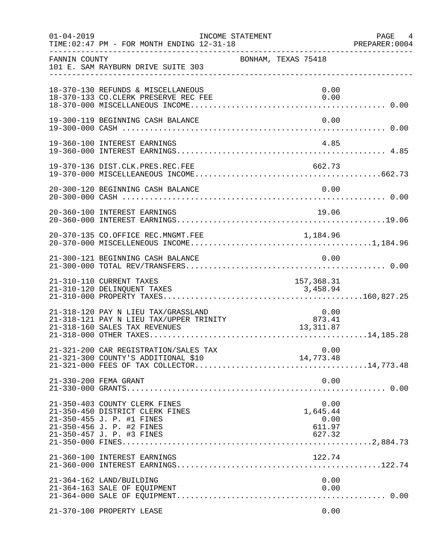| $01 - 04 - 2019$ | TIME: 02:47 PM - FOR MONTH ENDING 12-31-18                                                                                                              | INCOME STATEMENT                             | PAGE 4<br>PREPARER: 0004 |
|------------------|---------------------------------------------------------------------------------------------------------------------------------------------------------|----------------------------------------------|--------------------------|
| FANNIN COUNTY    | 101 E. SAM RAYBURN DRIVE SUITE 303                                                                                                                      | BONHAM, TEXAS 75418                          |                          |
|                  | 18-370-130 REFUNDS & MISCELLANEOUS<br>18-370-133 CO.CLERK PRESERVE REC FEE                                                                              | 0.00<br>0.00                                 |                          |
|                  | 19-300-119 BEGINNING CASH BALANCE                                                                                                                       | 0.00                                         |                          |
|                  | 19-360-100 INTEREST EARNINGS                                                                                                                            | 4.85                                         |                          |
|                  | 19-370-136 DIST.CLK.PRES.REC.FEE                                                                                                                        |                                              |                          |
|                  | 20-300-120 BEGINNING CASH BALANCE                                                                                                                       | 0.00                                         |                          |
|                  | 20-360-100 INTEREST EARNINGS                                                                                                                            | 19.06                                        |                          |
|                  |                                                                                                                                                         |                                              |                          |
|                  | 21-300-121 BEGINNING CASH BALANCE                                                                                                                       | 0.00                                         |                          |
|                  | 21-310-110 CURRENT TAXES                                                                                                                                | 157,368.31                                   |                          |
|                  | 21-318-120 PAY N LIEU TAX/GRASSLAND<br>21-318-121 PAY N LIEU TAX/UPPER TRINITY<br>21-318-160 SALES TAX REVENUES                                         | $0.00$<br>873.41<br>13,311.87                |                          |
|                  | 21-321-200 CAR REGISTRATION/SALES TAX<br>21-321-300 COUNTY'S ADDITIONAL \$10                                                                            | 0.00<br>14,773.48                            |                          |
|                  | 21-330-200 FEMA GRANT                                                                                                                                   | 0.00                                         |                          |
|                  | 21-350-403 COUNTY CLERK FINES<br>21-350-450 DISTRICT CLERK FINES<br>21-350-455 J. P. #1 FINES<br>21-350-456 J. P. #2 FINES<br>21-350-457 J. P. #3 FINES | 0.00<br>1,645.44<br>0.00<br>611.97<br>627.32 |                          |
|                  | 21-360-100 INTEREST EARNINGS                                                                                                                            | 122.74                                       |                          |
|                  | 21-364-162 LAND/BUILDING<br>21-364-163 SALE OF EQUIPMENT                                                                                                | 0.00<br>0.00                                 |                          |
|                  | 21-370-100 PROPERTY LEASE                                                                                                                               | 0.00                                         |                          |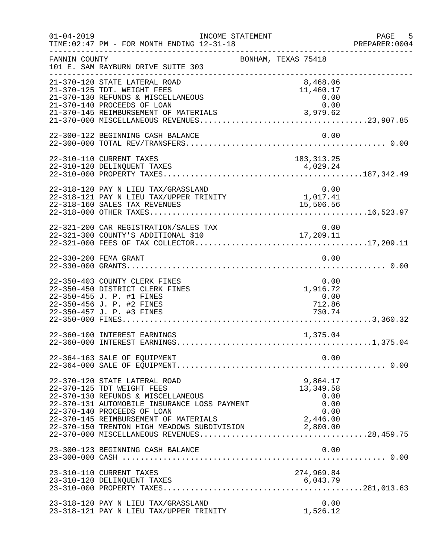| $01 - 04 - 2019$ | INCOME STATEMENT<br>TIME: 02:47 PM - FOR MONTH ENDING 12-31-18                                                                                                                   | -----------------------------------                                         | PAGE 5<br>PREPARER:0004 |
|------------------|----------------------------------------------------------------------------------------------------------------------------------------------------------------------------------|-----------------------------------------------------------------------------|-------------------------|
| FANNIN COUNTY    | 101 E. SAM RAYBURN DRIVE SUITE 303                                                                                                                                               | BONHAM, TEXAS 75418                                                         |                         |
|                  | 21-370-120 STATE LATERAL ROAD<br>21-370-125 TDT. WEIGHT FEES<br>21-370-130 REFUNDS & MISCELLANEOUS<br>21-370-140 PROCEEDS OF LOAN                                                | 8,468.06<br>11,460.17<br>0.00<br>0.00                                       |                         |
|                  | 22-300-122 BEGINNING CASH BALANCE                                                                                                                                                | 0.00                                                                        |                         |
|                  | 22-310-110 CURRENT TAXES<br>22-310-120 DELINQUENT TAXES                                                                                                                          | 183, 313. 25<br>4,029.24                                                    |                         |
|                  | 22-318-120 PAY N LIEU TAX/GRASSLAND<br>22-318-121 PAY N LIEU TAX/UPPER TRINITY<br>22-318-160 SALES TAX REVENUES                                                                  | 0.00<br>${\begin{smallmatrix}0.00\\1.017.41\end{smallmatrix}}$<br>15,506.56 |                         |
|                  | 22-321-200 CAR REGISTRATION/SALES TAX                                                                                                                                            | 0.00                                                                        |                         |
|                  | 22-330-200 FEMA GRANT                                                                                                                                                            | 0.00                                                                        |                         |
|                  | 22-350-403 COUNTY CLERK FINES<br>22-350-450 DISTRICT CLERK FINES<br>22-350-455 J. P. #1 FINES<br>22-350-456 J. P. #2 FINES<br>22-350-457 J. P. #3 FINES                          | 0.00<br>1,916.72<br>0.00<br>712.86<br>730.74                                |                         |
|                  | 22-360-100 INTEREST EARNINGS                                                                                                                                                     | 1,375.04                                                                    |                         |
|                  | 22-364-163 SALE OF EQUIPMENT                                                                                                                                                     | 0.00                                                                        |                         |
|                  | 22-370-120 STATE LATERAL ROAD<br>22-370-125 TDT WEIGHT FEES<br>22-370-130 REFUNDS & MISCELLANEOUS<br>22-370-131 AUTOMOBILE INSURANCE LOSS PAYMENT<br>22-370-140 PROCEEDS OF LOAN | 9,864.17<br>13, 349.58<br>0.00<br>0.00<br>0.00                              |                         |
|                  | 23-300-123 BEGINNING CASH BALANCE                                                                                                                                                | 0.00                                                                        |                         |
|                  | 23-310-110 CURRENT TAXES<br>23-310-120 DELINQUENT TAXES                                                                                                                          | 274,969.84<br>6,043.79                                                      |                         |
|                  | 23-318-120 PAY N LIEU TAX/GRASSLAND<br>23-318-121 PAY N LIEU TAX/UPPER TRINITY                                                                                                   | 0.00<br>1,526.12                                                            |                         |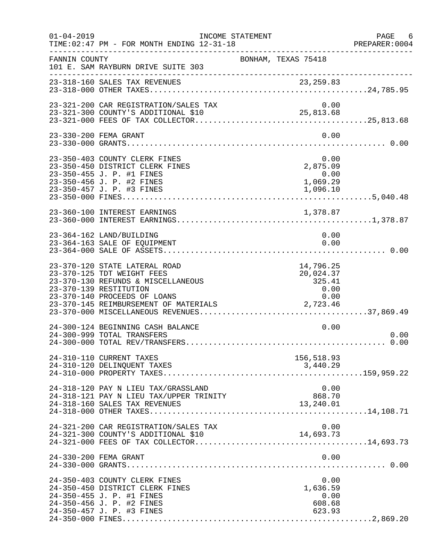| $01 - 04 - 2019$ | TIME: 02:47 PM - FOR MONTH ENDING 12-31-18                                                                                                                                                                                                    | INCOME STATEMENT                                         | PAGE 6<br>PREPARER:0004 |
|------------------|-----------------------------------------------------------------------------------------------------------------------------------------------------------------------------------------------------------------------------------------------|----------------------------------------------------------|-------------------------|
| FANNIN COUNTY    | 101 E. SAM RAYBURN DRIVE SUITE 303<br>______________________________                                                                                                                                                                          | BONHAM, TEXAS 75418                                      |                         |
|                  |                                                                                                                                                                                                                                               |                                                          |                         |
|                  | 23-321-200 CAR REGISTRATION/SALES TAX                                                                                                                                                                                                         | 0.00                                                     |                         |
|                  | 23-330-200 FEMA GRANT                                                                                                                                                                                                                         | 0.00                                                     |                         |
|                  | 23-350-403 COUNTY CLERK FINES<br>23-350-450 DISTRICT CLERK FINES<br>23-350-455 J. P. #1 FINES<br>23-350-456 J. P. #2 FINES<br>23-350-457 J. P. #3 FINES                                                                                       | 0.00<br>0.00<br>2,875.09<br>0.00<br>1,069.29<br>1,096.10 |                         |
|                  | 23-360-100 INTEREST EARNINGS                                                                                                                                                                                                                  | 1,378.87                                                 |                         |
|                  | 23-364-162 LAND/BUILDING<br>23-364-163 SALE OF EQUIPMENT                                                                                                                                                                                      | 0.00<br>0.00                                             |                         |
|                  | 23-370-120 STATE LATERAL ROAD<br>23-370-125 TDT WEIGHT FEES<br>23-370-130 REFUNDS & MISCELLANEOUS<br>23-370-139 RESTITUTION<br>23-370-140 PROCEEDS OF LOANS<br>23-370-140 PROCEEDS OF HOANS<br>23-370-145 REIMBURSEMENT OF MATERIALS 2,723.46 | 14,796.25<br>20,024.37<br>325.41<br>0.00<br>0.00         |                         |
|                  | 24-300-124 BEGINNING CASH BALANCE<br>24-300-999 TOTAL TRANSFERS                                                                                                                                                                               | 0.00                                                     | 0.00                    |
|                  | 24-310-110 CURRENT TAXES<br>24-310-120 DELINQUENT TAXES                                                                                                                                                                                       | 156,518.93<br>3,440.29                                   |                         |
|                  | 24-318-120 PAY N LIEU TAX/GRASSLAND<br>24-318-121 PAY N LIEU TAX/UPPER TRINITY<br>24-318-160 SALES TAX REVENUES                                                                                                                               | 0.00<br>868.70<br>13,240.01                              |                         |
|                  | 24-321-200 CAR REGISTRATION/SALES TAX<br>24-321-300 COUNTY'S ADDITIONAL \$10                                                                                                                                                                  | 0.00<br>14,693.73                                        |                         |
|                  | 24-330-200 FEMA GRANT                                                                                                                                                                                                                         | 0.00                                                     |                         |
|                  | 24-350-403 COUNTY CLERK FINES<br>24-350-450 DISTRICT CLERK FINES<br>24-350-455 J. P. #1 FINES<br>24-350-456 J. P. #2 FINES<br>24-350-457 J. P. #3 FINES                                                                                       | 0.00<br>1,636.59<br>0.00<br>608.68<br>623.93             |                         |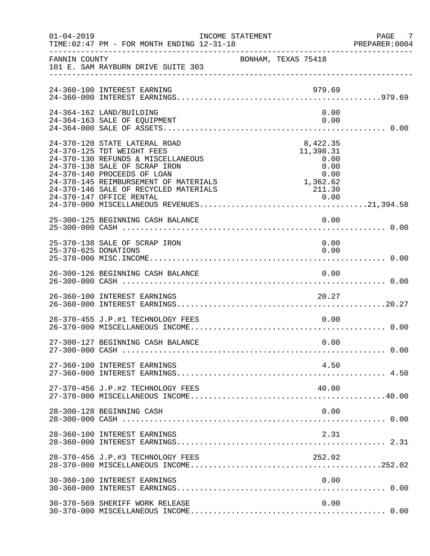| $01 - 04 - 2019$     | TIME: 02:47 PM - FOR MONTH ENDING 12-31-18                                                                                                                                                                                                          | INCOME STATEMENT                                                              | PAGE 7<br>PREPARER: 0004 |
|----------------------|-----------------------------------------------------------------------------------------------------------------------------------------------------------------------------------------------------------------------------------------------------|-------------------------------------------------------------------------------|--------------------------|
| FANNIN COUNTY        | 101 E. SAM RAYBURN DRIVE SUITE 303                                                                                                                                                                                                                  | BONHAM, TEXAS 75418                                                           |                          |
|                      | 24-360-100 INTEREST EARNING                                                                                                                                                                                                                         | 979.69                                                                        |                          |
|                      | 24-364-162 LAND/BUILDING<br>24-364-163 SALE OF EQUIPMENT                                                                                                                                                                                            | 0.00<br>0.00                                                                  |                          |
|                      | 24-370-120 STATE LATERAL ROAD<br>24-370-125 TDT WEIGHT FEES<br>24-370-130 REFUNDS & MISCELLANEOUS<br>24-370-138 SALE OF SCRAP IRON<br>24-370-140 PROCEEDS OF LOAN<br>24-370-145 REIMBURSEMENT OF MATERIALS<br>24-370-146 SALE OF RECYCLED MATERIALS | 8,422.35<br>11,398.31<br>0.00<br>0.00<br>0.00<br>$0.00$<br>1,362.62<br>211.30 |                          |
|                      | 25-300-125 BEGINNING CASH BALANCE                                                                                                                                                                                                                   | 0.00                                                                          |                          |
| 25-370-625 DONATIONS | 25-370-138 SALE OF SCRAP IRON                                                                                                                                                                                                                       | 0.00<br>0.00                                                                  |                          |
|                      | 26-300-126 BEGINNING CASH BALANCE                                                                                                                                                                                                                   | 0.00                                                                          |                          |
|                      | 26-360-100 INTEREST EARNINGS                                                                                                                                                                                                                        | 20.27                                                                         |                          |
|                      | 26-370-455 J.P.#1 TECHNOLOGY FEES                                                                                                                                                                                                                   | 0.00                                                                          |                          |
|                      | 27-300-127 BEGINNING CASH BALANCE                                                                                                                                                                                                                   | 0.00                                                                          |                          |
|                      | 27-360-100 INTEREST EARNINGS                                                                                                                                                                                                                        | 4.50                                                                          |                          |
|                      | 27-370-456 J.P.#2 TECHNOLOGY FEES                                                                                                                                                                                                                   | 40.00                                                                         |                          |
|                      | 28-300-128 BEGINNING CASH                                                                                                                                                                                                                           | 0.00                                                                          |                          |
|                      | 28-360-100 INTEREST EARNINGS                                                                                                                                                                                                                        | 2.31                                                                          |                          |
|                      | 28-370-456 J.P.#3 TECHNOLOGY FEES                                                                                                                                                                                                                   | 252.02                                                                        |                          |
|                      | 30-360-100 INTEREST EARNINGS                                                                                                                                                                                                                        | 0.00                                                                          |                          |
|                      | 30-370-569 SHERIFF WORK RELEASE                                                                                                                                                                                                                     | 0.00                                                                          |                          |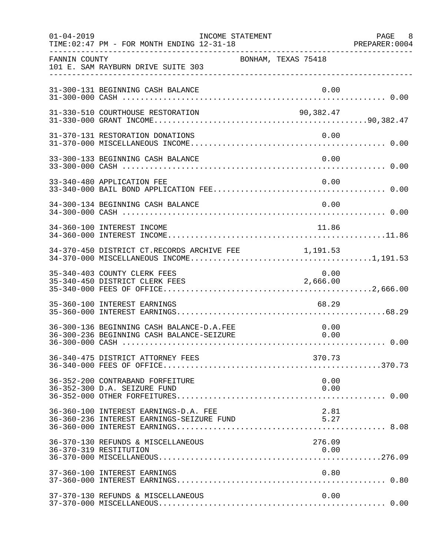| $01 - 04 - 2019$ | TIME: 02:47 PM - FOR MONTH ENDING 12-31-18                                             | INCOME STATEMENT |                     | PAGE 8<br>PREPARER: 0004 |
|------------------|----------------------------------------------------------------------------------------|------------------|---------------------|--------------------------|
| FANNIN COUNTY    | 101 E. SAM RAYBURN DRIVE SUITE 303                                                     |                  | BONHAM, TEXAS 75418 |                          |
|                  | 31-300-131 BEGINNING CASH BALANCE                                                      |                  | 0.00                |                          |
|                  | 31-330-510 COURTHOUSE RESTORATION                                                      |                  | 90,382.47           |                          |
|                  | 31-370-131 RESTORATION DONATIONS                                                       |                  | 0.00                |                          |
|                  | 33-300-133 BEGINNING CASH BALANCE                                                      |                  | 0.00                |                          |
|                  | 33-340-480 APPLICATION FEE                                                             |                  | 0.00                |                          |
|                  | 34-300-134 BEGINNING CASH BALANCE                                                      |                  | 0.00                |                          |
|                  | 34-360-100 INTEREST INCOME                                                             |                  | 11.86               |                          |
|                  | 34-370-450 DISTRICT CT.RECORDS ARCHIVE FEE 1,191.53                                    |                  |                     |                          |
|                  | 35-340-403 COUNTY CLERK FEES<br>35-340-450 DISTRICT CLERK FEES                         |                  | 0.00<br>2,666.00    |                          |
|                  | 35-360-100 INTEREST EARNINGS                                                           |                  | 68.29               |                          |
|                  | 36-300-136 BEGINNING CASH BALANCE-D.A.FEE<br>36-300-236 BEGINNING CASH BALANCE-SEIZURE |                  | 0.00<br>0.00        |                          |
|                  | 36-340-475 DISTRICT ATTORNEY FEES                                                      |                  | 370.73              |                          |
|                  | 36-352-200 CONTRABAND FORFEITURE<br>36-352-300 D.A. SEIZURE FUND                       |                  | 0.00<br>0.00        |                          |
|                  | 36-360-100 INTEREST EARNINGS-D.A. FEE<br>36-360-236 INTEREST EARNINGS-SEIZURE FUND     |                  | 2.81<br>5.27        |                          |
|                  | 36-370-130 REFUNDS & MISCELLANEOUS<br>36-370-319 RESTITUTION                           |                  | 276.09<br>0.00      |                          |
|                  | 37-360-100 INTEREST EARNINGS                                                           |                  | 0.80                |                          |
|                  | 37-370-130 REFUNDS & MISCELLANEOUS                                                     |                  | 0.00                |                          |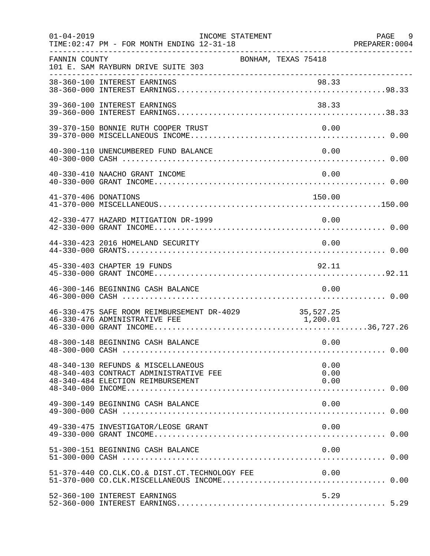| $01 - 04 - 2019$     | INCOME STATEMENT<br>TIME: 02:47 PM - FOR MONTH ENDING 12-31-18                                                         |                      | PAGE 9<br>PREPARER: 0004 |
|----------------------|------------------------------------------------------------------------------------------------------------------------|----------------------|--------------------------|
| FANNIN COUNTY        | 101 E. SAM RAYBURN DRIVE SUITE 303                                                                                     | BONHAM, TEXAS 75418  |                          |
|                      |                                                                                                                        |                      |                          |
|                      | 39-360-100 INTEREST EARNINGS                                                                                           | 38.33                |                          |
|                      | 39-370-150 BONNIE RUTH COOPER TRUST                                                                                    | 0.00                 |                          |
|                      | 40-300-110 UNENCUMBERED FUND BALANCE                                                                                   | 0.00                 |                          |
|                      | 40-330-410 NAACHO GRANT INCOME                                                                                         | 0.00                 |                          |
| 41-370-406 DONATIONS |                                                                                                                        | 150.00               |                          |
|                      | 42-330-477 HAZARD MITIGATION DR-1999                                                                                   | 0.00                 |                          |
|                      | 44-330-423 2016 HOMELAND SECURITY                                                                                      | 0.00                 |                          |
|                      | 45-330-403 CHAPTER 19 FUNDS                                                                                            | 92.11                |                          |
|                      | 46-300-146 BEGINNING CASH BALANCE                                                                                      | 0.00                 |                          |
|                      | 46-330-475 SAFE ROOM REIMBURSEMENT DR-4029 35,527.25<br>46-330-476 ADMINISTRATIVE FEE<br>46-330-476 ADMINISTRATIVE FEE | 1, 200.01            |                          |
|                      | 48-300-148 BEGINNING CASH BALANCE                                                                                      | 0.00                 |                          |
|                      | 48-340-130 REFUNDS & MISCELLANEOUS<br>48-340-403 CONTRACT ADMINISTRATIVE FEE<br>48-340-484 ELECTION REIMBURSEMENT      | 0.00<br>0.00<br>0.00 |                          |
|                      | 49-300-149 BEGINNING CASH BALANCE                                                                                      | 0.00                 |                          |
|                      | 49-330-475 INVESTIGATOR/LEOSE GRANT                                                                                    | 0.00                 |                          |
|                      | 51-300-151 BEGINNING CASH BALANCE                                                                                      | 0.00                 |                          |
|                      |                                                                                                                        |                      |                          |
|                      | 52-360-100 INTEREST EARNINGS                                                                                           | 5.29                 |                          |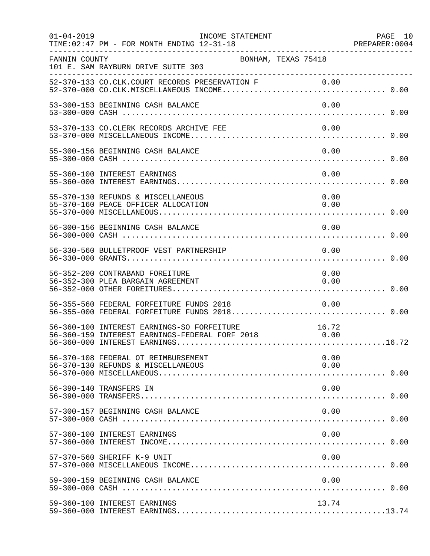| $01 - 04 - 2019$ | INCOME STATEMENT<br>TIME: 02:47 PM - FOR MONTH ENDING 12-31-18                                          |              | PAGE 10 |
|------------------|---------------------------------------------------------------------------------------------------------|--------------|---------|
| FANNIN COUNTY    | BONHAM, TEXAS 75418<br>101 E. SAM RAYBURN DRIVE SUITE 303                                               |              |         |
|                  |                                                                                                         |              |         |
|                  | 53-300-153 BEGINNING CASH BALANCE                                                                       | 0.00         |         |
|                  | 53-370-133 CO.CLERK RECORDS ARCHIVE FEE                                                                 | 0.00         |         |
|                  | 55-300-156 BEGINNING CASH BALANCE                                                                       | 0.00         |         |
|                  | 55-360-100 INTEREST EARNINGS                                                                            | 0.00         |         |
|                  | 55-370-130 REFUNDS & MISCELLANEOUS<br>55-370-160 PEACE OFFICER ALLOCATION                               | 0.00<br>0.00 |         |
|                  | 56-300-156 BEGINNING CASH BALANCE                                                                       | 0.00         |         |
|                  | 56-330-560 BULLETPROOF VEST PARTNERSHIP                                                                 | $\sim 0.00$  |         |
|                  | 56-352-200 CONTRABAND FOREITURE<br>56-352-300 PLEA BARGAIN AGREEMENT                                    | 0.00<br>0.00 |         |
|                  | 56-355-560 FEDERAL FORFEITURE FUNDS 2018<br>56-355-000 FEDERAL FORFEITURE FUNDS 2018 0.00               | 0.00         |         |
|                  | 56-360-100 INTEREST EARNINGS-SO FORFEITURE 16.72<br>56-360-159 INTEREST EARNINGS-FEDERAL FORF 2018 0.00 |              |         |
|                  | 56-370-108 FEDERAL OT REIMBURSEMENT<br>56-370-130 REFUNDS & MISCELLANEOUS                               | 0.00<br>0.00 |         |
|                  | 56-390-140 TRANSFERS IN                                                                                 | 0.00         |         |
|                  | 57-300-157 BEGINNING CASH BALANCE                                                                       | 0.00         |         |
|                  | 57-360-100 INTEREST EARNINGS                                                                            | 0.00         |         |
|                  | 57-370-560 SHERIFF K-9 UNIT                                                                             | 0.00         |         |
|                  | 59-300-159 BEGINNING CASH BALANCE                                                                       | 0.00         |         |
|                  | 59-360-100 INTEREST EARNINGS                                                                            | 13.74        |         |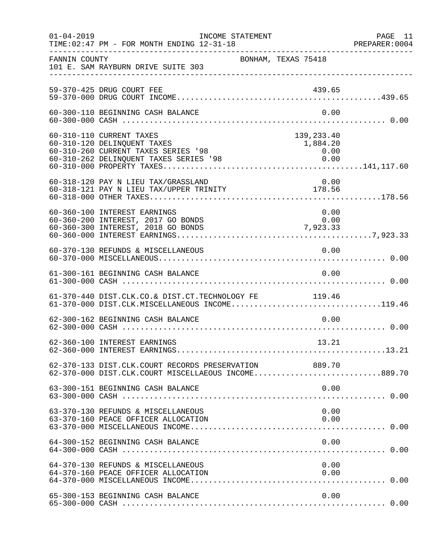| $01 - 04 - 2019$ | TIME: 02:47 PM - FOR MONTH ENDING 12-31-18                                                                        | INCOME STATEMENT    |                                                                                   | PAGE 11<br>PREPARER: 0004 |
|------------------|-------------------------------------------------------------------------------------------------------------------|---------------------|-----------------------------------------------------------------------------------|---------------------------|
| FANNIN COUNTY    | 101 E. SAM RAYBURN DRIVE SUITE 303                                                                                | BONHAM, TEXAS 75418 |                                                                                   |                           |
|                  | 59-370-425 DRUG COURT FEE                                                                                         |                     |                                                                                   |                           |
|                  | 60-300-110 BEGINNING CASH BALANCE                                                                                 |                     | 0.00                                                                              |                           |
|                  | 60-310-110 CURRENT TAXES<br>60-310-120 DELINQUENT TAXES<br>60-310-260 CURRENT TAXES SERIES '98                    |                     | 139,233.40<br>1,884.20<br>$\begin{array}{c} 0\,.\,0\,0 \\ 0\,.\,0\,0 \end{array}$ |                           |
|                  | 60-318-120 PAY N LIEU TAX/GRASSLAND<br>00-318-120 FAI N LIEU TAX/GRESSING                                         |                     | 0.00                                                                              |                           |
|                  | 60-360-100 INTEREST EARNINGS<br>60-360-200 INTEREST, 2017 GO BONDS<br>60-360-300 INTEREST, 2018 GO BONDS 7,923.33 |                     | 0.00<br>0.00                                                                      |                           |
|                  | 60-370-130 REFUNDS & MISCELLANEOUS                                                                                |                     | 0.00                                                                              |                           |
|                  | 61-300-161 BEGINNING CASH BALANCE                                                                                 |                     | 0.00                                                                              |                           |
|                  | 61-370-440 DIST.CLK.CO.& DIST.CT.TECHNOLOGY FE 119.46<br>61-370-000 DIST.CLK.MISCELLANEOUS INCOME119.46           |                     |                                                                                   |                           |
|                  | 62-300-162 BEGINNING CASH BALANCE                                                                                 |                     | 0.00                                                                              |                           |
|                  | 62-360-100 INTEREST EARNINGS                                                                                      |                     | 13.21                                                                             |                           |
|                  | 62-370-133 DIST.CLK.COURT RECORDS PRESERVATION 889.70<br>62-370-000 DIST.CLK.COURT MISCELLAEOUS INCOME889.70      |                     |                                                                                   |                           |
|                  |                                                                                                                   |                     |                                                                                   |                           |
|                  | 63-370-130 REFUNDS & MISCELLANEOUS<br>63-370-160 PEACE OFFICER ALLOCATION                                         |                     | 0.00<br>0.00                                                                      |                           |
|                  | 64-300-152 BEGINNING CASH BALANCE                                                                                 |                     | 0.00                                                                              |                           |
|                  | 64-370-130 REFUNDS & MISCELLANEOUS<br>64-370-160 PEACE OFFICER ALLOCATION                                         |                     | 0.00<br>0.00                                                                      |                           |
|                  | 65-300-153 BEGINNING CASH BALANCE                                                                                 |                     | 0.00                                                                              |                           |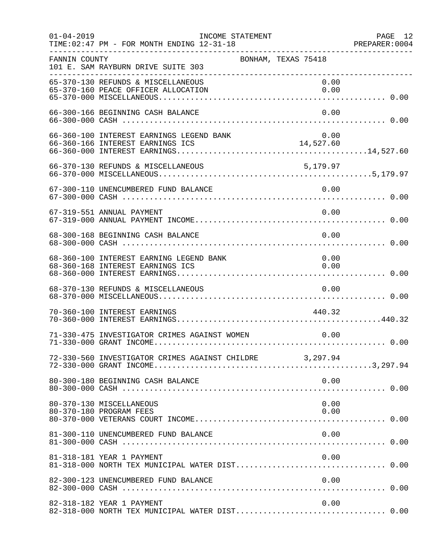| $01 - 04 - 2019$ | INCOME STATEMENT<br>TIME: 02:47 PM - FOR MONTH ENDING 12-31-18              |        | PAGE 12      |
|------------------|-----------------------------------------------------------------------------|--------|--------------|
| FANNIN COUNTY    | BONHAM, TEXAS 75418<br>101 E. SAM RAYBURN DRIVE SUITE 303                   |        |              |
|                  | 65-370-130 REFUNDS & MISCELLANEOUS<br>65-370-160 PEACE OFFICER ALLOCATION   |        | 0.00<br>0.00 |
|                  | 66-300-166 BEGINNING CASH BALANCE                                           |        | 0.00         |
|                  | 66-360-100 INTEREST EARNINGS LEGEND BANK                                    |        | 0.00         |
|                  |                                                                             |        |              |
|                  | 67-300-110 UNENCUMBERED FUND BALANCE                                        | 0.00   |              |
|                  | 67-319-551 ANNUAL PAYMENT                                                   |        | 0.00         |
|                  | 68-300-168 BEGINNING CASH BALANCE                                           |        | 0.00         |
|                  | 68-360-100 INTEREST EARNING LEGEND BANK<br>68-360-168 INTEREST EARNINGS ICS |        | 0.00<br>0.00 |
|                  | 68-370-130 REFUNDS & MISCELLANEOUS                                          | 0.00   |              |
|                  | 70-360-100 INTEREST EARNINGS                                                | 440.32 |              |
|                  | 71-330-475 INVESTIGATOR CRIMES AGAINST WOMEN                                |        | 0.00         |
|                  | 72-330-560 INVESTIGATOR CRIMES AGAINST CHILDRE 3,297.94                     |        |              |
|                  | 80-300-180 BEGINNING CASH BALANCE                                           |        | 0.00         |
|                  | 80-370-130 MISCELLANEOUS<br>80-370-180 PROGRAM FEES                         |        | 0.00<br>0.00 |
|                  | 81-300-110 UNENCUMBERED FUND BALANCE                                        |        | 0.00         |
|                  | 81-318-181 YEAR 1 PAYMENT                                                   |        | 0.00         |
|                  | 82-300-123 UNENCUMBERED FUND BALANCE                                        |        | 0.00         |
|                  | 82-318-182 YEAR 1 PAYMENT                                                   |        | 0.00         |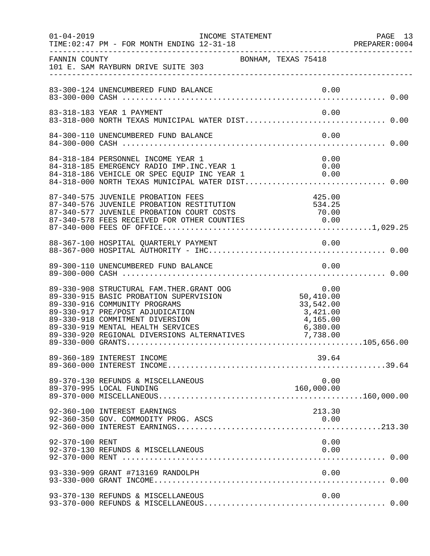| $01 - 04 - 2019$ | INCOME STATEMENT<br>TIME: 02:47 PM - FOR MONTH ENDING 12-31-18                                                                                                                                                                                                                                                                                                                                                                     |                                            | PAGE 13<br>PREPARER: 0004 |
|------------------|------------------------------------------------------------------------------------------------------------------------------------------------------------------------------------------------------------------------------------------------------------------------------------------------------------------------------------------------------------------------------------------------------------------------------------|--------------------------------------------|---------------------------|
| FANNIN COUNTY    | BONHAM, TEXAS 75418<br>101 E. SAM RAYBURN DRIVE SUITE 303                                                                                                                                                                                                                                                                                                                                                                          |                                            |                           |
|                  |                                                                                                                                                                                                                                                                                                                                                                                                                                    |                                            |                           |
|                  | 83-318-183 YEAR 1 PAYMENT                                                                                                                                                                                                                                                                                                                                                                                                          | 0.00                                       |                           |
|                  | 84-300-110 UNENCUMBERED FUND BALANCE                                                                                                                                                                                                                                                                                                                                                                                               | 0.00                                       |                           |
|                  | 84-318-184 PERSONNEL INCOME YEAR 1<br>84-318-185 EMERGENCY RADIO IMP.INC.YEAR 1<br>84-318-186 VEHICLE OR SPEC EQUIP INC YEAR 1                                                                                                                                                                                                                                                                                                     | 0.00<br>0.00                               |                           |
|                  | 87-340-575 JUVENILE PROBATION FEES<br>87-340-576 JUVENILE PROBATION FEES<br>87-340-576 JUVENILE PROBATION RESTITUTION 534.25<br>87-340-577 JUVENILE PROBATION COURT COSTS 70.00<br>87-340-578 FEES RECEIVED FOR OTHER COUNTIES 0.00<br>87-340-000 FEES OF OFFICE                                                                                                                                                                   | 425.00                                     |                           |
|                  |                                                                                                                                                                                                                                                                                                                                                                                                                                    |                                            |                           |
|                  |                                                                                                                                                                                                                                                                                                                                                                                                                                    |                                            |                           |
|                  | 89-330-908 STRUCTURAL FAM.THER.GRANT OOG<br>89-330-908 STRUCTURAL FAM.THER.GRANT OOG<br>89-330-915 BASIC PROBATION SUPERVISION<br>89-330-916 COMMUNITY PROGRAMS<br>89-330-917 PRE/POST ADJUDICATION<br>89-330-917 PRE/POST ADJUDICATION<br>89-330-918 COMMITMENT DIVERSION<br>89-330-918 COMMITMENT DIVERSION (4,165.00)<br>89-330-919 MENTAL HEALTH SERVICES (6,380.00)<br>89-330-920 REGIONAL DIVERSIONS ALTERNATIVES (7,738.00) | 0.00<br>50,410.00<br>33,542.00<br>3,421.00 |                           |
|                  | 89-360-189 INTEREST INCOME                                                                                                                                                                                                                                                                                                                                                                                                         | 39.64                                      |                           |
|                  | 89-370-130 REFUNDS & MISCELLANEOUS<br>89-370-995 LOCAL FUNDING                                                                                                                                                                                                                                                                                                                                                                     | 0.00<br>160,000.00                         |                           |
|                  | 92-360-100 INTEREST EARNINGS<br>92-360-350 GOV. COMMODITY PROG. ASCS                                                                                                                                                                                                                                                                                                                                                               | 213.30<br>0.00                             |                           |
| 92-370-100 RENT  | 92-370-130 REFUNDS & MISCELLANEOUS                                                                                                                                                                                                                                                                                                                                                                                                 | 0.00<br>0.00                               |                           |
|                  | 93-330-909 GRANT #713169 RANDOLPH                                                                                                                                                                                                                                                                                                                                                                                                  | 0.00                                       |                           |
|                  | 93-370-130 REFUNDS & MISCELLANEOUS                                                                                                                                                                                                                                                                                                                                                                                                 | 0.00                                       |                           |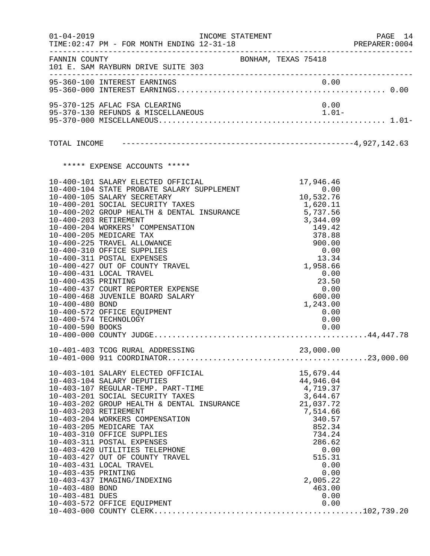|                                                            | $01 - 04 - 2019$                                                                                                                                                                                                                                                                                                                                                                                                                                                                                                                                                                                                             | INCOME STATEMENT    |                                                                                                                                                                                         | PAGE 14<br>PREPARER: 0004 |
|------------------------------------------------------------|------------------------------------------------------------------------------------------------------------------------------------------------------------------------------------------------------------------------------------------------------------------------------------------------------------------------------------------------------------------------------------------------------------------------------------------------------------------------------------------------------------------------------------------------------------------------------------------------------------------------------|---------------------|-----------------------------------------------------------------------------------------------------------------------------------------------------------------------------------------|---------------------------|
|                                                            | FANNIN COUNTY<br>101 E. SAM RAYBURN DRIVE SUITE 303                                                                                                                                                                                                                                                                                                                                                                                                                                                                                                                                                                          | BONHAM, TEXAS 75418 |                                                                                                                                                                                         |                           |
|                                                            | 95-360-100 INTEREST EARNINGS                                                                                                                                                                                                                                                                                                                                                                                                                                                                                                                                                                                                 |                     | 0.00                                                                                                                                                                                    |                           |
|                                                            | 95-370-125 AFLAC FSA CLEARING                                                                                                                                                                                                                                                                                                                                                                                                                                                                                                                                                                                                |                     | 0.00                                                                                                                                                                                    |                           |
|                                                            |                                                                                                                                                                                                                                                                                                                                                                                                                                                                                                                                                                                                                              |                     |                                                                                                                                                                                         |                           |
|                                                            |                                                                                                                                                                                                                                                                                                                                                                                                                                                                                                                                                                                                                              |                     |                                                                                                                                                                                         |                           |
|                                                            | ***** EXPENSE ACCOUNTS *****                                                                                                                                                                                                                                                                                                                                                                                                                                                                                                                                                                                                 |                     |                                                                                                                                                                                         |                           |
| 10-400-435 PRINTING<br>10-400-480 BOND<br>10-400-590 BOOKS | 10-400-101 SALARY ELECTED OFFICIAL 10-400-104 STATE PROBATE SALARY SUPPLEMENT 0.00<br>10-400-105 SALARY SECRETARY 10,532.76<br>10-400-201 SOCIAL SECURITY TAXES 1,620.11<br>10-400-202 GROUP HEALTH & DENTAL INSURANCE 5,737.56<br>10-400-<br>10-400-203 RETIREMENT<br>10-400-204 WORKERS' COMPENSATION<br>10-400-205 MEDICARE TAX<br>10-400-225 TRAVEL ALLOWANCE<br>10-400-310 OFFICE SUPPLIES<br>10-400-311 POSTAL EXPENSES<br>10-400-427 OUT OF COUNTY TRAVEL<br>10-400-431 LOCAL TRAVEL<br>10-400-437 COURT REPORTER EXPENSE<br>10-400-468 JUVENILE BOARD SALARY<br>10-400-572 OFFICE EQUIPMENT<br>10-400-574 TECHNOLOGY |                     | 3,344.09<br>149.42<br>378.88<br>900.00<br>0.00<br>13.34<br>1,958.66<br>0.00<br>23.50<br>0.00<br>600.00<br>1,243.00<br>0.00<br>0.00<br>0.00                                              |                           |
|                                                            |                                                                                                                                                                                                                                                                                                                                                                                                                                                                                                                                                                                                                              |                     |                                                                                                                                                                                         |                           |
| 10-403-435 PRINTING<br>10-403-480 BOND<br>10-403-481 DUES  | 10-403-101 SALARY ELECTED OFFICIAL<br>10-403-104 SALARY DEPUTIES<br>10-403-107 REGULAR-TEMP. PART-TIME<br>10-403-201 SOCIAL SECURITY TAXES<br>10-403-202 GROUP HEALTH & DENTAL INSURANCE<br>10-403-203 RETIREMENT<br>10-403-204 WORKERS COMPENSATION<br>10-403-205 MEDICARE TAX<br>10-403-310 OFFICE SUPPLIES<br>10-403-311 POSTAL EXPENSES<br>10-403-420 UTILITIES TELEPHONE<br>10-403-427 OUT OF COUNTY TRAVEL<br>10-403-431 LOCAL TRAVEL<br>10-403-437 IMAGING/INDEXING<br>10-403-572 OFFICE EQUIPMENT                                                                                                                    |                     | 15,679.44<br>44,946.04<br>4,719.37<br>3,644.67<br>21,037.72<br>7,514.66<br>340.57<br>852.34<br>734.24<br>286.62<br>0.00<br>515.31<br>0.00<br>0.00<br>2,005.22<br>463.00<br>0.00<br>0.00 |                           |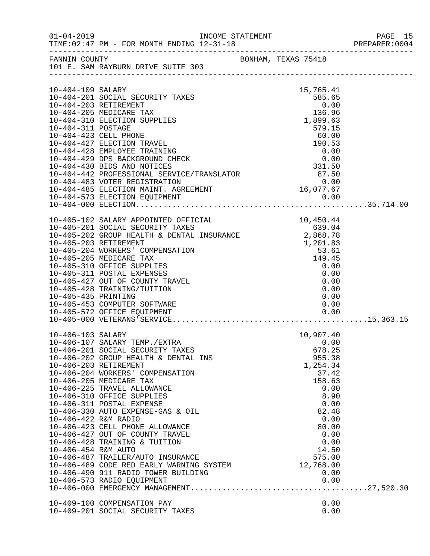|                                                                  |                                                                                                                                                                                                                                                                                                                                                                                                                                                                                                                                                                                               |                     |                                                                                                                                                                                        | PAGE 15<br>PREPARER:0004 |
|------------------------------------------------------------------|-----------------------------------------------------------------------------------------------------------------------------------------------------------------------------------------------------------------------------------------------------------------------------------------------------------------------------------------------------------------------------------------------------------------------------------------------------------------------------------------------------------------------------------------------------------------------------------------------|---------------------|----------------------------------------------------------------------------------------------------------------------------------------------------------------------------------------|--------------------------|
| FANNIN COUNTY                                                    | 101 E. SAM RAYBURN DRIVE SUITE 303                                                                                                                                                                                                                                                                                                                                                                                                                                                                                                                                                            | BONHAM, TEXAS 75418 |                                                                                                                                                                                        |                          |
| 10-404-109 SALARY<br>10-404-311 POSTAGE                          | 10-404-201 SOCIAL SECURITY TAXES<br>10-404-203 RETIREMENT<br>10-404-205 MEDICARE TAX<br>10-404-310 ELECTION SUPPLIES<br>10-404-423 CELL PHONE<br>10-404-427 ELECTION TRAVEL<br>10-404-428 EMPLOYEE TRAINING<br>10-404-429 DPS BACKGROUND CHECK<br>10-404-430 BIDS AND NOTICES<br>10-404-442 PROFESSIONAL SERVICE/TRANSLATOR<br>10-404-483 VOTER REGISTRATION<br>10-4                                                                                                                                                                                                                          |                     | 15,765.41<br>15,765.41<br>585.65<br>0.00<br>136.96<br>1,899.63<br>579.15                                                                                                               |                          |
| 10-405-435 PRINTING                                              | 10-405-102 SALARY APPOINTED OFFICIAL 10-405-201 SOCIAL SECURITY TAXES 639.04<br>10-405-202 GROUP HEALTH & DENTAL INSURANCE 2,868.78<br>10-405-203 RETIREMENT 1,201.83<br>10-405-204 WORKERS' COMPENSATION 53.61<br>10-405-204 WORKERS' COM<br>10-405-310 OFFICE SUPPLIES<br>10-405-311 POSTAL EXPENSES<br>10-405-427 OUT OF COUNTY TRAVEL<br>10-405-428 TRAINING/TUITION<br>10-405-453 COMPUTER SOFTWARE<br>10-405-572 OFFICE EQUIPMENT                                                                                                                                                       |                     | 0.00<br>0.00<br>0.00<br>0.00<br>0.00<br>0.00<br>0.00                                                                                                                                   |                          |
| 10-406-103 SALARY<br>10-406-422 R&M RADIO<br>10-406-454 R&M AUTO | 10-406-107 SALARY TEMP./EXTRA<br>10-406-201 SOCIAL SECURITY TAXES<br>10-406-202 GROUP HEALTH & DENTAL INS<br>10-406-203 RETIREMENT<br>10-406-204 WORKERS' COMPENSATION<br>10-406-205 MEDICARE TAX<br>10-406-225 TRAVEL ALLOWANCE<br>10-406-310 OFFICE SUPPLIES<br>10-406-311 POSTAL EXPENSE<br>10-406-330 AUTO EXPENSE-GAS & OIL<br>10-406-423 CELL PHONE ALLOWANCE<br>10-406-427 OUT OF COUNTY TRAVEL<br>10-406-428 TRAINING & TUITION<br>10-406-487 TRAILER/AUTO INSURANCE<br>10-406-489 CODE RED EARLY WARNING SYSTEM<br>10-406-490 911 RADIO TOWER BUILDING<br>10-406-573 RADIO EQUIPMENT |                     | 10,907.40<br>0.00<br>678.25<br>955.38<br>1,254.34<br>37.42<br>158.63<br>0.00<br>8.90<br>0.00<br>82.48<br>0.00<br>80.00<br>0.00<br>0.00<br>14.50<br>575.00<br>12,768.00<br>0.00<br>0.00 |                          |
|                                                                  | 10-409-100 COMPENSATION PAY<br>10-409-201 SOCIAL SECURITY TAXES                                                                                                                                                                                                                                                                                                                                                                                                                                                                                                                               |                     | 0.00<br>0.00                                                                                                                                                                           |                          |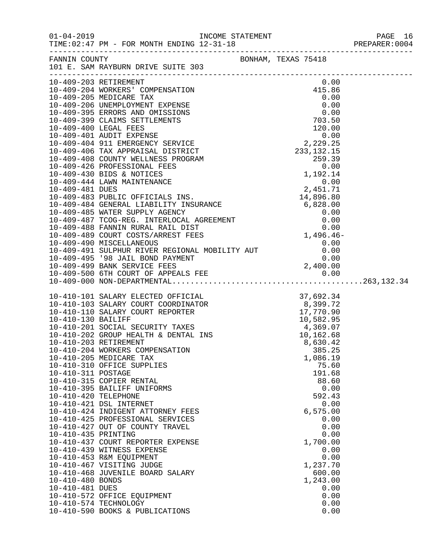| $01 - 04 - 2019$                                                                                                                  | TIME: 02:47 PM - FOR MONTH ENDING 12-31-18                                                                                                                                                                                                                                                                                                                                                                                                                                                                                                                                                                                                                                                                                                                                                                                                                                                                |                                                                                                                                                                                                             | PREPARER: 0004 |
|-----------------------------------------------------------------------------------------------------------------------------------|-----------------------------------------------------------------------------------------------------------------------------------------------------------------------------------------------------------------------------------------------------------------------------------------------------------------------------------------------------------------------------------------------------------------------------------------------------------------------------------------------------------------------------------------------------------------------------------------------------------------------------------------------------------------------------------------------------------------------------------------------------------------------------------------------------------------------------------------------------------------------------------------------------------|-------------------------------------------------------------------------------------------------------------------------------------------------------------------------------------------------------------|----------------|
|                                                                                                                                   | FANNIN COUNTY<br>101 E. SAM RAYBURN DRIVE SUITE 303                                                                                                                                                                                                                                                                                                                                                                                                                                                                                                                                                                                                                                                                                                                                                                                                                                                       |                                                                                                                                                                                                             |                |
|                                                                                                                                   |                                                                                                                                                                                                                                                                                                                                                                                                                                                                                                                                                                                                                                                                                                                                                                                                                                                                                                           |                                                                                                                                                                                                             |                |
|                                                                                                                                   |                                                                                                                                                                                                                                                                                                                                                                                                                                                                                                                                                                                                                                                                                                                                                                                                                                                                                                           |                                                                                                                                                                                                             |                |
| 10-410-311 POSTAGE<br>10-410-420 TELEPHONE<br>10-410-435 PRINTING<br>10-410-480 BONDS<br>10-410-481 DUES<br>10-410-574 TECHNOLOGY | $\begin{tabular}{lllllllllllllllllll} 10-410-101\text{ SALARY ELECTED OFFICIAL} & 37,692.34 \\ 10-410-103\text{ SALARY Court COORDINATOR} & 8,399.72 \\ 10-410-110\text{ SALARY COUNT REPORTER} & 17,770.90 \\ 10-410-130\text{ BAILIFF} & 10,582.95 \\ 10-410-201\text{ SOCIAL SECURITY TAXES} & 4,369.07 \\ 10-410-202\text{ GROUP HEALTH & 0ENTAL INS} & 10,162.68 \\$<br>10-410-204 WORKERS COMPENSATION<br>10-410-205 MEDICARE TAX<br>10-410-310 OFFICE SUPPLIES<br>10-410-315 COPIER RENTAL<br>10-410-395 BAILIFF UNIFORMS<br>10-410-421 DSL INTERNET<br>10-410-424 INDIGENT ATTORNEY FEES<br>10-410-425 PROFESSIONAL SERVICES<br>10-410-427 OUT OF COUNTY TRAVEL<br>10-410-437 COURT REPORTER EXPENSE<br>10-410-439 WITNESS EXPENSE<br>10-410-453 R&M EQUIPMENT<br>10-410-467 VISITING JUDGE<br>10-410-468 JUVENILE BOARD SALARY<br>10-410-572 OFFICE EQUIPMENT<br>10-410-590 BOOKS & PUBLICATIONS | 385.25<br>1,086.19<br>75.60<br>191.68<br>88.60<br>0.00<br>592.43<br>0.00<br>6, 575.00<br>0.00<br>0.00<br>0.00<br>1,700.00<br>0.00<br>0.00<br>1,237.70<br>600.00<br>1,243.00<br>0.00<br>0.00<br>0.00<br>0.00 |                |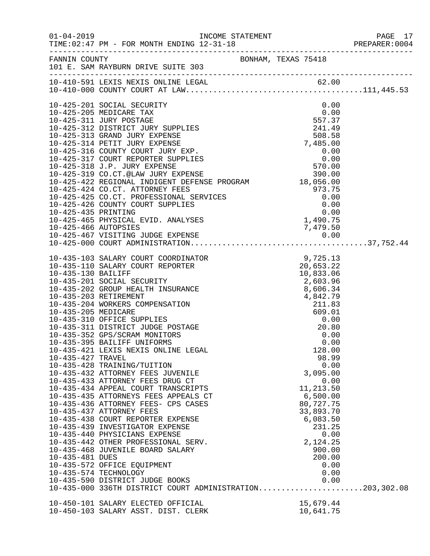|                   | 01-04-2019 INCOME STATEMENT                                                                                                                                                                                                                                              |                        | PAGE 17<br>PREPARER: 0004 |
|-------------------|--------------------------------------------------------------------------------------------------------------------------------------------------------------------------------------------------------------------------------------------------------------------------|------------------------|---------------------------|
|                   | FANNIN COUNTY BONHAM, TEXAS 75418<br>101 E. SAM RAYBURN DRIVE SUITE 303                                                                                                                                                                                                  |                        |                           |
|                   |                                                                                                                                                                                                                                                                          |                        |                           |
|                   |                                                                                                                                                                                                                                                                          |                        |                           |
|                   | 10-425-201 SOCIAL SECURITY                                                                                                                                                                                                                                               | 0.00                   |                           |
|                   | 10-425-205 MEDICARE TAX                                                                                                                                                                                                                                                  | 0.00                   |                           |
|                   | 10-425-311 JURY POSTAGE<br>10-425-311 JURY POSTAGE<br>10-425-311 JURY POSTAGE<br>10-425-312 DISTRICT JURY SUPPLIES<br>10-425-313 GRAND JURY EXPENSE<br>10-425-314 PETIT JURY EXPENSE<br>10-425-316 COUNTY COURT JURY EXPENSE<br>10-425-316 COUNTY COURT JURY EXPENSE<br> | 557.37                 |                           |
|                   |                                                                                                                                                                                                                                                                          |                        |                           |
|                   |                                                                                                                                                                                                                                                                          |                        |                           |
|                   |                                                                                                                                                                                                                                                                          |                        |                           |
|                   |                                                                                                                                                                                                                                                                          |                        |                           |
|                   |                                                                                                                                                                                                                                                                          |                        |                           |
|                   |                                                                                                                                                                                                                                                                          |                        |                           |
|                   |                                                                                                                                                                                                                                                                          |                        |                           |
|                   | 10-425-424 CO.CT. ATTORNEY FEES<br>10-425-425 CO.CT. PROFESSIONAL SERVICES<br>10-425-426 COUNTY COURT SUPPLIES<br>10-425-435 PRINTING<br>10-425-465 PHYSICAL EVID. ANALYSES<br>1,490.75<br>1,490.75                                                                      |                        |                           |
|                   |                                                                                                                                                                                                                                                                          |                        |                           |
|                   |                                                                                                                                                                                                                                                                          |                        |                           |
|                   |                                                                                                                                                                                                                                                                          |                        |                           |
|                   |                                                                                                                                                                                                                                                                          |                        |                           |
|                   |                                                                                                                                                                                                                                                                          |                        |                           |
|                   |                                                                                                                                                                                                                                                                          |                        |                           |
|                   |                                                                                                                                                                                                                                                                          |                        |                           |
|                   |                                                                                                                                                                                                                                                                          |                        |                           |
|                   |                                                                                                                                                                                                                                                                          |                        |                           |
|                   |                                                                                                                                                                                                                                                                          |                        |                           |
|                   |                                                                                                                                                                                                                                                                          |                        |                           |
|                   |                                                                                                                                                                                                                                                                          |                        |                           |
|                   |                                                                                                                                                                                                                                                                          |                        |                           |
|                   |                                                                                                                                                                                                                                                                          |                        |                           |
|                   |                                                                                                                                                                                                                                                                          |                        |                           |
|                   | 10-435-352 GPS/SCRAM MONITORS                                                                                                                                                                                                                                            | 0.00                   |                           |
|                   | 10-435-395 BAILIFF UNIFORMS                                                                                                                                                                                                                                              | 0.00                   |                           |
| 10-435-427 TRAVEL | 10-435-421 LEXIS NEXIS ONLINE LEGAL                                                                                                                                                                                                                                      | 128.00<br>98.99        |                           |
|                   | 10-435-428 TRAINING/TUITION                                                                                                                                                                                                                                              | 0.00                   |                           |
|                   | 10-435-432 ATTORNEY FEES JUVENILE                                                                                                                                                                                                                                        | 3,095.00               |                           |
|                   | 10-435-433 ATTORNEY FEES DRUG CT                                                                                                                                                                                                                                         | 0.00                   |                           |
|                   | 10-435-434 APPEAL COURT TRANSCRIPTS                                                                                                                                                                                                                                      | 11,213.50              |                           |
|                   | 10-435-435 ATTORNEYS FEES APPEALS CT                                                                                                                                                                                                                                     | 6,500.00               |                           |
|                   | 10-435-436 ATTORNEY FEES- CPS CASES<br>10-435-437 ATTORNEY FEES                                                                                                                                                                                                          | 80,727.75<br>33,893.70 |                           |
|                   | 10-435-438 COURT REPORTER EXPENSE                                                                                                                                                                                                                                        | 6,083.50               |                           |
|                   | 10-435-439 INVESTIGATOR EXPENSE                                                                                                                                                                                                                                          | 231.25                 |                           |
|                   | 10-435-440 PHYSICIANS EXPENSE                                                                                                                                                                                                                                            | 0.00                   |                           |
|                   | 10-435-442 OTHER PROFESSIONAL SERV.                                                                                                                                                                                                                                      | 2,124.25               |                           |
|                   | 10-435-468 JUVENILE BOARD SALARY                                                                                                                                                                                                                                         | 900.00                 |                           |
| 10-435-481 DUES   |                                                                                                                                                                                                                                                                          | 200.00                 |                           |
|                   | 10-435-572 OFFICE EQUIPMENT<br>10-435-574 TECHNOLOGY                                                                                                                                                                                                                     | 0.00<br>0.00           |                           |
|                   | 10-435-590 DISTRICT JUDGE BOOKS                                                                                                                                                                                                                                          | 0.00                   |                           |
|                   | 10-435-000 336TH DISTRICT COURT ADMINISTRATION203,302.08                                                                                                                                                                                                                 |                        |                           |
|                   |                                                                                                                                                                                                                                                                          |                        |                           |
|                   | 10-450-101 SALARY ELECTED OFFICIAL<br>10-450-103 SALARY ASST. DIST. CLERK                                                                                                                                                                                                | 15,679.44<br>10,641.75 |                           |
|                   |                                                                                                                                                                                                                                                                          |                        |                           |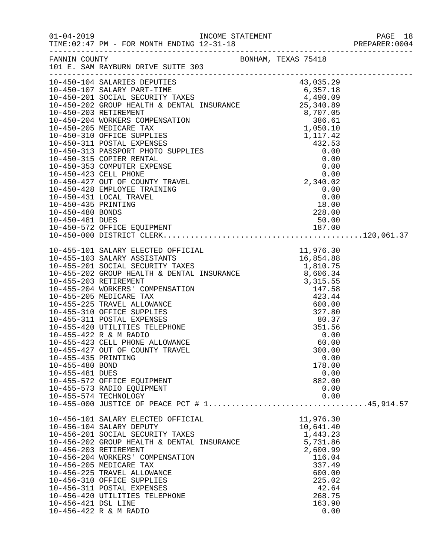| $01 - 04 - 2019$                                          | TIME: 02:47 PM - FOR MONTH ENDING 12-31-18                                                                                                                                                                                                                                                                                                                                                |                                                                                                                                         |  |
|-----------------------------------------------------------|-------------------------------------------------------------------------------------------------------------------------------------------------------------------------------------------------------------------------------------------------------------------------------------------------------------------------------------------------------------------------------------------|-----------------------------------------------------------------------------------------------------------------------------------------|--|
|                                                           | FANNIN COUNTY<br>101 E. SAM RAYBURN DRIVE SUITE 303                                                                                                                                                                                                                                                                                                                                       |                                                                                                                                         |  |
|                                                           | 10-450-104 SALARIES DEPUTIES<br>$[10-450-301\, \text{SLEMRES} \, \text{BPEVTES} \, \text{G} \, \text{36-29}\, \text{G} \, \text{36-104} \, \text{SPEVRES} \, \text{G} \, \text{37-105} \, \text{G} \, \text{38-106} \, \text{39-107} \, \text{50-107} \, \text{SALRRES} \, \text{SPEVITR} \, \text{G} \, \text{38-201} \, \text{SO(12L) SCUATION TAKES} \, \text{G} \, \text{38-10-450-2$ |                                                                                                                                         |  |
|                                                           |                                                                                                                                                                                                                                                                                                                                                                                           |                                                                                                                                         |  |
| 10-455-435 PRINTING<br>10-455-480 BOND<br>10-455-481 DUES | 10-455-422 R & M RADIO<br>10-455-423 CELL PHONE ALLOWANCE<br>10-455-427 OUT OF COUNTY TRAVEL<br>10-455-572 OFFICE EQUIPMENT<br>10-455-573 RADIO EQUIPMENT<br>10-455-574 TECHNOLOGY                                                                                                                                                                                                        | 0.00<br>60.00<br>300.00<br>0.00<br>178.00<br>0.00<br>882.00<br>0.00<br>0.00                                                             |  |
| 10-456-203 RETIREMENT<br>10-456-421 DSL LINE              | 10-456-101 SALARY ELECTED OFFICIAL<br>10-456-104 SALARY DEPUTY<br>10-456-201 SOCIAL SECURITY TAXES<br>10-456-202 GROUP HEALTH & DENTAL INSURANCE<br>10-456-204 WORKERS' COMPENSATION<br>10-456-205 MEDICARE TAX<br>10-456-225 TRAVEL ALLOWANCE<br>10-456-310 OFFICE SUPPLIES<br>10-456-311 POSTAL EXPENSES<br>10-456-420 UTILITIES TELEPHONE<br>10-456-422 R & M RADIO                    | 11,976.30<br>10,641.40<br>1,443.23<br>5,731.86<br>2,600.99<br>116.04<br>337.49<br>600.00<br>225.02<br>42.64<br>268.75<br>163.90<br>0.00 |  |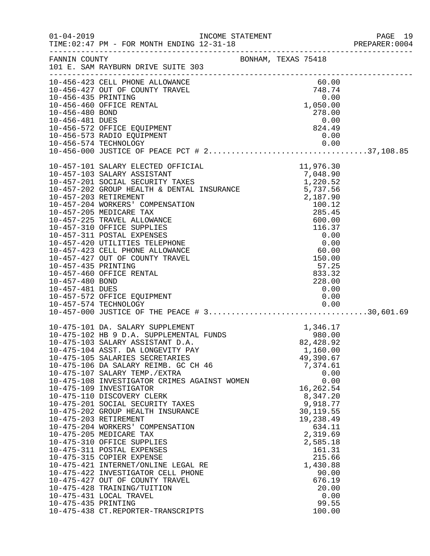| $01 - 04 - 2019$                                          | INCOME STATEMENT<br>TIME: 02:47 PM - FOR MONTH ENDING 12-31-18                                                                                                                                                                                                                                                                                                                                                                                                                                                                                                                                                                                                                                                                                                                                                                                          |                                                                                                    |                          |                                                                                                                                                                                                                    |                      | PAGE 19<br>PREPARER: 0004 |
|-----------------------------------------------------------|---------------------------------------------------------------------------------------------------------------------------------------------------------------------------------------------------------------------------------------------------------------------------------------------------------------------------------------------------------------------------------------------------------------------------------------------------------------------------------------------------------------------------------------------------------------------------------------------------------------------------------------------------------------------------------------------------------------------------------------------------------------------------------------------------------------------------------------------------------|----------------------------------------------------------------------------------------------------|--------------------------|--------------------------------------------------------------------------------------------------------------------------------------------------------------------------------------------------------------------|----------------------|---------------------------|
|                                                           | FANNIN COUNTY<br>101 E. SAM RAYBURN DRIVE SUITE 303                                                                                                                                                                                                                                                                                                                                                                                                                                                                                                                                                                                                                                                                                                                                                                                                     | BONHAM, TEXAS 75418                                                                                |                          |                                                                                                                                                                                                                    |                      |                           |
| 10-456-481 DUES                                           | 10-456-427 OUT OF COUNTY TRAVEL<br>10-456-435 PRINTING<br>10-456-435 PRINTING<br>10-456-460 OFFICE RENTAL<br>1,050.00<br>1,050.00<br>1,050.00<br>10-456-572 OFFICE EQUIPMENT<br>10-456-573 RADIO EQUIPMENT<br>10-456-574 TECHNOLOGY                                                                                                                                                                                                                                                                                                                                                                                                                                                                                                                                                                                                                     |                                                                                                    | 278.00<br>0.00<br>824.49 | 0.00                                                                                                                                                                                                               | 0.00                 |                           |
| 10-457-435 PRINTING<br>10-457-480 BOND<br>10-457-481 DUES | 10-457-101 SALARY ELECTED OFFICIAL 11,976.30<br>10-457-103 SALARY ASSISTANT 7,048.90<br>10-457-201 SOCIAL SECURITY TAXES 1,220.52<br>10-457-202 GROUP HEALITH & DENTAL INSURANCE 5,737.56<br>5,737.56<br>10-457-203 RETIREMENT<br>10-457-204 WORKERS' COMPENSATION<br>10-457-205 MEDICARE TAX<br>10-457-225 TRAVEL ALLOWANCE<br>10-457-310 OFFICE SUPPLIES<br>10-457-311 POSTAL EXPENSES<br>10-457-420 UTILITIES TELEPHONE<br>10-457-423 CELL PHONE ALLOWANCE<br>10-457-427 OUT OF COUNTY TRAVEL<br>10-457-460 OFFICE RENTAL<br>10-457-572 OFFICE EQUIPMENT                                                                                                                                                                                                                                                                                             | 1NSURANCE<br>2, 187.90<br>100.12<br>285.45<br>600.00<br>116.37<br>0.00<br>60.00<br>150.00<br>57.25 |                          | 57.25<br>833.32<br>228.00<br>0.00<br>0.00                                                                                                                                                                          |                      |                           |
| 10-475-435 PRINTING                                       | 10-475-101 DA. SALARY SUPPLEMENT 10-475-102 HB 9 D.A. SUPPLEMENTAL FUNDS 10-475-103 SALARY ASSISTANT D.A. 82,428.92<br>10-475-104 ASST. DA LONGEVITY PAY<br>10-475-105 SALARIES SECRETARIES<br>10-475-106 DA SALARY REIMB. GC CH 46<br>10-475-107 SALARY TEMP./EXTRA<br>10-475-108 INVESTIGATOR CRIMES AGAINST WOMEN<br>10-475-109 INVESTIGATOR<br>10-475-110 DISCOVERY CLERK<br>10-475-201 SOCIAL SECURITY TAXES<br>10-475-202 GROUP HEALTH INSURANCE<br>10-475-203 RETIREMENT<br>10-475-204 WORKERS' COMPENSATION<br>10-475-205 MEDICARE TAX<br>10-475-310 OFFICE SUPPLIES<br>10-475-311 POSTAL EXPENSES<br>10-475-315 COPIER EXPENSE<br>10-475-421 INTERNET/ONLINE LEGAL RE<br>10-475-422 INVESTIGATOR CELL PHONE<br>10-475-427 OUT OF COUNTY TRAVEL<br>10-475-428 TRAINING/TUITION<br>10-475-431 LOCAL TRAVEL<br>10-475-438 CT.REPORTER-TRANSCRIPTS |                                                                                                    |                          | 1,160.00<br>49,390.67<br>7,374.61<br>16,262.54<br>8,347.20<br>9,918.77<br>30, 119.55<br>19,238.49<br>634.11<br>2,319.69<br>2,585.18<br>161.31<br>215.66<br>1,430.88<br>90.00<br>676.19<br>20.00<br>99.55<br>100.00 | 0.00<br>0.00<br>0.00 |                           |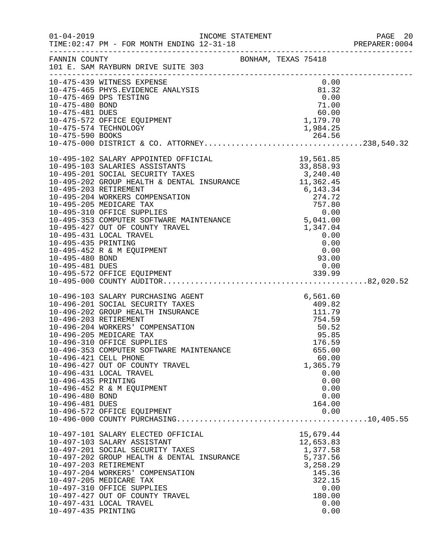|                                                           |                                                                                                                                                                                                                                                                                                                                                                                                                                   |                                                                                         |  |                                                                                                                  | PREPARER: 0004 |
|-----------------------------------------------------------|-----------------------------------------------------------------------------------------------------------------------------------------------------------------------------------------------------------------------------------------------------------------------------------------------------------------------------------------------------------------------------------------------------------------------------------|-----------------------------------------------------------------------------------------|--|------------------------------------------------------------------------------------------------------------------|----------------|
|                                                           |                                                                                                                                                                                                                                                                                                                                                                                                                                   |                                                                                         |  |                                                                                                                  |                |
|                                                           | 10-475-439 WITNESS EXPENSE<br>10-475-465 PHYS.EVIDENCE ANALYSIS<br>10-475-465 PHYS.EVIDENCE ANALYSIS<br>10-475-469 DPS TESTING<br>10-475-480 BOND<br>10-475-572 OFFICE EQUIPMENT<br>10-475-574 TECHNOLOGY<br>10-475-574 TECHNOLOGY<br>1.984.25<br>10-475-572 OFFICE EQUIPMENT<br>10-475-574 TECHNOLOGY<br>10-475-590 BOOKS                                                                                                        |                                                                                         |  | 0.00<br>1,984.25                                                                                                 |                |
| 10-495-435 PRINTING<br>10-495-480 BOND<br>10-495-481 DUES | $\begin{tabular}{lllllllllllllllllllllll} 10-495-102 \text{ SALARY APOINTED OFFICIAL} & & & & 19,561.85\\ 10-495-103 \text{ SALARIES ASSISTANTS} & & & 33,858.93\\ 10-495-201 \text{ SOCIAL SECURITY TAXES} & & & 3,240.40\\ 10-495-202 \text{ GROUR HBLTIH & & DENTAL INSURANCE} & & 11,362.45\\ 10-495-202 \text{ REITREMENT} & & & 11,362.45\\ 10-495-203 \$<br>10-495-431 LOCAL TRAVEL<br>10-495-452 R & M EQUIPMENT          |                                                                                         |  | $\begin{array}{c} 0.00\ 0.00\ 0.00\ 0.00\ 93.00 \end{array}$<br>0.00                                             |                |
| 10-496-435 PRINTING<br>10-496-480 BOND<br>10-496-481 DUES | 10-496-103 SALARY PURCHASING AGENT<br>10-496-201 SOCIAL SECURITY TAXES<br>10-496-202 GROUP HEALTH INSURANCE<br>10-496-203 RETIREMENT<br>10-496-204 WORKERS' COMPENSATION<br>10-496-205 MEDICARE TAX<br>10-496-310 OFFICE SUPPLIES<br>10-496-353 COMPUTER SOFTWARE MAINTENANCE<br>10-496-421 CELL PHONE<br>10-496-427 OUT OF COUNTY TRAVEL<br>10-496-431 LOCAL TRAVEL<br>10-496-452 R & M EQUIPMENT<br>10-496-572 OFFICE EQUIPMENT | $\begin{array}{r} 6,561.60 \\ 409.82 \\ 111.79 \\ 754.59 \\ 50.52 \\ 95.85 \end{array}$ |  | 95.85<br>176.59<br>655.00<br>60.00<br>1,365.79<br>0.00<br>0.00<br>0.00<br>0.00<br>164.00<br>0.00                 |                |
| 10-497-435 PRINTING                                       | 10-497-101 SALARY ELECTED OFFICIAL<br>10-497-103 SALARY ASSISTANT<br>10-497-201 SOCIAL SECURITY TAXES<br>10-497-201 SOCIAL SECURITY TAXES<br>10-497-202 GROUP HEALTH & DENTAL INSURANCE<br>10-497-203 RETIREMENT<br>10-497-204 WORKERS' COMPENSATION<br>10-497-205 MEDICARE TAX<br>10-497-310 OFFICE SUPPLIES<br>10-497-427 OUT OF COUNTY TRAVEL<br>10-497-431 LOCAL TRAVEL                                                       |                                                                                         |  | 15,679.44<br>12,653.83<br>1,377.58<br>5,737.56<br>3,258.29<br>145.36<br>322.15<br>0.00<br>180.00<br>0.00<br>0.00 |                |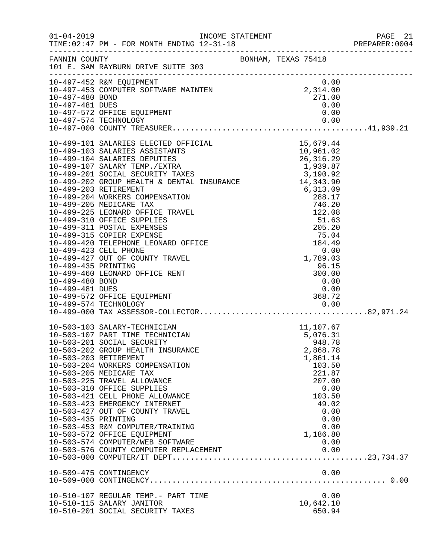|                     |                                                                                                                                                                                                                                                                                                                                                                                                                                                                                                                                                                          |                                                                                                                                                                              | PAGE 21<br>PREPARER:0004 |
|---------------------|--------------------------------------------------------------------------------------------------------------------------------------------------------------------------------------------------------------------------------------------------------------------------------------------------------------------------------------------------------------------------------------------------------------------------------------------------------------------------------------------------------------------------------------------------------------------------|------------------------------------------------------------------------------------------------------------------------------------------------------------------------------|--------------------------|
|                     |                                                                                                                                                                                                                                                                                                                                                                                                                                                                                                                                                                          |                                                                                                                                                                              |                          |
|                     | FANNIN COUNTY BONHAM, TEXAS 75418<br>101 E. SAM RAYBURN DRIVE SUITE 303                                                                                                                                                                                                                                                                                                                                                                                                                                                                                                  |                                                                                                                                                                              |                          |
|                     | 10-497-452 R&M EQUIPMENT<br>10-497-453 COMPUTER SOFTWARE MAINTEN<br>10-497-453 COMPUTER SOFTWARE MAINTEN<br>10-497-480 BOND<br>10-497-572 OFFICE EQUIPMENT<br>10-497-572 OFFICE EQUIPMENT<br>10-497-574 TECHNOLOGY<br>10-497-574 TECHNOLOGY<br>                                                                                                                                                                                                                                                                                                                          |                                                                                                                                                                              |                          |
|                     | 10-499-420 IELEPHONE LEONARD OFFICE<br>10-499-423 CELL PHONE<br>10-499-427 OUT OF COUNTY TRAVEL<br>10-499-435 PRINTING<br>10-499-480 EONARD OFFICE RENT<br>10-499-480 EONARD OFFICE RENT<br>10-499-480 EONARD OFFICE RENT<br>10-499-481 DUES                                                                                                                                                                                                                                                                                                                             |                                                                                                                                                                              |                          |
| 10-503-435 PRINTING | 10-503-103 SALARY-TECHNICIAN<br>10-503-107 PART TIME TECHNICIAN<br>10-503-201 SOCIAL SECURITY<br>10-503-202 GROUP HEALTH INSURANCE<br>10-503-203 RETIREMENT<br>10-503-204 WORKERS COMPENSATION<br>10-503-205 MEDICARE TAX<br>10-503-225 TRAVEL ALLOWANCE<br>10-503-310 OFFICE SUPPLIES<br>10-503-421 CELL PHONE ALLOWANCE<br>10-503-423 EMERGENCY INTERNET<br>10-503-427 OUT OF COUNTY TRAVEL<br>10-503-453 R&M COMPUTER/TRAINING<br>10-503-572 OFFICE EQUIPMENT<br>10-503-574 COMPUTER/WEB SOFTWARE<br>10-503-576 COUNTY COMPUTER REPLACEMENT<br>10-509-475 CONTINGENCY | 11,107.67<br>5,076.31<br>948.78<br>2,868.78<br>1,861.14<br>103.50<br>221.87<br>207.00<br>0.00<br>103.50<br>49.02<br>0.00<br>0.00<br>0.00<br>1,186.80<br>0.00<br>0.00<br>0.00 |                          |
|                     | 10-510-107 REGULAR TEMP.- PART TIME<br>10-510-115 SALARY JANITOR<br>10-510-201 SOCIAL SECURITY TAXES                                                                                                                                                                                                                                                                                                                                                                                                                                                                     | 0.00<br>10,642.10<br>650.94                                                                                                                                                  |                          |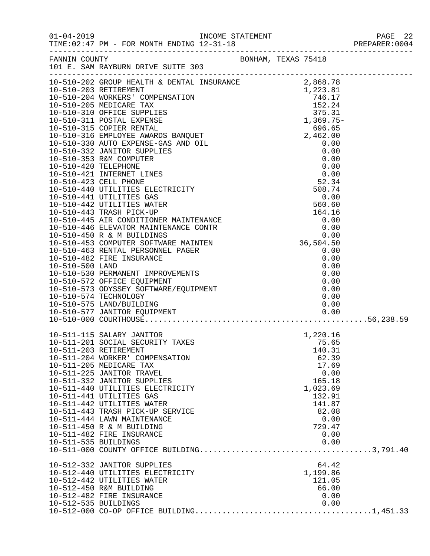|                                              | FANNIN COUNTY BONHAM, TEXAS 75418<br>101 E. SAM RAYBURN DRIVE SUITE 303                                                                                                                                                                                                                                                                                                                                                                                                                                                                                                                              |  |                                                                                                                                                                                                    |  |
|----------------------------------------------|------------------------------------------------------------------------------------------------------------------------------------------------------------------------------------------------------------------------------------------------------------------------------------------------------------------------------------------------------------------------------------------------------------------------------------------------------------------------------------------------------------------------------------------------------------------------------------------------------|--|----------------------------------------------------------------------------------------------------------------------------------------------------------------------------------------------------|--|
|                                              | 10-510-574 TECHNOLOGY                                                                                                                                                                                                                                                                                                                                                                                                                                                                                                                                                                                |  | 0.00                                                                                                                                                                                               |  |
| 10-511-535 BUILDINGS<br>10-512-535 BUILDINGS | 10-511-115 SALARY JANITOR<br>10-511-201 SOCIAL SECURITY TAXES<br>10-511-203 RETIREMENT<br>10-511-204 WORKER' COMPENSATION<br>10-511-205 MEDICARE TAX<br>10-511-225 JANITOR TRAVEL<br>10-511-332 JANITOR SUPPLIES<br>10-511-440 UTILITIES ELECTRICITY<br>10-511-441 UTILITIES GAS<br>10-511-442 UTILITIES WATER<br>10-511-443 TRASH PICK-UP SERVICE<br>10-511-444 LAWN MAINTENANCE<br>10-511-450 R & M BUILDING<br>10-511-482 FIRE INSURANCE<br>10-512-332 JANITOR SUPPLIES<br>10-512-440 UTILITIES ELECTRICITY<br>10-512-442 UTILITIES WATER<br>10-512-450 R&M BUILDING<br>10-512-482 FIRE INSURANCE |  | 1,220.16<br>75.65<br>140.31<br>62.39<br>17.69<br>0.00<br>165.18<br>1,023.69<br>132.91<br>141.87<br>82.08<br>0.00<br>729.47<br>0.00<br>0.00<br>64.42<br>1,199.86<br>121.05<br>66.00<br>0.00<br>0.00 |  |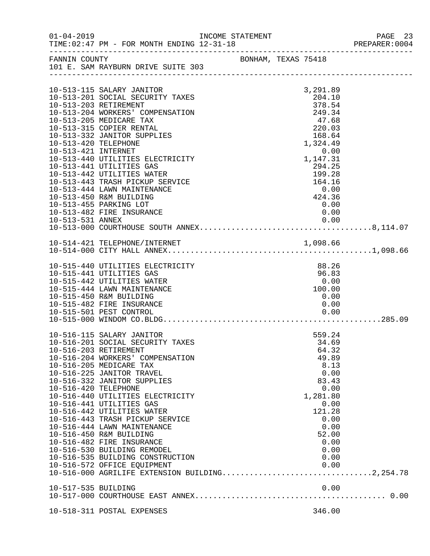| $01 - 04 - 2019$     | INCOME STATEMENT                                               |  |                          | PAGE 23<br>PREPARER:0004 |
|----------------------|----------------------------------------------------------------|--|--------------------------|--------------------------|
| FANNIN COUNTY        | BONHAM, TEXAS 75418<br>101 E. SAM RAYBURN DRIVE SUITE 303      |  |                          |                          |
|                      |                                                                |  |                          |                          |
|                      | 10-513-115 SALARY JANITOR                                      |  | 3,291.89                 |                          |
|                      | 10-513-201 SOCIAL SECURITY TAXES                               |  | 204.10                   |                          |
|                      | 10-513-203 RETIREMENT                                          |  | 378.54                   |                          |
|                      | 10-513-204 WORKERS' COMPENSATION                               |  | 249.34                   |                          |
|                      | 10-513-205 MEDICARE TAX                                        |  | 47.68                    |                          |
|                      | 10-513-315 COPIER RENTAL                                       |  | 220.03                   |                          |
|                      | 10-513-332 JANITOR SUPPLIES                                    |  | 168.64                   |                          |
| 10-513-420 TELEPHONE |                                                                |  | 1,324.49                 |                          |
| 10-513-421 INTERNET  |                                                                |  | 0.00<br>0.00<br>1,147.31 |                          |
|                      | 10-513-440 UTILITIES ELECTRICITY<br>10-513-441 UTILITIES GAS   |  | 294.25                   |                          |
|                      | 10-513-442 UTILITIES WATER                                     |  | 199.28                   |                          |
|                      | 10-513-443 TRASH PICKUP SERVICE                                |  | 164.16                   |                          |
|                      | 10-513-444 LAWN MAINTENANCE                                    |  | 0.00                     |                          |
|                      | 10-513-450 R&M BUILDING                                        |  | 424.36                   |                          |
|                      | 10-513-455 PARKING LOT                                         |  | 0.00                     |                          |
|                      | 10-513-482 FIRE INSURANCE                                      |  | 0.00                     |                          |
|                      |                                                                |  |                          |                          |
|                      |                                                                |  |                          |                          |
|                      |                                                                |  |                          |                          |
|                      |                                                                |  |                          |                          |
|                      |                                                                |  |                          |                          |
|                      | 10-515-440 UTILITIES ELECTRICITY<br>10-515-441 UTILITIES GAS   |  | 88.26<br>96.83           |                          |
|                      | 10-515-442 UTILITIES WATER                                     |  | 0.00                     |                          |
|                      | 10-515-444 LAWN MAINTENANCE                                    |  | 100.00                   |                          |
|                      | 10-515-450 R&M BUILDING                                        |  | 0.00                     |                          |
|                      | 10-515-482 FIRE INSURANCE                                      |  | 0.00                     |                          |
|                      | 10-515-501 PEST CONTROL                                        |  | 0.00                     |                          |
|                      |                                                                |  |                          |                          |
|                      | 10-516-115 SALARY JANITOR                                      |  | 559.24                   |                          |
|                      | 10-516-201 SOCIAL SECURITY TAXES                               |  | 34.69                    |                          |
|                      | 10-516-203 RETIREMENT                                          |  | 64.32                    |                          |
|                      | 10-516-204 WORKERS' COMPENSATION                               |  | 49.89                    |                          |
|                      | 10-516-205 MEDICARE TAX                                        |  | 8.13                     |                          |
|                      | 10-516-225 JANITOR TRAVEL                                      |  | 0.00                     |                          |
|                      | 10-516-332 JANITOR SUPPLIES                                    |  | 83.43                    |                          |
| 10-516-420 TELEPHONE |                                                                |  | 0.00                     |                          |
|                      | 10-516-440 UTILITIES ELECTRICITY                               |  | 1,281.80                 |                          |
|                      | 10-516-441 UTILITIES GAS                                       |  | 0.00                     |                          |
|                      | 10-516-442 UTILITIES WATER                                     |  | 121.28                   |                          |
|                      | 10-516-443 TRASH PICKUP SERVICE<br>10-516-444 LAWN MAINTENANCE |  | 0.00<br>0.00             |                          |
|                      | 10-516-450 R&M BUILDING                                        |  | 52.00                    |                          |
|                      | 10-516-482 FIRE INSURANCE                                      |  | 0.00                     |                          |
|                      | 10-516-530 BUILDING REMODEL                                    |  | 0.00                     |                          |
|                      | 10-516-535 BUILDING CONSTRUCTION                               |  | 0.00                     |                          |
|                      | 10-516-572 OFFICE EQUIPMENT                                    |  | 0.00                     |                          |
|                      | 10-516-000 AGRILIFE EXTENSION BUILDING2,254.78                 |  |                          |                          |
| 10-517-535 BUILDING  |                                                                |  | 0.00                     |                          |
|                      |                                                                |  |                          |                          |
|                      |                                                                |  |                          |                          |
|                      | 10-518-311 POSTAL EXPENSES                                     |  | 346.00                   |                          |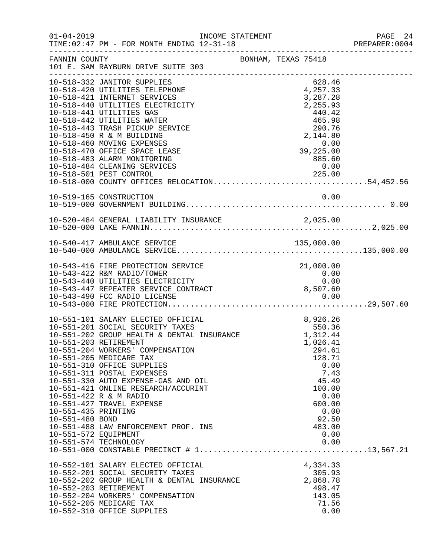| $01 - 04 - 2019$                                                                        | TIME: 02:47 PM - FOR MONTH ENDING 12-31-18                                                                                                                                                                                                                                                                                                                                                                                                            | INCOME STATEMENT |                                                                                                                                                                | PAGE 24<br>PREPARER: 0004 |
|-----------------------------------------------------------------------------------------|-------------------------------------------------------------------------------------------------------------------------------------------------------------------------------------------------------------------------------------------------------------------------------------------------------------------------------------------------------------------------------------------------------------------------------------------------------|------------------|----------------------------------------------------------------------------------------------------------------------------------------------------------------|---------------------------|
| FANNIN COUNTY                                                                           | BONHAM, TEXAS 75418<br>101 E. SAM RAYBURN DRIVE SUITE 303                                                                                                                                                                                                                                                                                                                                                                                             |                  |                                                                                                                                                                |                           |
|                                                                                         | 10-518-332 JANITOR SUPPLIES<br>10-518-420 UTILITIES TELEPHONE<br>10-518-421 INTERNET SERVICES<br>10-518-440 UTILITIES ELECTRICITY<br>10-518-441 UTILITIES GAS<br>10-518-442 UTILITIES WATER<br>10-518-443 TRASH PICKUP SERVICE<br>10-518-450 R & M BUILDING<br>10-518-460 MOVING EXPENSES<br>10-518-470 OFFICE SPACE LEASE<br>10-518-483 ALARM MONITORING<br>10-518-484 CLEANING SERVICES                                                             |                  | 628.46<br>4,257.33<br>3,287.28<br>2,255.93<br>440.42<br>465.98<br>290.76<br>2,144.80<br>0.00<br>39,225.00<br>885.60<br>0.00                                    |                           |
|                                                                                         | 10-519-165 CONSTRUCTION                                                                                                                                                                                                                                                                                                                                                                                                                               |                  |                                                                                                                                                                |                           |
|                                                                                         | 10-520-484 GENERAL LIABILITY INSURANCE 2,025.00                                                                                                                                                                                                                                                                                                                                                                                                       |                  |                                                                                                                                                                |                           |
|                                                                                         |                                                                                                                                                                                                                                                                                                                                                                                                                                                       |                  |                                                                                                                                                                |                           |
|                                                                                         | 10-543-416 FIRE PROTECTION SERVICE<br>10-543-422 R&M RADIO/TOWER<br>10-543-440 UTILITIES ELECTRICITY<br>10-543-447 REPEATER SERVICE CONTRACT                                                                                                                                                                                                                                                                                                          |                  | 21,000.00<br>0.00<br>0.00<br>8,507.60                                                                                                                          |                           |
| 10-551-203 RETIREMENT<br>10-551-435 PRINTING<br>10-551-480 BOND<br>10-551-572 EQUIPMENT | 10-551-101 SALARY ELECTED OFFICIAL<br>10-551-201 SOCIAL SECURITY TAXES<br>10-551-202 GROUP HEALTH & DENTAL INSURANCE<br>10-551-204 WORKERS' COMPENSATION<br>10-551-205 MEDICARE TAX<br>10-551-310 OFFICE SUPPLIES<br>10-551-311 POSTAL EXPENSES<br>10-551-330 AUTO EXPENSE-GAS AND OIL<br>10-551-421 ONLINE RESEARCH/ACCURINT<br>10-551-422 R & M RADIO<br>10-551-427 TRAVEL EXPENSE<br>10-551-488 LAW ENFORCEMENT PROF. INS<br>10-551-574 TECHNOLOGY | $\mathbf{L}$     | 8,926.26<br>550.36<br>1,312.44<br>1,026.41<br>294.61<br>128.71<br>0.00<br>7.43<br>45.49<br>100.00<br>0.00<br>600.00<br>0.00<br>92.50<br>483.00<br>0.00<br>0.00 |                           |
| 10-552-203 RETIREMENT                                                                   | 10-552-101 SALARY ELECTED OFFICIAL<br>10-552-201 SOCIAL SECURITY TAXES<br>10-552-202 GROUP HEALTH & DENTAL INSURANCE<br>10-552-204 WORKERS' COMPENSATION<br>10-552-205 MEDICARE TAX<br>10-552-310 OFFICE SUPPLIES                                                                                                                                                                                                                                     |                  | 4,334.33<br>305.93<br>2,868.78<br>498.47<br>143.05<br>71.56<br>0.00                                                                                            |                           |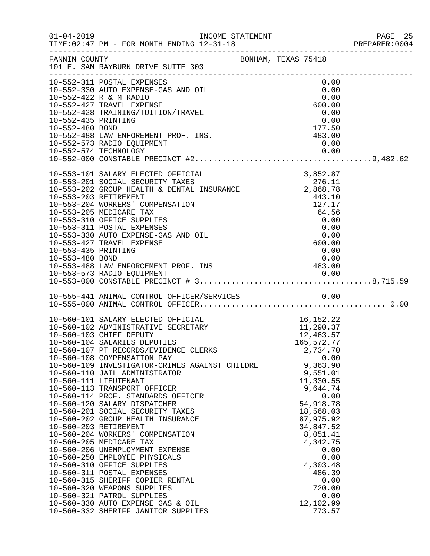| $01 - 04 - 2019$                       | INCOME STATEMENT                                                                                                                                                                                                                                                                                                                                                                                                                                                                                                                                                                                                                                                                                                                                                                                                                                                                                                                                                    |                                                                                                                                                                                                                                                                                                                                                                  |                                                                                                                                                                                              |                                              | PAGE 25<br>PREPARER: 0004 |
|----------------------------------------|---------------------------------------------------------------------------------------------------------------------------------------------------------------------------------------------------------------------------------------------------------------------------------------------------------------------------------------------------------------------------------------------------------------------------------------------------------------------------------------------------------------------------------------------------------------------------------------------------------------------------------------------------------------------------------------------------------------------------------------------------------------------------------------------------------------------------------------------------------------------------------------------------------------------------------------------------------------------|------------------------------------------------------------------------------------------------------------------------------------------------------------------------------------------------------------------------------------------------------------------------------------------------------------------------------------------------------------------|----------------------------------------------------------------------------------------------------------------------------------------------------------------------------------------------|----------------------------------------------|---------------------------|
|                                        | FANNIN COUNTY<br>101 E. SAM RAYBURN DRIVE SUITE 303                                                                                                                                                                                                                                                                                                                                                                                                                                                                                                                                                                                                                                                                                                                                                                                                                                                                                                                 | BONHAM, TEXAS 75418                                                                                                                                                                                                                                                                                                                                              |                                                                                                                                                                                              |                                              |                           |
| 10-552-435 PRINTING<br>10-552-480 BOND | 10-552-311 POSTAL EXPENSES<br>10-552-330 AUTO EXPENSE-GAS AND OIL<br>10-552-422 R & M RADIO<br>10-552-427 TRAVEL EXPENSE<br>10-552-428 TRAINING/TUITION/TRAVEL<br>10-552-488 LAW ENFOREMENT PROF. INS.<br>10-552-573 RADIO EQUIPMENT                                                                                                                                                                                                                                                                                                                                                                                                                                                                                                                                                                                                                                                                                                                                | 483.00                                                                                                                                                                                                                                                                                                                                                           | 0.00<br>0.00<br>0.00<br>600.00<br>0.00<br>0.00<br>177.50<br>0.00                                                                                                                             |                                              |                           |
| 10-553-435 PRINTING<br>10-553-480 BOND | 10-553-101 SALARY ELECTED OFFICIAL<br>10-553-201 SUCIAL SECURITY TAXES<br>10-553-202 GROUP HEALTH & DENTAL INSURANCE 2,868.78<br>10-553-203 RETIREMENT<br>10-553-203 RETIREMENT<br>10-553-204 WORKERS' COMPENSATION<br>10-553-205 MEDICARE TAX<br>10-553-310 OFFICE SUPPLIES<br>10-553-311 POSTAL EXPENSES<br>10-553-330 AUTO EXPENSE-GAS AND OIL<br>10-553-427 TRAVEL EXPENSE<br>10-553-480 BOND 0.00<br>10-553-488 LAW ENFORCEMENT PROF. INS 483.00                                                                                                                                                                                                                                                                                                                                                                                                                                                                                                               | $\begin{array}{cccc}\n & 127.17 \\  & 64.56 \\  & 0.00 \\  & 0.00 \\  & 0.00 \\  & 0.00 \\  & 600.00 \\  & 0.00 \\  & 0.00 \\  & 0.00 \\  & 0.00 \\  & 0.00 \\  & 0.00 \\  & 0.00 \\  & 0.00 \\  & 0.00 \\  & 0.00 \\  & 0.00 \\  & 0.00 \\  & 0.00 \\  & 0.00 \\  & 0.00 \\  & 0.00 \\  & 0.00 \\  & 0.00 \\  & 0.00 \\  & 0.00 \\  & 0.00 \\  & 0.00 \\  & 0.$ | 3,852.87<br>0.00                                                                                                                                                                             |                                              |                           |
|                                        | 10-555-441 ANIMAL CONTROL OFFICER/SERVICES 0.00                                                                                                                                                                                                                                                                                                                                                                                                                                                                                                                                                                                                                                                                                                                                                                                                                                                                                                                     |                                                                                                                                                                                                                                                                                                                                                                  |                                                                                                                                                                                              |                                              |                           |
|                                        | 10-560-101 SALARY ELECTED OFFICIAL 16,152.22<br>10-560-102 ADMINISTRATIVE SECRETARY 11,290.37<br>10-560-103 CHIEF DEPUTY 12,463.57<br>10-560-104 SALARIES DEPUTIES 165,572.77<br>165,572.77<br>10-560-107 PT RECORDS/EVIDENCE CLERKS<br>10-560-108 COMPENSATION PAY<br>10-560-109 INVESTIGATOR-CRIMES AGAINST CHILDRE<br>10-560-110 JAIL ADMINISTRATOR<br>10-560-111 LIEUTENANT<br>10-560-113 TRANSPORT OFFICER<br>10-560-114 PROF. STANDARDS OFFICER<br>10-560-120 SALARY DISPATCHER<br>10-560-201 SOCIAL SECURITY TAXES<br>10-560-202 GROUP HEALTH INSURANCE<br>10-560-203 RETIREMENT<br>10-560-204 WORKERS' COMPENSATION<br>10-560-205 MEDICARE TAX<br>10-560-206 UNEMPLOYMENT EXPENSE<br>10-560-250 EMPLOYEE PHYSICALS<br>10-560-310 OFFICE SUPPLIES<br>10-560-311 POSTAL EXPENSES<br>10-560-315 SHERIFF COPIER RENTAL<br>10-560-320 WEAPONS SUPPLIES<br>10-560-321 PATROL SUPPLIES<br>10-560-330 AUTO EXPENSE GAS & OIL<br>10-560-332 SHERIFF JANITOR SUPPLIES |                                                                                                                                                                                                                                                                                                                                                                  | 2,734.70<br>9,363.90<br>9,551.01<br>11,330.55<br>9,644.74<br>54,918.78<br>18,568.03<br>87,975.92<br>34,847.52<br>8,051.41<br>4,342.75<br>4,303.48<br>486.39<br>720.00<br>12,102.99<br>773.57 | 0.00<br>0.00<br>0.00<br>0.00<br>0.00<br>0.00 |                           |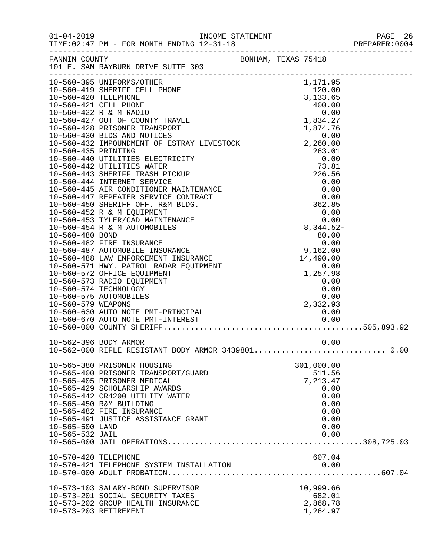|                                    |                                                                                                                                                                                                                                                                      |          |                                                                                          | 26 PAGE<br>2004:PREPARER<br>PAGE 26 |
|------------------------------------|----------------------------------------------------------------------------------------------------------------------------------------------------------------------------------------------------------------------------------------------------------------------|----------|------------------------------------------------------------------------------------------|-------------------------------------|
|                                    | FANNIN COUNTY SAN BONHAM, TEXAS 75418<br>101 E. SAM RAYBURN DRIVE SUITE 303                                                                                                                                                                                          |          |                                                                                          |                                     |
|                                    | 10-560-428 PRISONER<br>10-560-428 PRISONER<br>10-560-420 TELEPHONE<br>10-560-420 TELEPHONE<br>120.00<br>10-560-421 CELL PHONE<br>120.00<br>10-560-421 CELL PHONE<br>10-560-422 R & M RADIO<br>10-560-422 PRISONER TRANSPORT<br>10-560-428 PRISONER                   |          |                                                                                          |                                     |
|                                    |                                                                                                                                                                                                                                                                      | 2,332.93 |                                                                                          |                                     |
| 10-562-396 BODY ARMOR              | 10-562-000 RIFLE RESISTANT BODY ARMOR 3439801 0.00                                                                                                                                                                                                                   |          | 0.00                                                                                     |                                     |
| 10-565-500 LAND<br>10-565-532 JAIL | 10-565-380 PRISONER HOUSING<br>10-565-400 PRISONER TRANSPORT/GUARD<br>10-565-405 PRISONER MEDICAL<br>10-565-429 SCHOLARSHIP AWARDS<br>10-565-442 CR4200 UTILITY WATER<br>10-565-450 R&M BUILDING<br>10-565-482 FIRE INSURANCE<br>10-565-491 JUSTICE ASSISTANCE GRANT |          | 301,000.00<br>511.56<br>7,213.47<br>0.00<br>0.00<br>0.00<br>0.00<br>0.00<br>0.00<br>0.00 |                                     |
| 10-570-420 TELEPHONE               | 10-570-421 TELEPHONE SYSTEM INSTALLATION                                                                                                                                                                                                                             |          | 607.04<br>0.00                                                                           |                                     |
| 10-573-203 RETIREMENT              | 10-573-103 SALARY-BOND SUPERVISOR<br>10-573-201 SOCIAL SECURITY TAXES<br>10-573-202 GROUP HEALTH INSURANCE                                                                                                                                                           |          | 10,999.66<br>682.01<br>2,868.78<br>1,264.97                                              |                                     |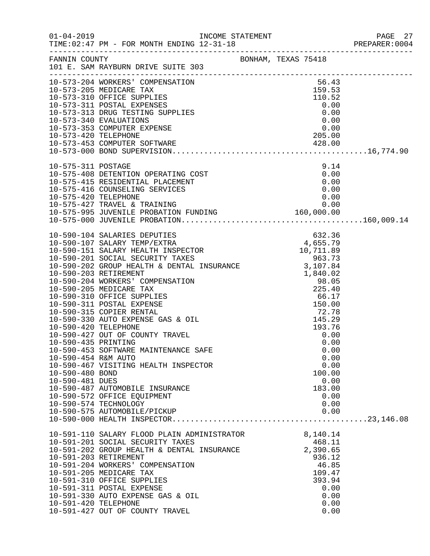|                                                                                                          |                                                                                                                                                                                                                                                                                                                                                                                                                                                                                                                                                                                                                        |                                                                                                    | PAGE 27<br>PREPARER:0004 |
|----------------------------------------------------------------------------------------------------------|------------------------------------------------------------------------------------------------------------------------------------------------------------------------------------------------------------------------------------------------------------------------------------------------------------------------------------------------------------------------------------------------------------------------------------------------------------------------------------------------------------------------------------------------------------------------------------------------------------------------|----------------------------------------------------------------------------------------------------|--------------------------|
|                                                                                                          | FANNIN COUNTY<br>101 E. SAM RAYBURN DRIVE SUITE 303                                                                                                                                                                                                                                                                                                                                                                                                                                                                                                                                                                    |                                                                                                    |                          |
|                                                                                                          |                                                                                                                                                                                                                                                                                                                                                                                                                                                                                                                                                                                                                        |                                                                                                    |                          |
|                                                                                                          |                                                                                                                                                                                                                                                                                                                                                                                                                                                                                                                                                                                                                        |                                                                                                    |                          |
|                                                                                                          |                                                                                                                                                                                                                                                                                                                                                                                                                                                                                                                                                                                                                        |                                                                                                    |                          |
| 10-575-311 POSTAGE                                                                                       | $\begin{array}{lllllllllllllllllllll} 10-575-311 &\text{POSTAGE} & 9.14 \\ 10-575-408 &\text{DEFENTION OPERATING COST} & 0.00 \\ 10-575-415 &\text{RESIDENTIAL PLACEMENT} & 0.00 \\ 10-575-416 &\text{COUNTSLING SERVICES} & 0.00 \\ 10-575-420 &\text{TELEPHONE} & 0.00 \\ 10-575-427 &\text{TRAVEL & TRAINING} & 0.00 \\ 10-575-995 & \text{JUVENILE PROBATION FUNDING} & 160,0$                                                                                                                                                                                                                                     | 9.14                                                                                               |                          |
|                                                                                                          |                                                                                                                                                                                                                                                                                                                                                                                                                                                                                                                                                                                                                        |                                                                                                    |                          |
| 10-590-420 TELEPHONE<br>10-590-435 PRINTING<br>10-590-454 R&M AUTO<br>10-590-480 BOND<br>10-590-481 DUES | $\begin{tabular}{lllllllllllllllllllllllllllllllllllllllllllll} & & & & & & 632.36 \\ 10-590-107&\text{SALARY TEMP/EXTRA} & & & & 632.36 \\ 10-590-151&\text{SALARY HEADTH INSPECTOR} & & & 4,655.79 \\ 10-590-201&\text{SOCIAL SECURITY TAXES} & & & 10,711.89 \\ 10-590-202&\text{GROUP HEADITY TAXES} & & & 963.73 \\ 10-590-202&\text{GROUP HEADITY TAXES} & & & 96$<br>10-590-427 OUT OF COUNTY TRAVEL<br>10-590-453 SOFTWARE MAINTENANCE SAFE<br>10-590-467 VISITING HEALTH INSPECTOR<br>10-590-487 AUTOMOBILE INSURANCE<br>10-590-572 OFFICE EQUIPMENT<br>10-590-574 TECHNOLOGY<br>10-590-575 AUTOMOBILE/PICKUP | 193.76<br>0.00<br>0.00<br>0.00<br>0.00<br>0.00<br>100.00<br>0.00<br>183.00<br>0.00<br>0.00<br>0.00 |                          |
| 10-591-420 TELEPHONE                                                                                     | 10-591-110 SALARY FLOOD PLAIN ADMINISTRATOR 8,140.14<br>10-591-201 SOCIAL SECURITY TAXES<br>10-591-202 GROUP HEALTH & DENTAL INSURANCE<br>10-591-202 GROUP HEALTH & DENTAL INSURANCE<br>10-591-203 RETIREMENT<br>10-591-204 WORKERS' COMPENSATION<br>10-591-205 MEDICARE TAX<br>10-591-310 OFFICE SUPPLIES<br>10-591-311 POSTAL EXPENSE<br>10-591-330 AUTO EXPENSE GAS & OIL<br>10-591-427 OUT OF COUNTY TRAVEL                                                                                                                                                                                                        | 468.11<br>2,390.65<br>936.12<br>46.85<br>109.47<br>393.94<br>0.00<br>0.00<br>0.00<br>0.00          |                          |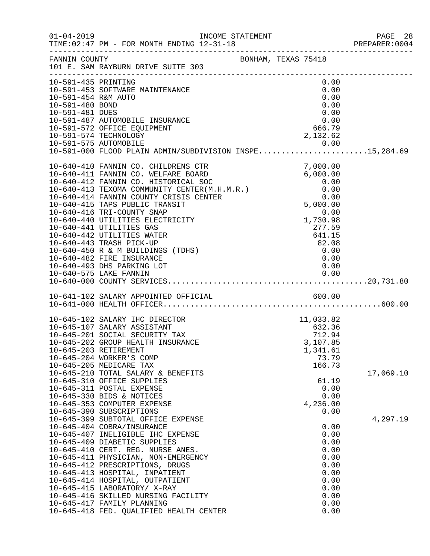| $01 - 04 - 2019$                           |                                                                                                                                                                       | INCOME STATEMENT<br>12.21.12 |  |                             |                      | PAGE 28<br>PREPARER:0004 |
|--------------------------------------------|-----------------------------------------------------------------------------------------------------------------------------------------------------------------------|------------------------------|--|-----------------------------|----------------------|--------------------------|
|                                            | FANNIN COUNTY<br>101 E. SAM RAYBURN DRIVE SUITE 303                                                                                                                   | BONHAM, TEXAS 75418          |  |                             |                      |                          |
| 10-591-435 PRINTING<br>10-591-454 R&M AUTO | 10-591-453 SOFTWARE MAINTENANCE                                                                                                                                       |                              |  |                             | 0.00<br>0.00<br>0.00 |                          |
| 10-591-480 BOND<br>10-591-481 DUES         |                                                                                                                                                                       |                              |  | 0.00                        | 0.00                 |                          |
|                                            | 10-591-487 AUTOMOBILE INSURANCE<br>10-591-572 OFFICE EQUIPMENT<br>10-591-574 TECHNOLOGY                                                                               |                              |  | 0.00<br>666.79<br>2,132.62  |                      |                          |
|                                            | 10-591-575 AUTOMOBILE<br>10-591-000 FLOOD PLAIN ADMIN/SUBDIVISION INSPE15,284.69                                                                                      |                              |  |                             |                      |                          |
|                                            | 10-640-410 FANNIN CO. CHILDRENS CTR<br>10-640-411 FANNIN CO. WELFARE BOARD                                                                                            |                              |  | 7,000.00<br>6,000.00        |                      |                          |
|                                            | 10-640-411 FANNIN CO. WELFARE DOWNO<br>10-640-412 FANNIN CO. HISTORICAL SOC<br>10-640-413 TEXOMA COMMUNITY CENTER(M.H.M.R.)<br>10-640-414 FANNIN COUNTY CRISIS CENTER |                              |  | 0.00<br>0.00                |                      |                          |
|                                            | 10-640-416 TRI-COUNTY SNAP                                                                                                                                            |                              |  | 0.00<br>5,000.00            | 0.00                 |                          |
|                                            | 10-640-440 UTILITIES ELECTRICITY<br>10-640-441 UTILITIES GAS                                                                                                          |                              |  | 1,730.98<br>277.59          |                      |                          |
|                                            | 10-640-442 UTILITIES WATER<br>10-640-443 TRASH PICK-UP<br>10-640-450 R & M BUILDINGS (TDHS)                                                                           |                              |  | 641.15<br>82.08<br>0.00     |                      |                          |
|                                            | 10-640-482 FIRE INSURANCE<br>10-640-493 DHS PARKING LOT                                                                                                               |                              |  | 0.00<br>0.00                |                      |                          |
|                                            |                                                                                                                                                                       |                              |  |                             |                      |                          |
|                                            | 10-641-102 SALARY APPOINTED OFFICIAL 600.00                                                                                                                           |                              |  |                             |                      |                          |
|                                            | 10-645-102 SALARY IHC DIRECTOR<br>10-645-107 SALARY ASSISTANT                                                                                                         |                              |  | 11,033.82<br>632.36         |                      |                          |
|                                            | 10-645-201 SOCIAL SECURITY TAX<br>10-645-202 GROUP HEALTH INSURANCE                                                                                                   |                              |  | 712.94<br>3,107.85          |                      |                          |
|                                            | 10-645-203 RETIREMENT<br>10-645-204 WORKER'S COMP<br>10-645-205 MEDICARE TAX                                                                                          |                              |  | 1,341.61<br>73.79<br>166.73 |                      |                          |
|                                            | 10-645-210 TOTAL SALARY & BENEFITS<br>10-645-310 OFFICE SUPPLIES<br>10-645-311 POSTAL EXPENSE                                                                         |                              |  | 61.19                       | 0.00                 | 17,069.10                |
|                                            | 10-645-330 BIDS & NOTICES<br>10-645-353 COMPUTER EXPENSE                                                                                                              |                              |  | 4,236.00                    | 0.00                 |                          |
|                                            | 10-645-390 SUBSCRIPTIONS<br>10-645-399 SUBTOTAL OFFICE EXPENSE<br>10-645-404 COBRA/INSURANCE                                                                          |                              |  |                             | 0.00<br>0.00         | 4,297.19                 |
|                                            | 10-645-407 INELIGIBLE IHC EXPENSE<br>10-645-409 DIABETIC SUPPLIES                                                                                                     |                              |  |                             | 0.00<br>0.00         |                          |
|                                            | 10-645-410 CERT. REG. NURSE ANES.<br>10-645-411 PHYSICIAN, NON-EMERGENCY<br>10-645-412 PRESCRIPTIONS, DRUGS                                                           |                              |  |                             | 0.00<br>0.00<br>0.00 |                          |
|                                            | 10-645-413 HOSPITAL, INPATIENT<br>10-645-414 HOSPITAL, OUTPATIENT                                                                                                     |                              |  |                             | 0.00<br>0.00         |                          |
|                                            | 10-645-415 LABORATORY/ X-RAY<br>10-645-416 SKILLED NURSING FACILITY<br>10-645-417 FAMILY PLANNING                                                                     |                              |  |                             | 0.00<br>0.00<br>0.00 |                          |
|                                            | 10-645-418 FED. QUALIFIED HEALTH CENTER                                                                                                                               |                              |  |                             | 0.00                 |                          |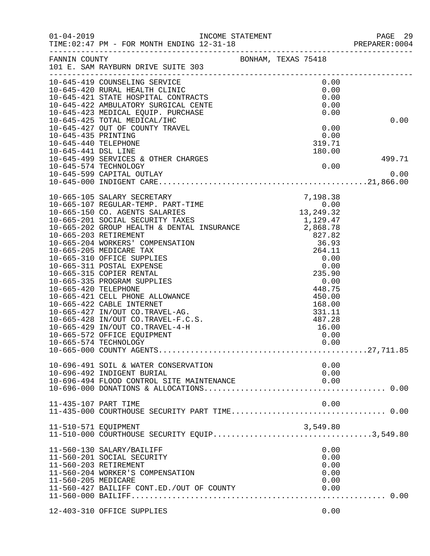| $01 - 04 - 2019$                            | TIME: 02:47 PM - FOR MONTH ENDING 12-31-18                                                                                                                                       |                                  | PAGE 29<br>PREPARER:0004 |
|---------------------------------------------|----------------------------------------------------------------------------------------------------------------------------------------------------------------------------------|----------------------------------|--------------------------|
| FANNIN COUNTY                               | BONHAM, TEXAS 75418<br>101 E. SAM RAYBURN DRIVE SUITE 303                                                                                                                        |                                  |                          |
|                                             | 10-645-419 COUNSELING SERVICE<br>10-645-419 COONSELLING SERVICE<br>10-645-420 RURAL HEALTH CLINIC<br>10-645-421 STATE HOSPITAL CONTRACTS<br>10-645-422 AMBULATORY SURGICAL CENTE | 0.00<br>0.00                     |                          |
|                                             |                                                                                                                                                                                  | 0.00                             |                          |
|                                             |                                                                                                                                                                                  | 0.00                             |                          |
|                                             | 10-645-423 MEDICAL EQUIP. PURCHASE                                                                                                                                               | 0.00                             |                          |
|                                             | 10-645-425 TOTAL MEDICAL/IHC                                                                                                                                                     |                                  | 0.00                     |
|                                             | 10-645-427 OUT OF COUNTY TRAVEL                                                                                                                                                  | 0.00<br>0.00                     |                          |
| 10-645-435 PRINTING<br>10-645-440 TELEPHONE |                                                                                                                                                                                  | 319.71                           |                          |
| 10-645-441 DSL LINE                         |                                                                                                                                                                                  | 180.00                           |                          |
|                                             | 10-645-499 SERVICES & OTHER CHARGES                                                                                                                                              |                                  | 499.71                   |
|                                             | 10-645-574 TECHNOLOGY                                                                                                                                                            | 0.00                             |                          |
|                                             | 10-645-599 CAPITAL OUTLAY                                                                                                                                                        |                                  | 0.00                     |
|                                             |                                                                                                                                                                                  |                                  |                          |
|                                             |                                                                                                                                                                                  |                                  |                          |
|                                             |                                                                                                                                                                                  |                                  |                          |
|                                             |                                                                                                                                                                                  |                                  |                          |
|                                             |                                                                                                                                                                                  |                                  |                          |
|                                             |                                                                                                                                                                                  |                                  |                          |
|                                             |                                                                                                                                                                                  |                                  |                          |
|                                             |                                                                                                                                                                                  |                                  |                          |
|                                             | 10-665-310 OFFICE SUPPLIES                                                                                                                                                       |                                  |                          |
|                                             | 10-665-311 POSTAL EXPENSE                                                                                                                                                        |                                  |                          |
|                                             | 10-665-315 COPIER RENTAL                                                                                                                                                         | $0.00$<br>0.00<br>235.90<br>0.00 |                          |
|                                             | 10-665-335 PROGRAM SUPPLIES                                                                                                                                                      | 448.75                           |                          |
| 10-665-420 TELEPHONE                        | 10-665-421 CELL PHONE ALLOWANCE                                                                                                                                                  | 450.00                           |                          |
|                                             | 10-665-422 CABLE INTERNET                                                                                                                                                        | 168.00                           |                          |
|                                             | 10-665-427 IN/OUT CO.TRAVEL-AG.                                                                                                                                                  | 331.11                           |                          |
|                                             | 10-665-428 IN/OUT CO.TRAVEL-F.C.S.                                                                                                                                               | 487.28                           |                          |
|                                             | 10-665-429 IN/OUT CO.TRAVEL-4-H                                                                                                                                                  | 16.00                            |                          |
|                                             | 10-665-572 OFFICE EQUIPMENT                                                                                                                                                      | 0.00                             |                          |
|                                             | 10-665-574 TECHNOLOGY                                                                                                                                                            | 0.00                             |                          |
|                                             |                                                                                                                                                                                  |                                  |                          |
|                                             | 10-696-491 SOIL & WATER CONSERVATION                                                                                                                                             | 0.00                             |                          |
|                                             | 10-696-492 INDIGENT BURIAL<br>10-696-494 FLOOD CONTROL SITE MAINTENANCE                                                                                                          | 0.00                             |                          |
|                                             |                                                                                                                                                                                  | 0.00                             |                          |
| 11-435-107 PART TIME                        |                                                                                                                                                                                  | 0.00                             |                          |
|                                             |                                                                                                                                                                                  |                                  |                          |
| 11-510-571 EQUIPMENT                        |                                                                                                                                                                                  | 3,549.80                         |                          |
|                                             | 11-510-000 COURTHOUSE SECURITY EQUIP3,549.80                                                                                                                                     |                                  |                          |
|                                             | 11-560-130 SALARY/BAILIFF                                                                                                                                                        | 0.00                             |                          |
|                                             | 11-560-201 SOCIAL SECURITY                                                                                                                                                       | 0.00                             |                          |
|                                             | 11-560-203 RETIREMENT                                                                                                                                                            | 0.00                             |                          |
|                                             | 11-560-204 WORKER'S COMPENSATION                                                                                                                                                 | 0.00                             |                          |
| 11-560-205 MEDICARE                         |                                                                                                                                                                                  | 0.00                             |                          |
|                                             | 11-560-427 BAILIFF CONT.ED./OUT OF COUNTY                                                                                                                                        | 0.00                             |                          |
|                                             |                                                                                                                                                                                  |                                  |                          |
|                                             | 12-403-310 OFFICE SUPPLIES                                                                                                                                                       | 0.00                             |                          |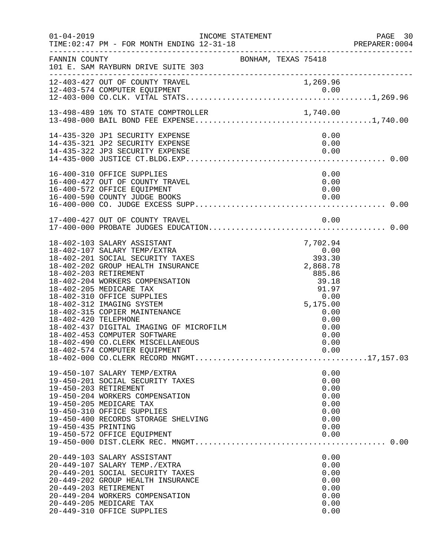| $01 - 04 - 2019$     | INCOME STATEMENT<br>TIME: 02:47 PM - FOR MONTH ENDING 12-31-18                                                                                                                                                                                                                                                                                                                                                                          |                     |                              |                                                              |                                                                      | PAGE 30<br>PREPARER: 0004 |
|----------------------|-----------------------------------------------------------------------------------------------------------------------------------------------------------------------------------------------------------------------------------------------------------------------------------------------------------------------------------------------------------------------------------------------------------------------------------------|---------------------|------------------------------|--------------------------------------------------------------|----------------------------------------------------------------------|---------------------------|
| FANNIN COUNTY        | 101 E. SAM RAYBURN DRIVE SUITE 303                                                                                                                                                                                                                                                                                                                                                                                                      | BONHAM, TEXAS 75418 |                              |                                                              |                                                                      |                           |
|                      | 12-403-427 OUT OF COUNTY TRAVEL<br>12-403-574 COMPUTER EQUIPMENT                                                                                                                                                                                                                                                                                                                                                                        |                     |                              | 1,269.96                                                     |                                                                      |                           |
|                      | 13-498-489 10% TO STATE COMPTROLLER                                                                                                                                                                                                                                                                                                                                                                                                     |                     |                              |                                                              |                                                                      |                           |
|                      | 14-435-320 JP1 SECURITY EXPENSE<br>14-435-321 JP2 SECURITY EXPENSE<br>14-435-322 JP3 SECURITY EXPENSE                                                                                                                                                                                                                                                                                                                                   |                     |                              |                                                              | 0.00<br>0.00<br>0.00                                                 |                           |
|                      | 16-400-310 OFFICE SUPPLIES<br>16-400-427 OUT OF COUNTY TRAVEL<br>16-400-572 OFFICE EQUIPMENT<br>16-400-590 COUNTY JUDGE BOOKS                                                                                                                                                                                                                                                                                                           |                     |                              | 0.00                                                         | 0.00<br>0.00<br>0.00                                                 |                           |
|                      | 17-400-427 OUT OF COUNTY TRAVEL                                                                                                                                                                                                                                                                                                                                                                                                         |                     |                              |                                                              | 0.00                                                                 |                           |
| 18-402-420 TELEPHONE | 18-402-103 SALARY ASSISTANT<br>18-402-107 SALARY TEMP/EXTRA<br>18-402-201 SOCIAL SECURITY TAXES<br>18-402-202 GROUP HEALTH INSURANCE<br>18-402-203 RETIREMENT<br>18-402-204 WORKERS COMPENSATION<br>18-402-205 MEDICARE TAX<br>18-402-310 OFFICE SUPPLIES<br>18-402-312 IMAGING SYSTEM<br>18-402-315 COPIER MAINTENANCE<br>18-402-437 DIGITAL IMAGING OF MICROFILM<br>18-402-453 COMPUTER SOFTWARE<br>18-402-490 CO.CLERK MISCELLANEOUS |                     | $0.00$<br>393.30<br>2,868.78 | 7,702.94<br>2,868.78<br>885.86<br>39.18<br>91.97<br>5,175.00 | 0.00<br>0.00<br>0.00<br>0.00<br>0.00<br>0.00                         |                           |
| 19-450-435 PRINTING  | 19-450-107 SALARY TEMP/EXTRA<br>19-450-201 SOCIAL SECURITY TAXES<br>19-450-203 RETIREMENT<br>19-450-204 WORKERS COMPENSATION<br>19-450-205 MEDICARE TAX<br>19-450-310 OFFICE SUPPLIES<br>19-450-400 RECORDS STORAGE SHELVING<br>19-450-572 OFFICE EQUIPMENT                                                                                                                                                                             |                     |                              |                                                              | 0.00<br>0.00<br>0.00<br>0.00<br>0.00<br>0.00<br>0.00<br>0.00<br>0.00 |                           |
|                      | 20-449-103 SALARY ASSISTANT<br>20-449-107 SALARY TEMP./EXTRA<br>20-449-201 SOCIAL SECURITY TAXES<br>20-449-202 GROUP HEALTH INSURANCE<br>20-449-203 RETIREMENT<br>20-449-204 WORKERS COMPENSATION<br>20-449-205 MEDICARE TAX<br>20-449-310 OFFICE SUPPLIES                                                                                                                                                                              |                     |                              |                                                              | 0.00<br>0.00<br>0.00<br>0.00<br>0.00<br>0.00<br>0.00<br>0.00         |                           |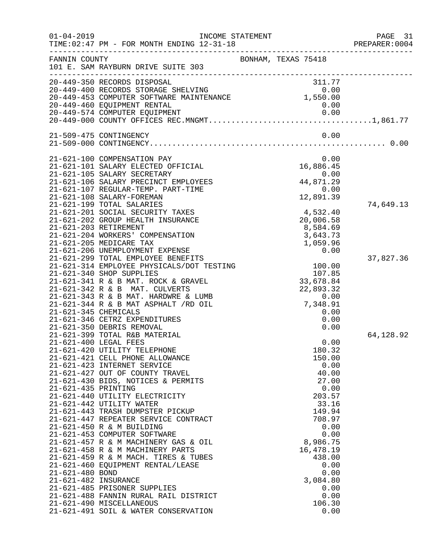| $01 - 04 - 2019$                             | TIME: 02:47 PM - FOR MONTH ENDING 12-31-18<br>-------------------------------                                                                                                                                                                                                                                                                                                                                                                                                                                                                                            | INCOME STATEMENT |                                                                                                                                                              | PAGE<br>31<br>PREPARER: 0004 |
|----------------------------------------------|--------------------------------------------------------------------------------------------------------------------------------------------------------------------------------------------------------------------------------------------------------------------------------------------------------------------------------------------------------------------------------------------------------------------------------------------------------------------------------------------------------------------------------------------------------------------------|------------------|--------------------------------------------------------------------------------------------------------------------------------------------------------------|------------------------------|
| FANNIN COUNTY                                | 101 E. SAM RAYBURN DRIVE SUITE 303                                                                                                                                                                                                                                                                                                                                                                                                                                                                                                                                       |                  | BONHAM, TEXAS 75418                                                                                                                                          |                              |
|                                              | 20-449-350 RECORDS DISPOSAL<br>20-449-460 EQUIPMENT RENTAL                                                                                                                                                                                                                                                                                                                                                                                                                                                                                                               |                  | 311.77<br>0.00                                                                                                                                               |                              |
|                                              |                                                                                                                                                                                                                                                                                                                                                                                                                                                                                                                                                                          |                  |                                                                                                                                                              |                              |
|                                              | 21-509-475 CONTINGENCY                                                                                                                                                                                                                                                                                                                                                                                                                                                                                                                                                   |                  | 0.00                                                                                                                                                         |                              |
|                                              | 21-621-100 COMPENSATION PAY<br>21-621-101 SALARY ELECTED OFFICIAL<br>21-621-105 SALARY SECRETARY<br>21-621-106 SALARY PRECINCT EMPLOYEES<br>21-621-107 REGULAR-TEMP. PART-TIME<br>21-621-108 SALARY-FOREMAN                                                                                                                                                                                                                                                                                                                                                              |                  | 0.00<br>16,886.45<br>0.00<br>44,871.29<br>0.00<br>12,891.39                                                                                                  |                              |
| 21-621-203 RETIREMENT                        | 21-621-199 TOTAL SALARIES<br>21-621-201 SOCIAL SECURITY TAXES<br>21-621-202 GROUP HEALTH INSURANCE<br>21-621-204 WORKERS' COMPENSATION<br>21-621-205 MEDICARE TAX<br>21-621-206 UNEMPLOYMENT EXPENSE                                                                                                                                                                                                                                                                                                                                                                     |                  | 4,532.40<br>20,006.58<br>8,584.69<br>3,643.73<br>1,059.96<br>0.00                                                                                            | 74,649.13                    |
| 21-621-345 CHEMICALS                         | 21-621-299 TOTAL EMPLOYEE BENEFITS<br>21-621-314 EMPLOYEE PHYSICALS/DOT TESTING<br>21-621-340 SHOP SUPPLIES<br>21-621-341 R & B MAT. ROCK & GRAVEL<br>21-621-342 R & B MAT. CULVERTS<br>21-621-343 R & B MAT. HARDWRE & LUMB<br>$21-621-344$ R & B MAT ASPHALT $/RD$ OIL<br>21-621-346 CETRZ EXPENDITURES<br>21-621-350 DEBRIS REMOVAL                                                                                                                                                                                                                                   |                  | 100.00<br>107.85<br>33,678.84<br>22,893.32<br>0.00<br>7,348.91<br>0.00<br>0.00<br>0.00                                                                       | 37,827.36                    |
| 21-621-400 LEGAL FEES<br>21-621-435 PRINTING | 21-621-399 TOTAL R&B MATERIAL<br>21-621-420 UTILITY TELEPHONE<br>21-621-421 CELL PHONE ALLOWANCE<br>21-621-423 INTERNET SERVICE<br>21-621-427 OUT OF COUNTY TRAVEL<br>21-621-430 BIDS, NOTICES & PERMITS<br>21-621-440 UTILITY ELECTRICITY<br>21-621-442 UTILITY WATER<br>21-621-443 TRASH DUMPSTER PICKUP<br>21-621-447 REPEATER SERVICE CONTRACT<br>21-621-450 R & M BUILDING<br>21-621-453 COMPUTER SOFTWARE<br>21-621-457 R & M MACHINERY GAS & OIL<br>21-621-458 R & M MACHINERY PARTS<br>21-621-459 R & M MACH. TIRES & TUBES<br>21-621-460 EQUIPMENT RENTAL/LEASE |                  | 0.00<br>180.32<br>150.00<br>0.00<br>40.00<br>27.00<br>0.00<br>203.57<br>33.16<br>149.94<br>708.97<br>0.00<br>0.00<br>8,986.75<br>16,478.19<br>438.00<br>0.00 | 64,128.92                    |
| 21-621-480 BOND<br>21-621-482 INSURANCE      | 21-621-485 PRISONER SUPPLIES<br>21-621-488 FANNIN RURAL RAIL DISTRICT<br>21-621-490 MISCELLANEOUS<br>21-621-491 SOIL & WATER CONSERVATION                                                                                                                                                                                                                                                                                                                                                                                                                                |                  | 0.00<br>3,084.80<br>0.00<br>0.00<br>106.30<br>0.00                                                                                                           |                              |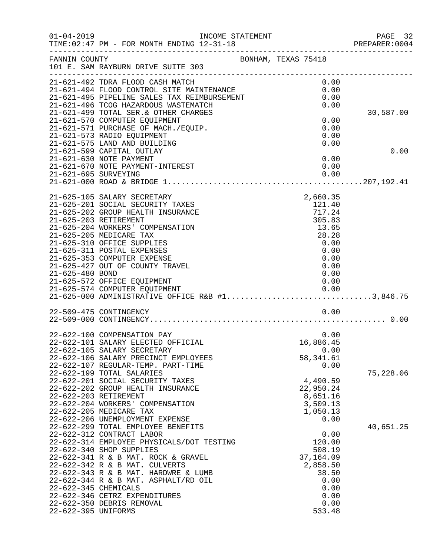| $01 - 04 - 2019$     | INCOME STATEMENT<br>TIME: 02:47 PM - FOR MONTH ENDING 12-31-18                                                    |                  | PAGE 32<br>PREPARER<br>----------------------------------<br>PREPARER:0004 |
|----------------------|-------------------------------------------------------------------------------------------------------------------|------------------|----------------------------------------------------------------------------|
| FANNIN COUNTY        | BONHAM, TEXAS 75418<br>101 E. SAM RAYBURN DRIVE SUITE 303                                                         |                  |                                                                            |
|                      | 21-621-492 TDRA FLOOD CASH MATCH<br>21-621-492 TDRA FLOOD CASH MATCH<br>21-621-494 FLOOD CONTROL SITE MAINTENANCE | 0.00             |                                                                            |
|                      |                                                                                                                   | 0.00             |                                                                            |
|                      | 21-621-495 PIPELINE SALES TAX REIMBURSEMENT<br>21-621-496 TCOG HAZARDOUS WASTEMATCH                               | 0.00<br>0.00     |                                                                            |
|                      | 21-621-499 TOTAL SER. & OTHER CHARGES                                                                             |                  | 30,587.00                                                                  |
|                      | 21-621-570 COMPUTER EQUIPMENT                                                                                     | 0.00             |                                                                            |
|                      | 21-621-571 PURCHASE OF MACH./EQUIP.                                                                               | 0.00             |                                                                            |
|                      | 21-621-573 RADIO EQUIPMENT                                                                                        | 0.00             |                                                                            |
|                      | 21-621-575 LAND AND BUILDING                                                                                      | 0.00             |                                                                            |
|                      | 21-621-599 CAPITAL OUTLAY<br>21-621-630 NOTE PAYMENT                                                              | 0.00             | 0.00                                                                       |
|                      | 21-621-670 NOTE PAYMENT-INTEREST                                                                                  | 0.00             |                                                                            |
| 21-621-695 SURVEYING |                                                                                                                   | 0.00             |                                                                            |
|                      |                                                                                                                   |                  |                                                                            |
|                      | 21-625-105 SALARY SECRETARY                                                                                       | 2,660.35         |                                                                            |
|                      | 21-625-201 SOCIAL SECURITY TAXES                                                                                  | 121.40           |                                                                            |
|                      | 21-625-202 GROUP HEALTH INSURANCE                                                                                 | 717.24           |                                                                            |
|                      | 21-625-203 RETIREMENT<br>21-625-204 WORKERS' COMPENSATION                                                         | 305.83           |                                                                            |
|                      | 21-625-205 MEDICARE TAX                                                                                           | 13.65<br>28.28   |                                                                            |
|                      | 21-625-310 OFFICE SUPPLIES                                                                                        | 0.00             |                                                                            |
|                      | 21-625-311 POSTAL EXPENSES                                                                                        | 0.00             |                                                                            |
|                      | 21-625-353 COMPUTER EXPENSE                                                                                       | 0.00             |                                                                            |
|                      | 21-625-427 OUT OF COUNTY TRAVEL                                                                                   | 0.00             |                                                                            |
| 21-625-480 BOND      |                                                                                                                   | 0.00             |                                                                            |
|                      | 21-625-572 OFFICE EQUIPMENT                                                                                       | 0.00             |                                                                            |
|                      | 21-625-574 COMPUTER EQUIPMENT<br>21-625-000 ADMINISTRATIVE OFFICE R&B #13,846.75                                  |                  |                                                                            |
|                      |                                                                                                                   |                  |                                                                            |
|                      | 22-509-475 CONTINGENCY                                                                                            | 0.00             |                                                                            |
|                      | 22-622-100 COMPENSATION PAY                                                                                       | 0.00             |                                                                            |
|                      | 22-622-101 SALARY ELECTED OFFICIAL                                                                                | 16,886.45        |                                                                            |
|                      | 22-622-105 SALARY SECRETARY                                                                                       | 0.00             |                                                                            |
|                      | 22-622-106 SALARY PRECINCT EMPLOYEES                                                                              | 58, 341.61       |                                                                            |
|                      | 22-622-107 REGULAR-TEMP. PART-TIME                                                                                | 0.00             |                                                                            |
|                      | 22-622-199 TOTAL SALARIES<br>22-622-201 SOCIAL SECURITY TAXES                                                     | 4,490.59         | 75,228.06                                                                  |
|                      | 22-622-202 GROUP HEALTH INSURANCE                                                                                 | 22,950.24        |                                                                            |
|                      | 22-622-203 RETIREMENT                                                                                             | 8,651.16         |                                                                            |
|                      | 22-622-204 WORKERS' COMPENSATION                                                                                  | 3,509.13         |                                                                            |
|                      | 22-622-205 MEDICARE TAX                                                                                           | 1,050.13         |                                                                            |
|                      | 22-622-206 UNEMPLOYMENT EXPENSE                                                                                   | 0.00             |                                                                            |
|                      | 22-622-299 TOTAL EMPLOYEE BENEFITS                                                                                |                  | 40,651.25                                                                  |
|                      | 22-622-312 CONTRACT LABOR                                                                                         | 0.00             |                                                                            |
|                      | 22-622-314 EMPLOYEE PHYSICALS/DOT TESTING<br>22-622-340 SHOP SUPPLIES                                             | 120.00<br>508.19 |                                                                            |
|                      | 22-622-341 R & B MAT. ROCK & GRAVEL                                                                               | 37,164.09        |                                                                            |
|                      | 22-622-342 R & B MAT. CULVERTS                                                                                    | 2,858.50         |                                                                            |
|                      | 22-622-343 R & B MAT. HARDWRE & LUMB                                                                              | 38.50            |                                                                            |
|                      | 22-622-344 R & B MAT. ASPHALT/RD OIL                                                                              | 0.00             |                                                                            |
| 22-622-345 CHEMICALS |                                                                                                                   | 0.00             |                                                                            |
|                      | 22-622-346 CETRZ EXPENDITURES                                                                                     | 0.00             |                                                                            |
|                      | 22-622-350 DEBRIS REMOVAL                                                                                         | 0.00             |                                                                            |
| 22-622-395 UNIFORMS  |                                                                                                                   | 533.48           |                                                                            |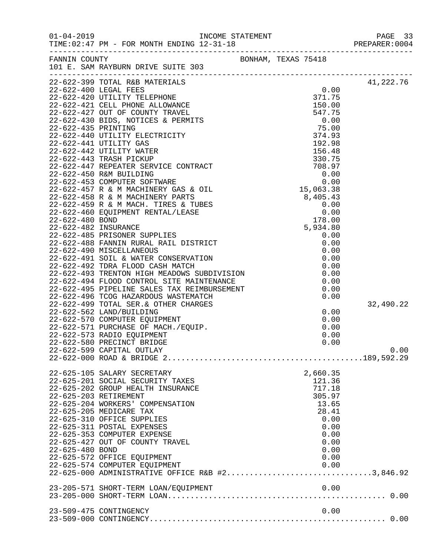|                 |                                                                                                                                                                                                         |                     |              | PAGE 33<br>PREPARER: 0004 |
|-----------------|---------------------------------------------------------------------------------------------------------------------------------------------------------------------------------------------------------|---------------------|--------------|---------------------------|
|                 | FANNIN COUNTY<br>101 E. SAM RAYBURN DRIVE SUITE 303                                                                                                                                                     | BONHAM, TEXAS 75418 |              |                           |
|                 |                                                                                                                                                                                                         |                     |              | 41,222.76                 |
|                 |                                                                                                                                                                                                         |                     |              |                           |
|                 |                                                                                                                                                                                                         |                     |              |                           |
|                 |                                                                                                                                                                                                         |                     |              |                           |
|                 |                                                                                                                                                                                                         |                     |              |                           |
|                 |                                                                                                                                                                                                         |                     |              |                           |
|                 |                                                                                                                                                                                                         |                     |              |                           |
|                 |                                                                                                                                                                                                         |                     |              |                           |
|                 |                                                                                                                                                                                                         |                     |              |                           |
|                 |                                                                                                                                                                                                         |                     |              |                           |
|                 |                                                                                                                                                                                                         |                     |              |                           |
|                 |                                                                                                                                                                                                         |                     |              |                           |
|                 |                                                                                                                                                                                                         |                     |              |                           |
|                 |                                                                                                                                                                                                         |                     |              |                           |
|                 |                                                                                                                                                                                                         |                     |              |                           |
|                 |                                                                                                                                                                                                         |                     |              |                           |
|                 |                                                                                                                                                                                                         |                     |              |                           |
|                 |                                                                                                                                                                                                         |                     |              |                           |
|                 |                                                                                                                                                                                                         |                     |              |                           |
|                 |                                                                                                                                                                                                         |                     |              |                           |
|                 |                                                                                                                                                                                                         |                     |              |                           |
|                 |                                                                                                                                                                                                         |                     |              |                           |
|                 |                                                                                                                                                                                                         |                     |              |                           |
|                 |                                                                                                                                                                                                         |                     |              |                           |
|                 |                                                                                                                                                                                                         |                     |              |                           |
|                 |                                                                                                                                                                                                         |                     |              |                           |
|                 |                                                                                                                                                                                                         |                     |              |                           |
|                 | 22-622-495 FIFEDING<br>22-622-496 TCOG HAZARDOUS WASTEMATCH<br>22-622-499 TOTAL SER.& OTHER CHARGES<br>22-622-552 LAND/BUILDING<br>22-622-570 COMPUTER EQUIPMENT<br>22-622-571 PURCHASE OF MACH./EQUIP. |                     |              | 32,490.22                 |
|                 |                                                                                                                                                                                                         |                     | 0.00         |                           |
|                 |                                                                                                                                                                                                         |                     | 0.00         |                           |
|                 |                                                                                                                                                                                                         |                     | 0.00         |                           |
|                 |                                                                                                                                                                                                         |                     | 0.00<br>0.00 |                           |
|                 | 22-622-599 CAPITAL OUTLAY                                                                                                                                                                               |                     |              | 0.00                      |
|                 |                                                                                                                                                                                                         |                     |              |                           |
|                 |                                                                                                                                                                                                         |                     |              |                           |
|                 | 22-625-105 SALARY SECRETARY                                                                                                                                                                             |                     | 2,660.35     |                           |
|                 | 22-625-201 SOCIAL SECURITY TAXES                                                                                                                                                                        |                     | 121.36       |                           |
|                 | 22-625-202 GROUP HEALTH INSURANCE                                                                                                                                                                       |                     | 717.18       |                           |
|                 | 22-625-203 RETIREMENT                                                                                                                                                                                   |                     | 305.97       |                           |
|                 | 22-625-204 WORKERS' COMPENSATION                                                                                                                                                                        |                     | 13.65        |                           |
|                 | 22-625-205 MEDICARE TAX<br>22-625-310 OFFICE SUPPLIES                                                                                                                                                   |                     | 28.41        |                           |
|                 | 22-625-311 POSTAL EXPENSES                                                                                                                                                                              |                     | 0.00<br>0.00 |                           |
|                 | 22-625-353 COMPUTER EXPENSE                                                                                                                                                                             |                     | 0.00         |                           |
|                 | 22-625-427 OUT OF COUNTY TRAVEL                                                                                                                                                                         |                     | 0.00         |                           |
| 22-625-480 BOND |                                                                                                                                                                                                         |                     | 0.00         |                           |
|                 | 22-625-572 OFFICE EQUIPMENT                                                                                                                                                                             |                     | 0.00         |                           |
|                 | 22-625-574 COMPUTER EQUIPMENT                                                                                                                                                                           |                     | 0.00         |                           |
|                 | 22-625-574 COMPUTER EQUIPMENT 0.00<br>22-625-000 ADMINISTRATIVE OFFICE R&B #23,846.92                                                                                                                   |                     |              |                           |
|                 |                                                                                                                                                                                                         |                     |              |                           |
|                 | 23-205-571 SHORT-TERM LOAN/EQUIPMENT                                                                                                                                                                    |                     | 0.00         |                           |
|                 |                                                                                                                                                                                                         |                     |              |                           |
|                 | 23-509-475 CONTINGENCY                                                                                                                                                                                  |                     | 0.00         |                           |
|                 |                                                                                                                                                                                                         |                     |              |                           |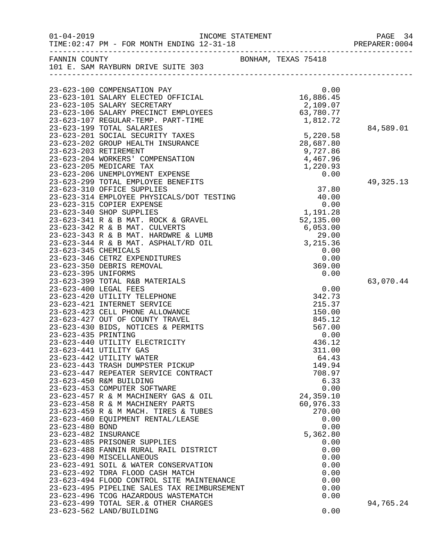|                      | TIME: 02:47 PM - FOR MONTH ENDING 12-31-18                                                                                                                                                                                                                                                                                                                                 |                                                                | PAGE 34<br>PREPARER: 0004 |
|----------------------|----------------------------------------------------------------------------------------------------------------------------------------------------------------------------------------------------------------------------------------------------------------------------------------------------------------------------------------------------------------------------|----------------------------------------------------------------|---------------------------|
|                      | FANNIN COUNTY<br>101 E. SAM RAYBURN DRIVE SUITE 303                                                                                                                                                                                                                                                                                                                        | BONHAM, TEXAS 75418                                            |                           |
|                      |                                                                                                                                                                                                                                                                                                                                                                            |                                                                |                           |
|                      | $\begin{tabular}{lllllllllllllllllllll} & $\; 0.00$ \\ 23-623-101 & \texttt{SALARY ELECTED OFFICIAL} & 16,886.45 \\ 23-623-105 & \texttt{SALARY SCCEPTARY} & 2,109.07 \\ 23-623-106 & \texttt{SALARY DECINCT EMPLOYES} & 63,780.77 \\ 23-623-107 & \texttt{REGULAR-TEMP. PART-TIME} & 1,812.72 \\ 23-623-199 & \texttt{TOTAL SALARIES} & & & & & & & & 1 \\ \end{tabular}$ |                                                                |                           |
|                      |                                                                                                                                                                                                                                                                                                                                                                            |                                                                |                           |
|                      |                                                                                                                                                                                                                                                                                                                                                                            |                                                                |                           |
|                      |                                                                                                                                                                                                                                                                                                                                                                            |                                                                |                           |
|                      |                                                                                                                                                                                                                                                                                                                                                                            |                                                                | 84,589.01                 |
|                      | 23-623-201 SOCIAL SECURITY TAXES                                                                                                                                                                                                                                                                                                                                           |                                                                |                           |
|                      | 23-623-202 GROUP HEALTH INSURANCE                                                                                                                                                                                                                                                                                                                                          | 5, 220.58<br>28, 687.80<br>9, 727.86<br>4, 467.96<br>1, 220.93 |                           |
|                      | 23-623-203 RETIREMENT                                                                                                                                                                                                                                                                                                                                                      |                                                                |                           |
|                      | 23-623-204 WORKERS' COMPENSATION                                                                                                                                                                                                                                                                                                                                           |                                                                |                           |
|                      | 23-623-205 MEDICARE TAX                                                                                                                                                                                                                                                                                                                                                    |                                                                |                           |
|                      | 23-623-206 UNEMPLOYMENT EXPENSE                                                                                                                                                                                                                                                                                                                                            | 0.00                                                           |                           |
|                      | 23-623-299 TOTAL EMPLOYEE BENEFITS                                                                                                                                                                                                                                                                                                                                         |                                                                | 49, 325. 13               |
|                      |                                                                                                                                                                                                                                                                                                                                                                            |                                                                |                           |
|                      |                                                                                                                                                                                                                                                                                                                                                                            |                                                                |                           |
|                      |                                                                                                                                                                                                                                                                                                                                                                            |                                                                |                           |
|                      |                                                                                                                                                                                                                                                                                                                                                                            |                                                                |                           |
|                      |                                                                                                                                                                                                                                                                                                                                                                            |                                                                |                           |
|                      |                                                                                                                                                                                                                                                                                                                                                                            |                                                                |                           |
|                      |                                                                                                                                                                                                                                                                                                                                                                            |                                                                |                           |
|                      |                                                                                                                                                                                                                                                                                                                                                                            |                                                                |                           |
|                      | 23-023-310 UFFICE SUPPLIES<br>23-623-314 EMPLOYEE PHYSICALS/DOT TESTING<br>23-623-315 COPIER EXPENSE<br>23-623-340 SHOP SUPPLIES<br>23-623-341 R & B MAT. ROCK & GRAVEL<br>23-623-342 R & B MAT. CULVERTS<br>23-623-343 R & B MAT. HARDWRE<br>23-623-346 CETRZ EXPENDITURES                                                                                                | 0.00                                                           |                           |
|                      | 23-623-350 DEBRIS REMOVAL                                                                                                                                                                                                                                                                                                                                                  | 369.00                                                         |                           |
| 23-623-395 UNIFORMS  |                                                                                                                                                                                                                                                                                                                                                                            | 0.00                                                           |                           |
|                      | 23-623-399 TOTAL R&B MATERIALS                                                                                                                                                                                                                                                                                                                                             |                                                                | 63,070.44                 |
|                      | 23-623-400 LEGAL FEES                                                                                                                                                                                                                                                                                                                                                      | 0.00                                                           |                           |
|                      | 23-623-420 UTILITY TELEPHONE                                                                                                                                                                                                                                                                                                                                               | 342.73                                                         |                           |
|                      | 23-623-421 INTERNET SERVICE                                                                                                                                                                                                                                                                                                                                                | 215.37                                                         |                           |
|                      | 23-623-423 CELL PHONE ALLOWANCE                                                                                                                                                                                                                                                                                                                                            | 150.00                                                         |                           |
|                      | 23-623-427 OUT OF COUNTY TRAVEL                                                                                                                                                                                                                                                                                                                                            | 845.12                                                         |                           |
|                      | 23-623-430 BIDS, NOTICES & PERMITS                                                                                                                                                                                                                                                                                                                                         | 567.00                                                         |                           |
| 23-623-435 PRINTING  |                                                                                                                                                                                                                                                                                                                                                                            | 0.00                                                           |                           |
|                      | 23-623-440 UTILITY ELECTRICITY                                                                                                                                                                                                                                                                                                                                             | 436.12                                                         |                           |
|                      | 23-623-441 UTILITY GAS                                                                                                                                                                                                                                                                                                                                                     | 311.00                                                         |                           |
|                      | 23-623-442 UTILITY WATER                                                                                                                                                                                                                                                                                                                                                   | 64.43                                                          |                           |
|                      | 23-623-443 TRASH DUMPSTER PICKUP                                                                                                                                                                                                                                                                                                                                           | 149.94                                                         |                           |
|                      | 23-623-447 REPEATER SERVICE CONTRACT                                                                                                                                                                                                                                                                                                                                       | 708.97                                                         |                           |
|                      | 23-623-450 R&M BUILDING<br>23-623-453 COMPUTER SOFTWARE                                                                                                                                                                                                                                                                                                                    | 6.33<br>0.00                                                   |                           |
|                      | 23-623-457 R & M MACHINERY GAS & OIL                                                                                                                                                                                                                                                                                                                                       | 24,359.10                                                      |                           |
|                      | 23-623-458 R & M MACHINERY PARTS                                                                                                                                                                                                                                                                                                                                           | 60,976.33                                                      |                           |
|                      | 23-623-459 R & M MACH. TIRES & TUBES                                                                                                                                                                                                                                                                                                                                       | 270.00                                                         |                           |
|                      | 23-623-460 EQUIPMENT RENTAL/LEASE                                                                                                                                                                                                                                                                                                                                          | 0.00                                                           |                           |
| 23-623-480 BOND      |                                                                                                                                                                                                                                                                                                                                                                            | 0.00                                                           |                           |
| 23-623-482 INSURANCE |                                                                                                                                                                                                                                                                                                                                                                            | 5,362.80                                                       |                           |
|                      | 23-623-485 PRISONER SUPPLIES                                                                                                                                                                                                                                                                                                                                               | 0.00                                                           |                           |
|                      | 23-623-488 FANNIN RURAL RAIL DISTRICT                                                                                                                                                                                                                                                                                                                                      | 0.00                                                           |                           |
|                      | 23-623-490 MISCELLANEOUS                                                                                                                                                                                                                                                                                                                                                   | 0.00                                                           |                           |
|                      | 23-623-491 SOIL & WATER CONSERVATION                                                                                                                                                                                                                                                                                                                                       | 0.00                                                           |                           |
|                      | 23-623-492 TDRA FLOOD CASH MATCH                                                                                                                                                                                                                                                                                                                                           | 0.00                                                           |                           |
|                      | 23-623-494 FLOOD CONTROL SITE MAINTENANCE                                                                                                                                                                                                                                                                                                                                  | 0.00                                                           |                           |
|                      | 23-623-495 PIPELINE SALES TAX REIMBURSEMENT                                                                                                                                                                                                                                                                                                                                | 0.00                                                           |                           |
|                      | 23-623-496 TCOG HAZARDOUS WASTEMATCH                                                                                                                                                                                                                                                                                                                                       | 0.00                                                           |                           |
|                      | 23-623-499 TOTAL SER. & OTHER CHARGES                                                                                                                                                                                                                                                                                                                                      |                                                                | 94,765.24                 |
|                      | 23-623-562 LAND/BUILDING                                                                                                                                                                                                                                                                                                                                                   | 0.00                                                           |                           |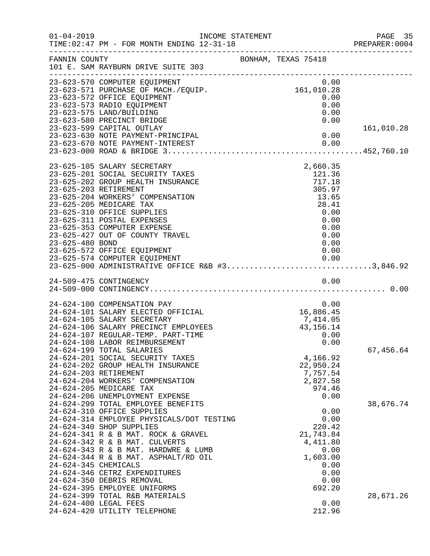| $01 - 04 - 2019$     | INCOME STATEMENT<br>TIME: 02:47 PM - FOR MONTH ENDING 12-31-18<br>TIME:02:47 PM - FOR MONTH ENDING 12-31-18 PREPARER:00                                                                                                                                                                                                                                                                      |                     |                                                                                                          | PAGE 35<br>PREPARER: 0004 |
|----------------------|----------------------------------------------------------------------------------------------------------------------------------------------------------------------------------------------------------------------------------------------------------------------------------------------------------------------------------------------------------------------------------------------|---------------------|----------------------------------------------------------------------------------------------------------|---------------------------|
| FANNIN COUNTY        | 101 E. SAM RAYBURN DRIVE SUITE 303                                                                                                                                                                                                                                                                                                                                                           | BONHAM, TEXAS 75418 |                                                                                                          |                           |
|                      | 23-623-570 COMPUTER EQUIPMENT<br>23-623-571 PURCHASE OF MACH./EQUIP.<br>23-623-572 OFFICE EQUIPMENT<br>23-623-573 RADIO EQUIPMENT<br>23-623-575 LAND/BUILDING<br>23-623-580 PRECINCT BRIDGE<br>23-623-599 CAPITAL OUTLAY                                                                                                                                                                     |                     | 0.00<br>161,010.28<br>0.00<br>0.00<br>0.00<br>0.00                                                       | 161,010.28                |
|                      | 23-623-630 NOTE PAYMENT-PRINCIPAL<br>23-623-670 NOTE PAYMENT-INTEREST                                                                                                                                                                                                                                                                                                                        |                     | 0.00<br>0.00                                                                                             |                           |
| 23-625-480 BOND      | 23-625-105 SALARY SECRETARY<br>23-625-201 SOCIAL SECURITY TAXES<br>23-625-202 GROUP HEALTH INSURANCE<br>23-625-203 RETIREMENT<br>23-625-204 WORKERS' COMPENSATION<br>23-625-205 MEDICARE TAX<br>23-625-310 OFFICE SUPPLIES<br>23-625-311 POSTAL EXPENSES<br>23-625-353 COMPUTER EXPENSE<br>23-625-427 OUT OF COUNTY TRAVEL<br>23-625-572 OFFICE EQUIPMENT                                    |                     | 2,660.35<br>121.36<br>717.18<br>305.97<br>13.65<br>28.41<br>0.00<br>0.00<br>0.00<br>0.00<br>0.00<br>0.00 |                           |
|                      | 24-509-475 CONTINGENCY                                                                                                                                                                                                                                                                                                                                                                       |                     | 0.00                                                                                                     |                           |
|                      | 24-624-100 COMPENSATION PAY<br>24-624-101 SALARY ELECTED OFFICIAL<br>24-624-105 SALARY SECRETARY<br>24-624-106 SALARY PRECINCT EMPLOYEES<br>24-624-107 REGULAR-TEMP. PART-TIME<br>24-624-108 LABOR REIMBURSEMENT                                                                                                                                                                             |                     | 0.00<br>16,886.45<br>7,414.05<br>43, 156. 14<br>0.00<br>0.00                                             |                           |
|                      | 24-624-199 TOTAL SALARIES<br>24-624-201 SOCIAL SECURITY TAXES<br>24-624-202 GROUP HEALTH INSURANCE<br>24-624-203 RETIREMENT<br>24-624-204 WORKERS' COMPENSATION<br>24-624-205 MEDICARE TAX<br>24-624-206 UNEMPLOYMENT EXPENSE<br>24-624-299 TOTAL EMPLOYEE BENEFITS                                                                                                                          |                     | 4,166.92<br>22,950.24<br>7,757.54<br>2,827.58<br>974.46<br>0.00                                          | 67,456.64<br>38,676.74    |
| 24-624-345 CHEMICALS | 24-624-310 OFFICE SUPPLIES<br>24-624-314 EMPLOYEE PHYSICALS/DOT TESTING<br>24-624-340 SHOP SUPPLIES<br>24-624-341 R & B MAT. ROCK & GRAVEL<br>24-624-342 R & B MAT. CULVERTS<br>24-624-343 R & B MAT. HARDWRE & LUMB<br>24-624-344 R & B MAT. ASPHALT/RD OIL<br>24-624-346 CETRZ EXPENDITURES<br>24-624-350 DEBRIS REMOVAL<br>24-624-395 EMPLOYEE UNIFORMS<br>24-624-399 TOTAL R&B MATERIALS |                     | 0.00<br>0.00<br>220.42<br>21,743.84<br>4,411.80<br>0.00<br>1,603.00<br>0.00<br>0.00<br>0.00<br>692.20    | 28,671.26                 |
|                      | 24-624-400 LEGAL FEES<br>24-624-420 UTILITY TELEPHONE                                                                                                                                                                                                                                                                                                                                        |                     | 0.00<br>212.96                                                                                           |                           |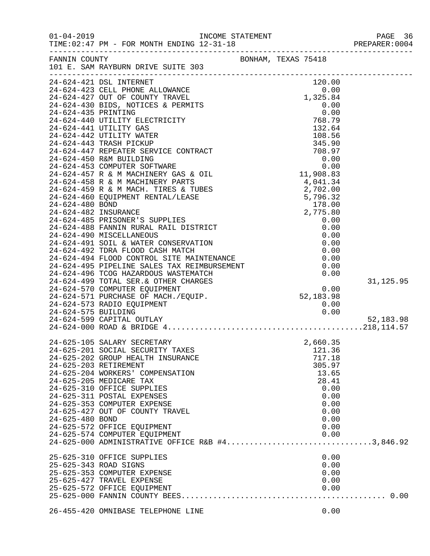| $01 - 04 - 2019$                                                  | TIME: 02:47 PM - FOR MONTH ENDING 12-31-18                                                                                                                                                                                                                                                                                                                                                                                                                                        |                                                                                                                                          | PAGE 36<br>PREPARER:0004 |
|-------------------------------------------------------------------|-----------------------------------------------------------------------------------------------------------------------------------------------------------------------------------------------------------------------------------------------------------------------------------------------------------------------------------------------------------------------------------------------------------------------------------------------------------------------------------|------------------------------------------------------------------------------------------------------------------------------------------|--------------------------|
| FANNIN COUNTY                                                     | -------------------------------------<br>101 E. SAM RAYBURN DRIVE SUITE 303                                                                                                                                                                                                                                                                                                                                                                                                       | BONHAM, TEXAS 75418                                                                                                                      |                          |
|                                                                   |                                                                                                                                                                                                                                                                                                                                                                                                                                                                                   |                                                                                                                                          |                          |
|                                                                   | 24-624-490 MLSCELLARER CONSERVALLON<br>24-624-491 SOIL & WATER CONSERVALLON<br>24-624-492 TDRA FLOOD CASH MATCH<br>24-624-494 FLOOD CONTROL SITE MAINTENANCE<br>24-624-495 PIPELINE SALES TAX REIMBURSEMENT<br>24-624-496 TCOG HAZARDOUS                                                                                                                                                                                                                                          |                                                                                                                                          | 31, 125.95               |
|                                                                   | 44-624-570 COMPUTER EQUIPMENT 0.00<br>24-624-571 PURCHASE OF MACH./EQUIP. 52,183.98<br>24-624-573 RADIO EQUIPMENT 0.00<br>24-624-575 BUILDING<br>24-624-599 CAPITAL OUTLAY                                                                                                                                                                                                                                                                                                        |                                                                                                                                          | 52,183.98                |
| 24-625-203 RETIREMENT<br>24-625-480 BOND<br>25-625-343 ROAD SIGNS | 24-625-105 SALARY SECRETARY<br>24-625-201 SOCIAL SECURITY TAXES<br>24-625-202 GROUP HEALTH INSURANCE<br>24-625-204 WORKERS' COMPENSATION<br>24-625-205 MEDICARE TAX<br>24-625-310 OFFICE SUPPLIES<br>24-625-311 POSTAL EXPENSES<br>24-625-353 COMPUTER EXPENSE<br>24-625-427 OUT OF COUNTY TRAVEL<br>24-625-572 OFFICE EQUIPMENT<br>24-625-574 COMPUTER EQUIPMENT<br>24-625-000 ADMINISTRATIVE OFFICE R&B #43,846.92<br>25-625-310 OFFICE SUPPLIES<br>25-625-353 COMPUTER EXPENSE | 2,660.35<br>121.36<br>717.18<br>305.97<br>13.65<br>28.41<br>0.00<br>0.00<br>0.00<br>0.00<br>0.00<br>0.00<br>0.00<br>0.00<br>0.00<br>0.00 |                          |
|                                                                   | 25-625-427 TRAVEL EXPENSE<br>25-625-572 OFFICE EQUIPMENT<br>26-455-420 OMNIBASE TELEPHONE LINE                                                                                                                                                                                                                                                                                                                                                                                    | 0.00<br>0.00<br>0.00                                                                                                                     |                          |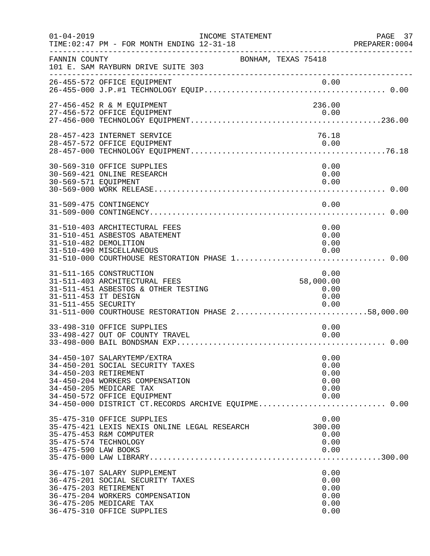| $01 - 04 - 2019$                            | INCOME STATEMENT<br>TIME: 02:47 PM - FOR MONTH ENDING 12-31-18                                                                                                                                                                               | PREPARE<br>--------------------------------  | PAGE 37<br>PREPARER:0004 |
|---------------------------------------------|----------------------------------------------------------------------------------------------------------------------------------------------------------------------------------------------------------------------------------------------|----------------------------------------------|--------------------------|
| FANNIN COUNTY                               | BONHAM, TEXAS 75418<br>101 E. SAM RAYBURN DRIVE SUITE 303<br>---------------------                                                                                                                                                           |                                              |                          |
|                                             |                                                                                                                                                                                                                                              |                                              |                          |
|                                             | 27-456-452 R & M EQUIPMENT<br>27-456-572 OFFICE EQUIPMENT                                                                                                                                                                                    | 236.00<br>0.00                               |                          |
|                                             | 28-457-423 INTERNET SERVICE<br>28-457-572 OFFICE EQUIPMENT                                                                                                                                                                                   | 76.18<br>0.00                                |                          |
|                                             |                                                                                                                                                                                                                                              |                                              |                          |
| 30-569-571 EQUIPMENT                        | 30-569-310 OFFICE SUPPLIES<br>30-569-421 ONLINE RESEARCH                                                                                                                                                                                     | 0.00<br>0.00<br>0.00                         |                          |
|                                             | 31-509-475 CONTINGENCY                                                                                                                                                                                                                       | 0.00                                         |                          |
|                                             | 31-510-403 ARCHITECTURAL FEES<br>31-510-451 ASBESTOS ABATEMENT<br>31-510-482 DEMOLITION<br>31-510-490 MISCELLANEOUS<br>31-510-000 COURTHOUSE RESTORATION PHASE 1 0.00                                                                        | 0.00<br>0.00<br>0.00<br>0.00                 |                          |
| 31-511-453 IT DESIGN<br>31-511-455 SECURITY | 31-511-165 CONSTRUCTION<br>31-511-403 ARCHITECTURAL FEES<br>31-511-451 ASBESTOS & OTHER TESTING                                                                                                                                              | 0.00<br>58,000.00<br>0.00<br>0.00<br>0.00    |                          |
|                                             | 33-498-310 OFFICE SUPPLIES<br>33-498-427 OUT OF COUNTY TRAVEL                                                                                                                                                                                | 0.00<br>0.00                                 |                          |
|                                             | 34-450-107 SALARYTEMP/EXTRA<br>34-450-201 SOCIAL SECURITY TAXES<br>34-450-203 RETIREMENT<br>34-450-204 WORKERS COMPENSATION<br>34-450-205 MEDICARE TAX<br>34-450-572 OFFICE EQUIPMENT<br>34-450-000 DISTRICT CT.RECORDS ARCHIVE EQUIPME 0.00 | 0.00<br>0.00<br>0.00<br>0.00<br>0.00<br>0.00 |                          |
| 35-475-590 LAW BOOKS                        | 35-475-310 OFFICE SUPPLIES<br>35-475-421 LEXIS NEXIS ONLINE LEGAL RESEARCH<br>35-475-453 R&M COMPUTER<br>35-475-574 TECHNOLOGY                                                                                                               | 0.00<br>300.00<br>0.00<br>0.00<br>0.00       |                          |
|                                             | 36-475-107 SALARY SUPPLEMENT<br>36-475-201 SOCIAL SECURITY TAXES<br>36-475-203 RETIREMENT<br>36-475-204 WORKERS COMPENSATION<br>36-475-205 MEDICARE TAX<br>36-475-310 OFFICE SUPPLIES                                                        | 0.00<br>0.00<br>0.00<br>0.00<br>0.00<br>0.00 |                          |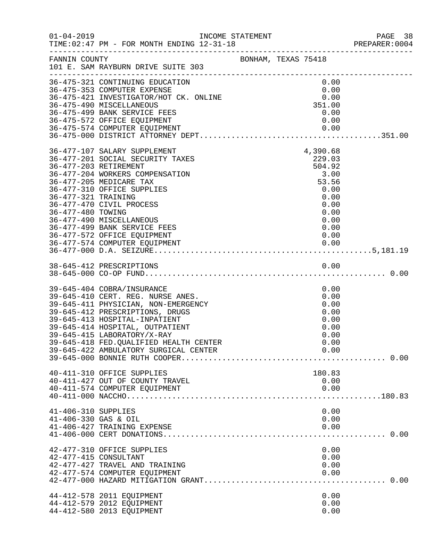|                                             | INCOME STATEMENT                                                                                                                                                                                                                                                                                                                              |  |                                                                                                               | PREPARER: 0004 |
|---------------------------------------------|-----------------------------------------------------------------------------------------------------------------------------------------------------------------------------------------------------------------------------------------------------------------------------------------------------------------------------------------------|--|---------------------------------------------------------------------------------------------------------------|----------------|
|                                             | FANNIN COUNTY<br>101 E. SAM RAYBURN DRIVE SUITE 303                                                                                                                                                                                                                                                                                           |  |                                                                                                               |                |
|                                             | 36-475-321 CONTINUING EDUCATION<br>36-475-353 COMPUTER EXPENSE<br>36-475-421 INVESTIGATOR/HOT CK. ONLINE<br>36-475-490 MISCELLANEOUS<br>36-475-499 BANK SERVICE FEES<br>36-475-572 OFFICE EQUIPMENT                                                                                                                                           |  | 0.00<br>0.00<br>0.00<br>351.00<br>0.00<br>0.00                                                                |                |
| 36-477-321 TRAINING<br>36-477-480 TOWING    | 36-477-107 SALARY SUPPLEMENT<br>36-477-201 SOCIAL SECURITY TAXES<br>36-477-203 RETIREMENT<br>36-477-204 WORKERS COMPENSATION<br>36-477-205 MEDICARE TAX<br>36-477-310 OFFICE SUPPLIES<br>36-477-470 CIVIL PROCESS<br>36-477-490 MISCELLANEOUS<br>36-477-499 BANK SERVICE FEES<br>36-477-572 OFFICE EQUIPMENT<br>36-477-574 COMPUTER EQUIPMENT |  | 4,390.68<br>229.03<br>504.92<br>3.00<br>53.56<br>0.00<br>0.00<br>0.00<br>0.00<br>0.00<br>0.00<br>0.00<br>0.00 |                |
|                                             |                                                                                                                                                                                                                                                                                                                                               |  |                                                                                                               |                |
|                                             | 39-645-404 COBRA/INSURANCE<br>39-645-410 CERT. REG. NURSE ANES.<br>39-645-411 PHYSICIAN, NON-EMERGENCY<br>39-645-412 PRESCRIPTIONS, DRUGS<br>39-645-413 HOSPITAL-INPATIENT<br>39-645-414 HOSPITAL, OUTPATIENT<br>39-645-415 LABORATORY/X-RAY<br>39-645-418 FED. QUALIFIED HEALTH CENTER                                                       |  | 0.00<br>0.00<br>0.00<br>0.00<br>0.00<br>0.00<br>0.00<br>0.00                                                  |                |
|                                             | 40-411-310 OFFICE SUPPLIES<br>40-411-427 OUT OF COUNTY TRAVEL<br>40-411-574 COMPUTER EQUIPMENT                                                                                                                                                                                                                                                |  | 180.83<br>0.00<br>0.00                                                                                        |                |
| 41-406-310 SUPPLIES<br>41-406-330 GAS & OIL | 41-406-427 TRAINING EXPENSE                                                                                                                                                                                                                                                                                                                   |  | 0.00<br>0.00<br>0.00                                                                                          |                |
|                                             | 42-477-310 OFFICE SUPPLIES<br>42-477-415 CONSULTANT<br>42-477-427 TRAVEL AND TRAINING<br>42-477-574 COMPUTER EQUIPMENT                                                                                                                                                                                                                        |  | 0.00<br>0.00<br>0.00<br>0.00                                                                                  |                |
|                                             | 44-412-578 2011 EQUIPMENT<br>44-412-579 2012 EQUIPMENT<br>44-412-580 2013 EQUIPMENT                                                                                                                                                                                                                                                           |  | 0.00<br>0.00<br>0.00                                                                                          |                |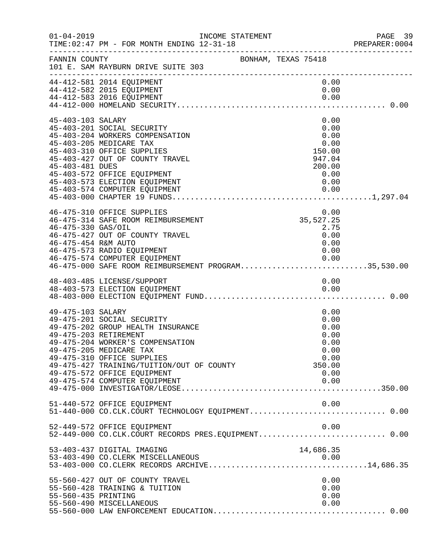| $01 - 04 - 2019$                           | INCOME STATEMENT<br>TIME: 02:47 PM - FOR MONTH ENDING 12-31-18                                                                                                                                                                                                            |                     | 'ATEMENT<br>----------------                                                   | PAGE 39<br>PREPARER:0004 |
|--------------------------------------------|---------------------------------------------------------------------------------------------------------------------------------------------------------------------------------------------------------------------------------------------------------------------------|---------------------|--------------------------------------------------------------------------------|--------------------------|
| FANNIN COUNTY                              | 101 E. SAM RAYBURN DRIVE SUITE 303                                                                                                                                                                                                                                        | BONHAM, TEXAS 75418 |                                                                                |                          |
|                                            | 44-412-581 2014 EQUIPMENT<br>44-412-582 2015 EQUIPMENT<br>44-412-583 2016 EQUIPMENT                                                                                                                                                                                       |                     | 0.00<br>0.00                                                                   |                          |
| 45-403-103 SALARY<br>45-403-481 DUES       | 45-403-201 SOCIAL SECURITY<br>45-403-204 WORKERS COMPENSATION<br>45-403-205 MEDICARE TAX<br>45-403-310 OFFICE SUPPLIES<br>45-403-427 OUT OF COUNTY TRAVEL<br>45-403-572 OFFICE EQUIPMENT<br>45-403-573 ELECTION EQUIPMENT                                                 |                     | 0.00<br>0.00<br>0.00<br>0.00<br>150.00<br>947.04<br>200.00<br>0.00<br>0.00     |                          |
| 46-475-330 GAS/OIL<br>46-475-454 R&M AUTO  | 46-475-310 OFFICE SUPPLIES<br>46-475-314 SAFE ROOM REIMBURSEMENT<br>46-475-427 OUT OF COUNTY TRAVEL<br>46-475-573 RADIO EQUIPMENT<br>46-475-574 COMPUTER EQUIPMENT<br>46-475-574 COMPUTER EQUIPMENT<br>46-475-000 SAFE ROOM REIMBURSEMENT PROGRAM35,530.00                |                     | 0.00<br>$35,527.25$<br>2.75<br>2.75<br>0.00<br>0.00<br>0.00<br>0.00            |                          |
|                                            | 48-403-485 LICENSE/SUPPORT                                                                                                                                                                                                                                                |                     | 0.00                                                                           |                          |
| 49-475-103 SALARY<br>49-475-203 RETIREMENT | 49-475-201 SOCIAL SECURITY<br>49-475-202 GROUP HEALTH INSURANCE<br>49-475-204 WORKER'S COMPENSATION<br>49-475-205 MEDICARE TAX<br>49-475-310 OFFICE SUPPLIES<br>49-475-427 TRAINING/TUITION/OUT OF COUNTY<br>49-475-572 OFFICE EQUIPMENT<br>49-475-574 COMPUTER EQUIPMENT |                     | 0.00<br>0.00<br>0.00<br>0.00<br>0.00<br>0.00<br>0.00<br>350.00<br>0.00<br>0.00 |                          |
|                                            | 51-440-572 OFFICE EQUIPMENT                                                                                                                                                                                                                                               |                     | 0.00                                                                           |                          |
|                                            | 52-449-572 OFFICE EQUIPMENT<br>52-449-000 CO.CLK.COURT RECORDS PRES.EQUIPMENT 0.00                                                                                                                                                                                        |                     | 0.00                                                                           |                          |
|                                            | 53-403-437 DIGITAL IMAGING                                                                                                                                                                                                                                                |                     | 14,686.35                                                                      |                          |
| 55-560-435 PRINTING                        | 55-560-427 OUT OF COUNTY TRAVEL<br>55-560-428 TRAINING & TUITION<br>55-560-490 MISCELLANEOUS                                                                                                                                                                              |                     | 0.00<br>0.00<br>0.00<br>0.00                                                   |                          |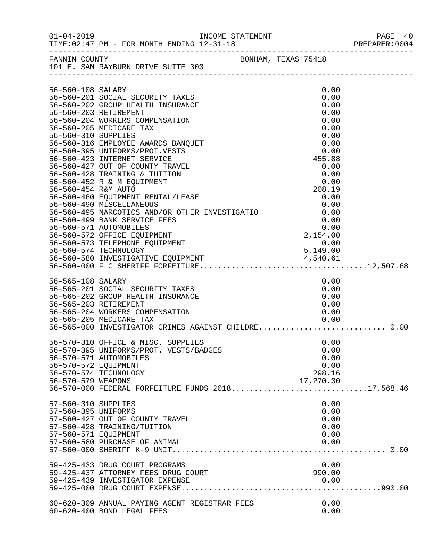|                                                                    |                                                                                                                                                                                                                                                                                                                                                                                                                                                                                                                                                                                                                                                                                                                                                                                    |  |                                                                                                                                                                                          | PREPARER: 0004 |
|--------------------------------------------------------------------|------------------------------------------------------------------------------------------------------------------------------------------------------------------------------------------------------------------------------------------------------------------------------------------------------------------------------------------------------------------------------------------------------------------------------------------------------------------------------------------------------------------------------------------------------------------------------------------------------------------------------------------------------------------------------------------------------------------------------------------------------------------------------------|--|------------------------------------------------------------------------------------------------------------------------------------------------------------------------------------------|----------------|
|                                                                    | FANNIN COUNTY<br>101 E. SAM RAYBURN DRIVE SUITE 303                                                                                                                                                                                                                                                                                                                                                                                                                                                                                                                                                                                                                                                                                                                                |  |                                                                                                                                                                                          |                |
| 56-560-108 SALARY<br>56-560-310 SUPPLIES                           | 56-560-201 SOCIAL SECURITY TAXES<br>56-560-202 GROUP HEALTH INSURANCE<br>56-560-203 RETIREMENT<br>56-560-204 WORKERS COMPENSATION<br>56-560-205 MEDICARE TAX<br>56-560-316 EMPLOYEE AWARDS BANQUET<br>56-560-395 UNIFORMS/PROT.VESTS<br>56-560-423 INTERNET SERVICE<br>56-560-427 OUT OF COUNTY TRAVEL<br>56-560-427 OUT OF COUNTY TRAVEL<br>56-560-428 TRAINING & TUITION<br>56-560-452 R & M EQUIPMENT<br>56-560-454 R&M AUTO<br>56-560-460 EQUIPMENT RENTAL/LEASE<br>56-560-490 MISCELLANEOUS<br>0.00 122 111221111211203<br>56-560-495 NARCOTICS AND/OR OTHER INVESTIGATIO 0.00<br>56-560-499 BANK SERVICE FEES 0.00<br>56-560-571 AUTOMOBILES<br>56-560-572 OFFICE EQUIPMENT<br>56-560-573 TELEPHONE EQUIPMENT<br>56-560-574 TECHNOLOGY<br>56-560-580 INVESTIGATIVE EQUIPMENT |  | 0.00<br>0.00<br>0.00<br>0.00<br>0.00<br>0.00<br>0.00<br>0.00<br>0.00<br>455.88<br>0.00<br>0.00<br>0.00<br>208.19<br>0.00<br>$0.00$<br>0.00<br>0.154.00<br>2,154.00<br>$0.00$<br>5,149.00 |                |
|                                                                    |                                                                                                                                                                                                                                                                                                                                                                                                                                                                                                                                                                                                                                                                                                                                                                                    |  |                                                                                                                                                                                          |                |
| 56-565-108 SALARY                                                  | 56-565-201 SOCIAL SECURITY TAXES<br>56-565-202 GROUP HEALTH INSURANCE<br>56-565-203 RETIREMENT<br>56-565-204 WORKERS COMPENSATION<br>56-565-205 MEDICARE TAX<br>56-565-000 INVESTIGATOR CRIMES AGAINST CHILDRE 0.00                                                                                                                                                                                                                                                                                                                                                                                                                                                                                                                                                                |  | 0.00<br>0.00<br>0.00<br>0.00<br>0.00<br>0.00                                                                                                                                             |                |
| 56-570-572 EQUIPMENT<br>56-570-579 WEAPONS                         | 56-570-310 OFFICE & MISC. SUPPLIES<br>56-570-395 UNIFORMS/PROT. VESTS/BADGES<br>56-570-571 AUTOMOBILES<br>56-570-574 TECHNOLOGY<br>56-570-000 FEDERAL FORFEITURE FUNDS 201817,568.46                                                                                                                                                                                                                                                                                                                                                                                                                                                                                                                                                                                               |  | 0.00<br>0.00<br>0.00<br>0.00<br>298.16<br>17,270.30                                                                                                                                      |                |
| 57-560-310 SUPPLIES<br>57-560-395 UNIFORMS<br>57-560-571 EQUIPMENT | 57-560-427 OUT OF COUNTY TRAVEL<br>57-560-428 TRAINING/TUITION<br>57-560-580 PURCHASE OF ANIMAL                                                                                                                                                                                                                                                                                                                                                                                                                                                                                                                                                                                                                                                                                    |  | 0.00<br>0.00<br>0.00<br>0.00<br>0.00<br>0.00                                                                                                                                             |                |
|                                                                    | 59-425-433 DRUG COURT PROGRAMS<br>59-425-437 ATTORNEY FEES DRUG COURT<br>59-425-439 INVESTIGATOR EXPENSE                                                                                                                                                                                                                                                                                                                                                                                                                                                                                                                                                                                                                                                                           |  | 0.00<br>990.00<br>0.00                                                                                                                                                                   |                |
|                                                                    | 60-620-309 ANNUAL PAYING AGENT REGISTRAR FEES<br>60-620-400 BOND LEGAL FEES                                                                                                                                                                                                                                                                                                                                                                                                                                                                                                                                                                                                                                                                                                        |  | 0.00<br>0.00                                                                                                                                                                             |                |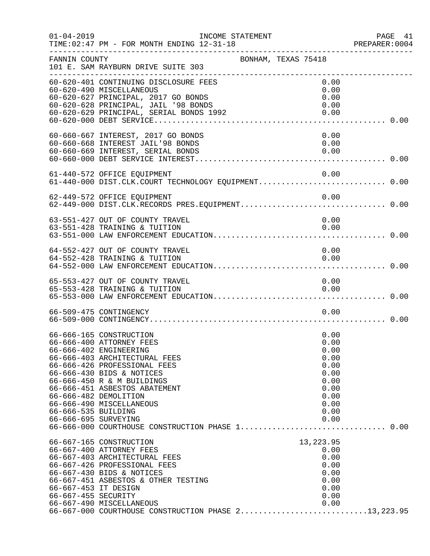| $01 - 04 - 2019$                            | INCOME STATEMENT<br>TIME: 02:47 PM - FOR MONTH ENDING 12-31-18                                                                                                                                                                                                                                                                                     |                                                                                              | PAGE 41<br>PREPARER: 0004<br>___________________ |
|---------------------------------------------|----------------------------------------------------------------------------------------------------------------------------------------------------------------------------------------------------------------------------------------------------------------------------------------------------------------------------------------------------|----------------------------------------------------------------------------------------------|--------------------------------------------------|
| FANNIN COUNTY                               | BONHAM, TEXAS 75418<br>101 E. SAM RAYBURN DRIVE SUITE 303<br>-------------------------------------                                                                                                                                                                                                                                                 |                                                                                              |                                                  |
|                                             | 60-620-401 CONTINUING DISCLOSURE FEES<br>60-620-490 MISCELLANEOUS<br>60-620-627 PRINCIPAL, 2017 GO BONDS<br>60-620-628 PRINCIPAL, JAIL '98 BONDS<br>60-620-629 PRINCIPAL, SERIAL BONDS 1992                                                                                                                                                        | 0.00<br>0.00<br>0.00<br>0.00<br>0.00                                                         |                                                  |
|                                             | 60-660-667 INTEREST, 2017 GO BONDS<br>60-660-668 INTEREST JAIL'98 BONDS<br>60-660-669 INTEREST, SERIAL BONDS                                                                                                                                                                                                                                       | 0.00<br>0.00<br>0.00                                                                         |                                                  |
|                                             | 61-440-572 OFFICE EQUIPMENT<br>61-440-000 DIST.CLK.COURT TECHNOLOGY EQUIPMENT 0.00                                                                                                                                                                                                                                                                 | 0.00                                                                                         |                                                  |
|                                             | 62-449-572 OFFICE EQUIPMENT                                                                                                                                                                                                                                                                                                                        | 0.00                                                                                         |                                                  |
|                                             | 63-551-427 OUT OF COUNTY TRAVEL<br>63-551-428 TRAINING & TUITION                                                                                                                                                                                                                                                                                   | 0.00<br>0.00                                                                                 |                                                  |
|                                             | 64-552-427 OUT OF COUNTY TRAVEL<br>64-552-428 TRAINING & TUITION                                                                                                                                                                                                                                                                                   | 0.00<br>0.00                                                                                 |                                                  |
|                                             | 65-553-427 OUT OF COUNTY TRAVEL<br>65-553-428 TRAINING & TUITION                                                                                                                                                                                                                                                                                   | 0.00<br>0.00                                                                                 |                                                  |
|                                             | 66-509-475 CONTINGENCY                                                                                                                                                                                                                                                                                                                             | 0.00                                                                                         |                                                  |
| 66-666-535 BUILDING<br>66-666-695 SURVEYING | 66-666-165 CONSTRUCTION<br>66-666-400 ATTORNEY FEES<br>66-666-402 ENGINEERING<br>66-666-403 ARCHITECTURAL FEES<br>66-666-426 PROFESSIONAL FEES<br>66-666-430 BIDS & NOTICES<br>66-666-450 R & M BUILDINGS<br>66-666-451 ASBESTOS ABATEMENT<br>66-666-482 DEMOLITION<br>66-666-490 MISCELLANEOUS<br>66-666-000 COURTHOUSE CONSTRUCTION PHASE 1 0.00 | 0.00<br>0.00<br>0.00<br>0.00<br>0.00<br>0.00<br>0.00<br>0.00<br>0.00<br>0.00<br>0.00<br>0.00 |                                                  |
| 66-667-453 IT DESIGN<br>66-667-455 SECURITY | 66-667-165 CONSTRUCTION<br>66-667-400 ATTORNEY FEES<br>66-667-403 ARCHITECTURAL FEES<br>66-667-426 PROFESSIONAL FEES<br>66-667-430 BIDS & NOTICES<br>66-667-451 ASBESTOS & OTHER TESTING<br>66-667-490 MISCELLANEOUS<br>00-007-430 MISCEDIANEOUS<br>66-667-000 COURTHOUSE CONSTRUCTION PHASE 213,223.95                                            | 13, 223.95<br>0.00<br>0.00<br>0.00<br>0.00<br>0.00<br>0.00<br>0.00<br>0.00                   |                                                  |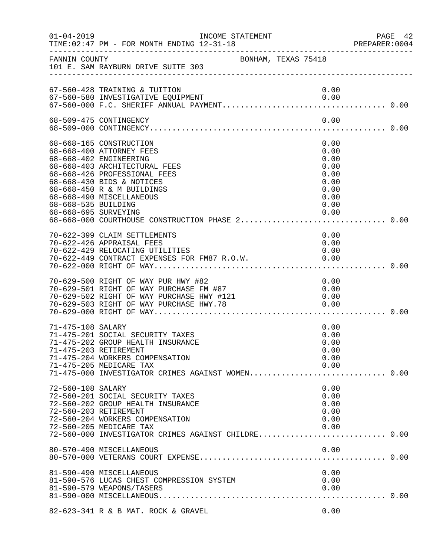| $01 - 04 - 2019$                            | INCOME STATEMENT<br>TIME: 02:47 PM - FOR MONTH ENDING 12-31-18                                                                                                                                                                                          |                                                                              | PAGE 42<br>PREPARER: 0004 |
|---------------------------------------------|---------------------------------------------------------------------------------------------------------------------------------------------------------------------------------------------------------------------------------------------------------|------------------------------------------------------------------------------|---------------------------|
| FANNIN COUNTY                               | BONHAM, TEXAS 75418<br>101 E. SAM RAYBURN DRIVE SUITE 303                                                                                                                                                                                               |                                                                              |                           |
|                                             | 67-560-428 TRAINING & TUITION                                                                                                                                                                                                                           | 0.00                                                                         |                           |
|                                             | 68-509-475 CONTINGENCY                                                                                                                                                                                                                                  | 0.00                                                                         |                           |
| 68-668-535 BUILDING<br>68-668-695 SURVEYING | 68-668-165 CONSTRUCTION<br>68-668-400 ATTORNEY FEES<br>68-668-402 ENGINEERING<br>68-668-403 ARCHITECTURAL FEES<br>68-668-426 PROFESSIONAL FEES<br>68-668-430 BIDS & NOTICES<br>68-668-450 R & M BUILDINGS<br>68-668-490 MISCELLANEOUS                   | 0.00<br>0.00<br>0.00<br>0.00<br>0.00<br>0.00<br>0.00<br>0.00<br>0.00<br>0.00 |                           |
|                                             | 70-622-399 CLAIM SETTLEMENTS<br>70-622-426 APPRAISAL FEES<br>70-622-429 RELOCATING UTILITIES                                                                                                                                                            | 0.00<br>0.00<br>0.00                                                         |                           |
|                                             | 70-629-500 RIGHT OF WAY PUR HWY #82<br>70-629-500 RIGHT OF WAY PUR HWY #82<br>70-629-501 RIGHT OF WAY PURCHASE FM #87 0.00<br>70-629-502 RIGHT OF WAY PURCHASE HWY #121 0.00<br>70-629-503 RIGHT OF WAY PURCHASE HWY.78 0.00<br>70-629-000 RIGHT OF WAY | 0.00                                                                         |                           |
| 71-475-108 SALARY                           | 71-475-201 SOCIAL SECURITY TAXES<br>71-475-202 GROUP HEALTH INSURANCE<br>71-475-203 RETIREMENT<br>71-475-204 WORKERS COMPENSATION<br>71-475-205 MEDICARE TAX<br>71-475-000 INVESTIGATOR CRIMES AGAINST WOMEN 0.00                                       | 0.00<br>0.00<br>0.00<br>0.00<br>0.00<br>0.00                                 |                           |
| 72-560-108 SALARY                           | 72-560-201 SOCIAL SECURITY TAXES<br>72-560-202 GROUP HEALTH INSURANCE<br>72-560-203 RETIREMENT<br>72-560-204 WORKERS COMPENSATION<br>72-560-205 MEDICARE TAX<br>72-560-000 INVESTIGATOR CRIMES AGAINST CHILDRE 0.00                                     | 0.00<br>0.00<br>0.00<br>0.00<br>0.00<br>0.00                                 |                           |
|                                             | 80-570-490 MISCELLANEOUS                                                                                                                                                                                                                                | 0.00                                                                         |                           |
|                                             | 81-590-490 MISCELLANEOUS<br>81-590-576 LUCAS CHEST COMPRESSION SYSTEM<br>81-590-579 WEAPONS/TASERS                                                                                                                                                      | 0.00<br>0.00<br>0.00                                                         |                           |
|                                             | 82-623-341 R & B MAT. ROCK & GRAVEL                                                                                                                                                                                                                     | 0.00                                                                         |                           |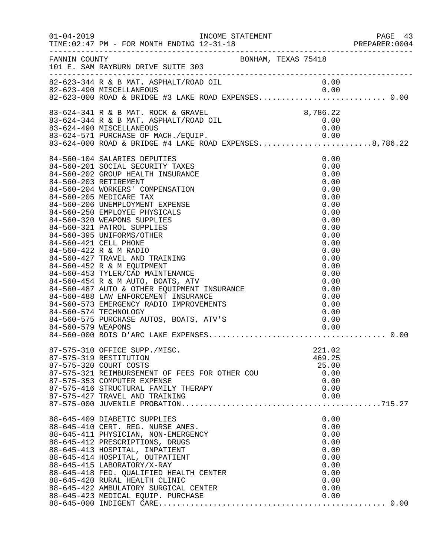| $01 - 04 - 2019$   | TIME: 02:47 PM - FOR MONTH ENDING 12-31-18                                                                                                                                                                                                                                                                                                                                                                                                                                                                                                                                                                                                                                                                                                                             |                                                                                                                                                                                      |  |
|--------------------|------------------------------------------------------------------------------------------------------------------------------------------------------------------------------------------------------------------------------------------------------------------------------------------------------------------------------------------------------------------------------------------------------------------------------------------------------------------------------------------------------------------------------------------------------------------------------------------------------------------------------------------------------------------------------------------------------------------------------------------------------------------------|--------------------------------------------------------------------------------------------------------------------------------------------------------------------------------------|--|
| FANNIN COUNTY      | BONHAM, TEXAS 75418<br>101 E. SAM RAYBURN DRIVE SUITE 303                                                                                                                                                                                                                                                                                                                                                                                                                                                                                                                                                                                                                                                                                                              |                                                                                                                                                                                      |  |
|                    | -----------------<br>82-623-344 R & B MAT. ASPHALT/ROAD OIL<br>82-623-490 MISCELLANEOUS 0.00<br>82-623-000 ROAD & BRIDGE #3 LAKE ROAD EXPENSES0.00                                                                                                                                                                                                                                                                                                                                                                                                                                                                                                                                                                                                                     | 0.00                                                                                                                                                                                 |  |
|                    |                                                                                                                                                                                                                                                                                                                                                                                                                                                                                                                                                                                                                                                                                                                                                                        |                                                                                                                                                                                      |  |
|                    | 8,786.22<br>8,786.22 B MAT. ASPHALT/ROAD OIL 83-624-490 MTSCELL 83-624-490                                                                                                                                                                                                                                                                                                                                                                                                                                                                                                                                                                                                                                                                                             | 0.00                                                                                                                                                                                 |  |
|                    | 83-624-571 PURCHASE OF MACH./EQUIP. 0.00<br>83-624-000 ROAD & BRIDGE #4 LAKE ROAD EXPENSES8,786.22                                                                                                                                                                                                                                                                                                                                                                                                                                                                                                                                                                                                                                                                     |                                                                                                                                                                                      |  |
| 84-560-579 WEAPONS | 84-560-104 SALARIES DEPUTIES<br>84-560-201 SOCIAL SECURITY TAXES<br>84-560-202 GROUP HEALTH INSURANCE<br>84-560-203 RETIREMENT<br>84-560-204 WORKERS' COMPENSATION<br>84-560-205 MEDICARE TAX<br>84-560-206 UNEMPLOYMENT EXPENSE<br>84-560-250 EMPLOYEE PHYSICALS<br>84-560-320 WEAPONS SUPPLIES<br>84-560-321 PATROL SUPPLIES<br>84-560-395 UNIFORMS/OTHER<br>84-560-421 CELL PHONE<br>84-560-422 R & M RADIO<br>84-560-427 TRAVEL AND TRAINING<br>84-560-452 R & M EQUIPMENT<br>84-560-453 TYLER/CAD MAINTENANCE<br>84-560-453 TYLER/CAD MAINTENANCE<br>84-560-454 R & M AUTO, BOATS, ATV<br>84-560-487 AUTO & OTHER EQUIPMENT INSURANCE<br>84-560-488 LAW ENFORCEMENT INSURANCE<br>84-560-573 EMERGENCY RADIO IMPROVEMENTS<br>84-560-574 TECHNOLOGY<br>84-560-575 P | 0.00<br>0.00<br>0.00<br>0.00<br>0.00<br>0.00<br>0.00<br>0.00<br>0.00<br>0.00<br>0.00<br>0.00<br>0.00<br>0.00<br>0.00<br>0.00<br>0.00<br>0.00<br>0.00<br>0.00<br>0.00<br>0.00<br>0.00 |  |
|                    | 87-575-310 OFFICE SUPP./MISC.<br>87-575-319 RESTITUTION<br>87-575-320 COURT COSTS<br>87-575-321 REIMBURSEMENT OF FEES FOR OTHER COU<br>87-575-353 COMPUTER EXPENSE<br>87-575-416 STRUCTURAL FAMILY THERAPY<br>87-575-427 TRAVEL AND TRAINING                                                                                                                                                                                                                                                                                                                                                                                                                                                                                                                           | 221.02<br>469.25<br>25.00<br>0.00<br>0.00<br>0.00<br>0.00                                                                                                                            |  |
|                    | 88-645-409 DIABETIC SUPPLIES<br>88-645-410 CERT. REG. NURSE ANES.<br>88-645-411 PHYSICIAN, NON-EMERGENCY<br>88-645-412 PRESCRIPTIONS, DRUGS<br>88-645-413 HOSPITAL, INPATIENT<br>88-645-414 HOSPITAL, OUTPATIENT<br>88-645-415 LABORATORY/X-RAY<br>$88-645-418$ FED. QUALIFIED HEALTH CENTER<br>88-645-420 RURAL HEALTH CLINIC<br>88-645-422 AMBULATORY SURGICAL CENTER<br>88-645-423 MEDICAL EQUIP. PURCHASE                                                                                                                                                                                                                                                                                                                                                          | 0.00<br>0.00<br>0.00<br>0.00<br>0.00<br>0.00<br>0.00<br>0.00<br>0.00<br>0.00<br>0.00                                                                                                 |  |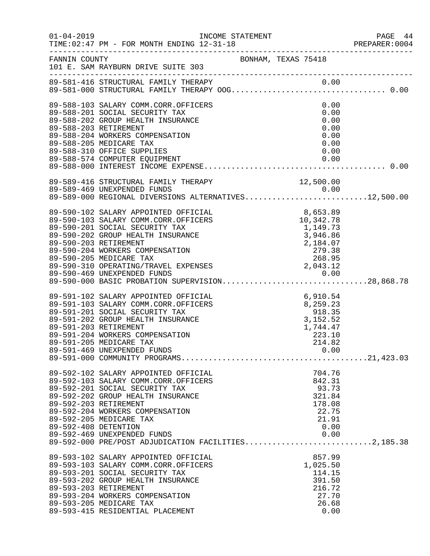|                      | INCOME STATEMENT                                                                                                                                                                                                                                                                                                                                                     |                                                                                                                             | PAGE 44<br>PREPARER:0004 |
|----------------------|----------------------------------------------------------------------------------------------------------------------------------------------------------------------------------------------------------------------------------------------------------------------------------------------------------------------------------------------------------------------|-----------------------------------------------------------------------------------------------------------------------------|--------------------------|
| FANNIN COUNTY        | 101 E. SAM RAYBURN DRIVE SUITE 303                                                                                                                                                                                                                                                                                                                                   | BONHAM, TEXAS 75418                                                                                                         |                          |
|                      |                                                                                                                                                                                                                                                                                                                                                                      |                                                                                                                             |                          |
|                      | 89-588-103 SALARY COMM.CORR.OFFICERS<br>89-588-201 SOCIAL SECURITY TAX<br>89-588-202 GROUP HEALTH INSURANCE<br>89-588-203 RETIREMENT<br>89-588-204 WORKERS COMPENSATION<br>89-588-205 MEDICARE TAX<br>89-588-310 OFFICE SUPPLIES<br>89-588-574 COMPUTER EQUIPMENT                                                                                                    | 0.00<br>0.00<br>0.00<br>0.00<br>0.00<br>0.00<br>0.00<br>0.00                                                                |                          |
|                      | 89-589-416 STRUCTURAL FAMILY THERAPY<br>89-589-469 UNEXPENDED FUNDS<br>89-589-000 REGIONAL DIVERSIONS ALTERNATIVES12,500.00                                                                                                                                                                                                                                          | 12,500.00                                                                                                                   |                          |
|                      | 89-590-102 SALARY APPOINTED OFFICIAL<br>89-590-103 SALARY COMM.CORR.OFFICERS<br>89-590-201 SOCIAL SECURITY TAX<br>89-590-202 GROUP HEALTH INSURANCE<br>89-590-203 RETIREMENT<br>89-590-204 WORKERS COMPENSATION<br>89-590-205 MEDICARE TAX<br>89-590-310 OPERATING/TRAVEL EXPENSES<br>89-590-469 UNEXPENDED FUNDS<br>89-590-000 BASIC PROBATION SUPERVISION28,868.78 | $\begin{array}{r} 8,653.89 \\ 10,342.78 \\ 1,149.73 \\ 3,946.86 \\ 2,184.07 \\ 279.38 \\ 268.95 \\ 2,043.12 \\ \end{array}$ |                          |
|                      | 89-591-102 SALARY APPOINTED OFFICIAL<br>89-591-103 SALARY COMM.CORR.OFFICERS<br>89-591-201 SOCIAL SECURITY TAX<br>89-591-202 GROUP HEALTH INSURANCE<br>89-591-203 RETIREMENT<br>89-591-204 WORKERS COMPENSATION<br>89-591-205 MEDICARE TAX                                                                                                                           | AL<br>RS 6,910.54<br>8,259.23<br>918.35<br>3,152.52<br>1,744.47<br>1,744.47<br>223.10<br>214.82                             |                          |
| 89-592-408 DETENTION | 89-592-102 SALARY APPOINTED OFFICIAL<br>89-592-103 SALARY COMM.CORR.OFFICERS<br>89-592-201 SOCIAL SECURITY TAX<br>89-592-202 GROUP HEALTH INSURANCE<br>89-592-203 RETIREMENT<br>89-592-204 WORKERS COMPENSATION<br>89-592-205 MEDICARE TAX<br>89-592-469 UNEXPENDED FUNDS<br>89-592-000 PRE/POST ADJUDICATION FACILITIES2,185.38                                     | 704.76<br>842.31<br>93.73<br>321.84<br>178.08<br>22.75<br>21.91<br>0.00<br>0.00                                             |                          |
|                      | 89-593-102 SALARY APPOINTED OFFICIAL<br>89-593-103 SALARY COMM.CORR.OFFICERS<br>89-593-201 SOCIAL SECURITY TAX<br>89-593-202 GROUP HEALTH INSURANCE<br>89-593-203 RETIREMENT<br>89-593-204 WORKERS COMPENSATION<br>89-593-205 MEDICARE TAX<br>89-593-415 RESIDENTIAL PLACEMENT                                                                                       | 857.99<br>1,025.50<br>114.15<br>391.50<br>216.72<br>27.70<br>26.68<br>0.00                                                  |                          |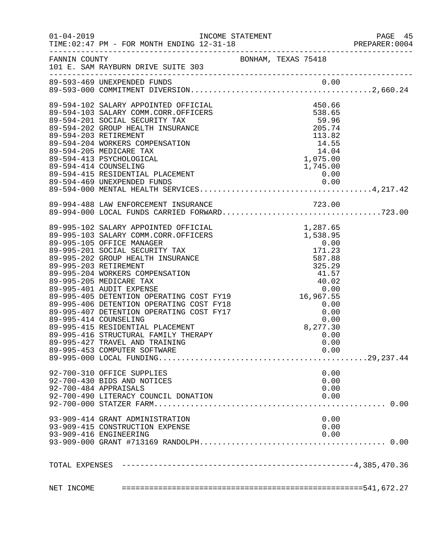| $01 - 04 - 2019$                                                                                                                                                                                                                             |  |  |      | PAGE 45<br>PREPARER: 0004 |
|----------------------------------------------------------------------------------------------------------------------------------------------------------------------------------------------------------------------------------------------|--|--|------|---------------------------|
| FANNIN COUNTY<br>101 E. SAM RAYBURN DRIVE SUITE 303                                                                                                                                                                                          |  |  |      |                           |
|                                                                                                                                                                                                                                              |  |  |      |                           |
|                                                                                                                                                                                                                                              |  |  |      |                           |
| 89-594-102 SALARY APPOINTED OFFICIAL<br>89-594-103 SALARY COMM.CORR.OFFICERS<br>89-594-201 SOCIAL SECURITY TAX<br>89-594-202 GROUP HEALTH INSURANCE<br>89-594-203 RETIREMENT<br>89-594-203 NETIREMENT<br>89-594-205 MEDICARE TAX<br>89-594-4 |  |  |      |                           |
|                                                                                                                                                                                                                                              |  |  |      |                           |
|                                                                                                                                                                                                                                              |  |  |      |                           |
|                                                                                                                                                                                                                                              |  |  |      |                           |
|                                                                                                                                                                                                                                              |  |  |      |                           |
|                                                                                                                                                                                                                                              |  |  |      |                           |
|                                                                                                                                                                                                                                              |  |  |      |                           |
|                                                                                                                                                                                                                                              |  |  |      |                           |
|                                                                                                                                                                                                                                              |  |  |      |                           |
|                                                                                                                                                                                                                                              |  |  |      |                           |
|                                                                                                                                                                                                                                              |  |  |      |                           |
|                                                                                                                                                                                                                                              |  |  |      |                           |
| 89-994-488 LAW ENFORCEMENT INSURANCE<br>89-994-000 LOCAL FUNDS CARRIED FORWARD723.00                                                                                                                                                         |  |  |      |                           |
|                                                                                                                                                                                                                                              |  |  |      |                           |
|                                                                                                                                                                                                                                              |  |  |      |                           |
|                                                                                                                                                                                                                                              |  |  |      |                           |
|                                                                                                                                                                                                                                              |  |  |      |                           |
|                                                                                                                                                                                                                                              |  |  |      |                           |
|                                                                                                                                                                                                                                              |  |  |      |                           |
|                                                                                                                                                                                                                                              |  |  |      |                           |
|                                                                                                                                                                                                                                              |  |  |      |                           |
|                                                                                                                                                                                                                                              |  |  |      |                           |
|                                                                                                                                                                                                                                              |  |  |      |                           |
|                                                                                                                                                                                                                                              |  |  |      |                           |
|                                                                                                                                                                                                                                              |  |  |      |                           |
|                                                                                                                                                                                                                                              |  |  |      |                           |
|                                                                                                                                                                                                                                              |  |  |      |                           |
|                                                                                                                                                                                                                                              |  |  |      |                           |
|                                                                                                                                                                                                                                              |  |  |      |                           |
|                                                                                                                                                                                                                                              |  |  |      |                           |
| 89-995-453 COMPUTER SOFTWARE                                                                                                                                                                                                                 |  |  | 0.00 |                           |
|                                                                                                                                                                                                                                              |  |  |      |                           |
| 92-700-310 OFFICE SUPPLIES                                                                                                                                                                                                                   |  |  | 0.00 |                           |
| 92-700-430 BIDS AND NOTICES                                                                                                                                                                                                                  |  |  | 0.00 |                           |
| 92-700-484 APPRAISALS                                                                                                                                                                                                                        |  |  | 0.00 |                           |
| 92-700-490 LITERACY COUNCIL DONATION                                                                                                                                                                                                         |  |  | 0.00 |                           |
|                                                                                                                                                                                                                                              |  |  |      |                           |
| 93-909-414 GRANT ADMINISTRATION                                                                                                                                                                                                              |  |  | 0.00 |                           |
| 93-909-415 CONSTRUCTION EXPENSE                                                                                                                                                                                                              |  |  | 0.00 |                           |
| 93-909-416 ENGINEERING                                                                                                                                                                                                                       |  |  | 0.00 |                           |
|                                                                                                                                                                                                                                              |  |  |      |                           |
|                                                                                                                                                                                                                                              |  |  |      |                           |
|                                                                                                                                                                                                                                              |  |  |      |                           |
|                                                                                                                                                                                                                                              |  |  |      |                           |
|                                                                                                                                                                                                                                              |  |  |      |                           |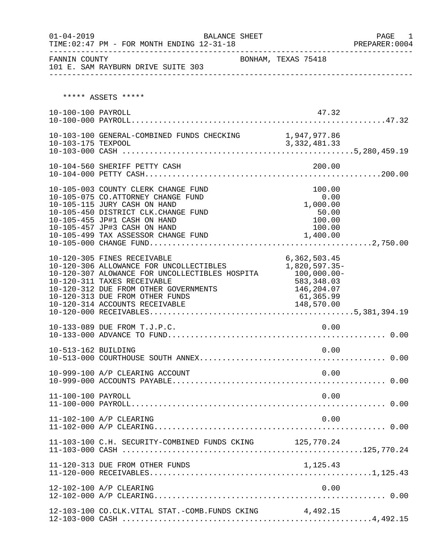| $01 - 04 - 2019$    | TIME: 02:47 PM - FOR MONTH ENDING 12-31-18                                                                                                                                                                                                                                        | <b>BALANCE SHEET</b> |                                                                                        | PAGE 1<br>PREPARER:0004 |
|---------------------|-----------------------------------------------------------------------------------------------------------------------------------------------------------------------------------------------------------------------------------------------------------------------------------|----------------------|----------------------------------------------------------------------------------------|-------------------------|
| FANNIN COUNTY       | 101 E. SAM RAYBURN DRIVE SUITE 303                                                                                                                                                                                                                                                |                      | BONHAM, TEXAS 75418                                                                    |                         |
|                     |                                                                                                                                                                                                                                                                                   |                      |                                                                                        |                         |
|                     | ***** ASSETS *****                                                                                                                                                                                                                                                                |                      |                                                                                        |                         |
| 10-100-100 PAYROLL  |                                                                                                                                                                                                                                                                                   |                      | 47.32                                                                                  |                         |
|                     |                                                                                                                                                                                                                                                                                   |                      |                                                                                        |                         |
|                     | 10-104-560 SHERIFF PETTY CASH                                                                                                                                                                                                                                                     |                      | 200.00                                                                                 |                         |
|                     | 10-105-003 COUNTY CLERK CHANGE FUND<br>10-105-075 CO.ATTORNEY CHANGE FUND<br>10-105-115 JURY CASH ON HAND<br>10-105-450 DISTRICT CLK.CHANGE FUND<br>10-105-455 JP#1 CASH ON HAND<br>10-105-457 JP#3 CASH ON HAND<br>10-105-499 TAX ASSESSOR CHANGE FUND                           |                      | 100.00<br>0.00<br>1,000.00<br>50.00<br>100.00<br>100.00<br>1,400.00                    |                         |
|                     | 10-120-305 FINES RECEIVABLE<br>10-120-306 ALLOWANCE FOR UNCOLLECTIBLES<br>10-120-307 ALOWANCE FOR UNCOLLECTIBLES HOSPITA 100,000.00-<br>10-120-311 TAXES RECEIVABLE<br>10-120-312 DUE FROM OTHER GOVERNMENTS<br>10-120-313 DUE FROM OTHER FUNDS<br>10-120-314 ACCOUNTS RECEIVABLE |                      | 6, 362, 503.45<br>1,820,597.35-<br>583,348.03<br>146,204.07<br>61,365.99<br>148,570.00 |                         |
|                     | 10-133-089 DUE FROM T.J.P.C.                                                                                                                                                                                                                                                      |                      | 0.00                                                                                   |                         |
| 10-513-162 BUILDING |                                                                                                                                                                                                                                                                                   |                      | 0.00                                                                                   |                         |
|                     | 10-999-100 A/P CLEARING ACCOUNT                                                                                                                                                                                                                                                   |                      | 0.00                                                                                   |                         |
| 11-100-100 PAYROLL  |                                                                                                                                                                                                                                                                                   |                      | 0.00                                                                                   |                         |
|                     | 11-102-100 A/P CLEARING                                                                                                                                                                                                                                                           |                      | 0.00                                                                                   |                         |
|                     | 11-103-100 C.H. SECURITY-COMBINED FUNDS CKING 125,770.24                                                                                                                                                                                                                          |                      |                                                                                        |                         |
|                     | 11-120-313 DUE FROM OTHER FUNDS                                                                                                                                                                                                                                                   |                      | 1,125.43                                                                               |                         |
|                     | 12-102-100 A/P CLEARING                                                                                                                                                                                                                                                           |                      | 0.00                                                                                   |                         |
|                     | 12-103-100 CO.CLK.VITAL STAT.-COMB.FUNDS CKING 4,492.15                                                                                                                                                                                                                           |                      |                                                                                        |                         |

12-103-000 CASH .......................................................4,492.15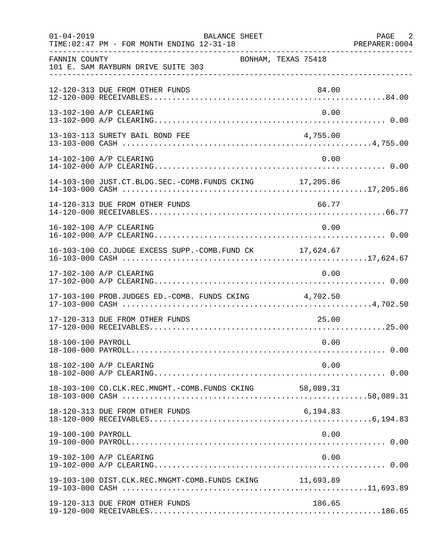| $01 - 04 - 2019$   | <b>BALANCE SHEET</b><br>TIME: 02:47 PM - FOR MONTH ENDING 12-31-18 |                     | PAGE 2<br>PREPARER: 0004 |
|--------------------|--------------------------------------------------------------------|---------------------|--------------------------|
| FANNIN COUNTY      | 101 E. SAM RAYBURN DRIVE SUITE 303                                 | BONHAM, TEXAS 75418 |                          |
|                    | 12-120-313 DUE FROM OTHER FUNDS                                    | 84.00               |                          |
|                    | 13-102-100 A/P CLEARING                                            | 0.00                |                          |
|                    | 13-103-113 SURETY BAIL BOND FEE                                    | 4,755.00            |                          |
|                    | 14-102-100 A/P CLEARING                                            | 0.00                |                          |
|                    | 14-103-100 JUST.CT.BLDG.SEC.-COMB.FUNDS CKING 17,205.86            |                     |                          |
|                    | 14-120-313 DUE FROM OTHER FUNDS                                    | 66.77               |                          |
|                    | 16-102-100 A/P CLEARING                                            | 0.00                |                          |
|                    | 16-103-100 CO.JUDGE EXCESS SUPP.-COMB.FUND CK 17,624.67            |                     |                          |
|                    | 17-102-100 A/P CLEARING                                            | 0.00                |                          |
|                    | 17-103-100 PROB.JUDGES ED.-COMB. FUNDS CKING 4,702.50              |                     |                          |
|                    | 17-120-313 DUE FROM OTHER FUNDS                                    | 25.00               |                          |
| 18-100-100 PAYROLL |                                                                    | 0.00                |                          |
|                    | 18-102-100 A/P CLEARING                                            | 0.00                |                          |
|                    | 18-103-100 CO.CLK.REC.MNGMT.-COMB.FUNDS CKING 58,089.31            |                     |                          |
|                    | 18-120-313 DUE FROM OTHER FUNDS                                    | 6,194.83            |                          |
| 19-100-100 PAYROLL |                                                                    | 0.00                |                          |
|                    | 19-102-100 A/P CLEARING                                            | 0.00                |                          |
|                    | 19-103-100 DIST.CLK.REC.MNGMT-COMB.FUNDS CKING 11,693.89           |                     |                          |
|                    | 19-120-313 DUE FROM OTHER FUNDS                                    | 186.65              |                          |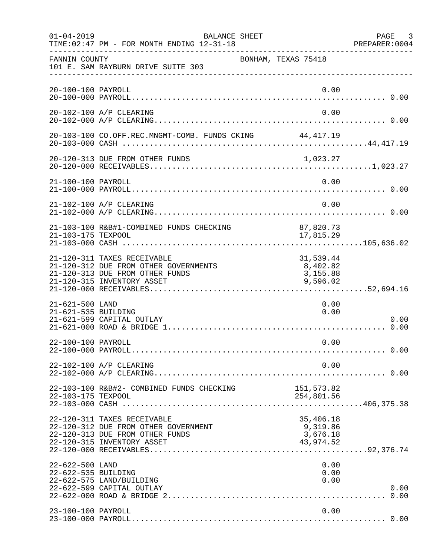| $01 - 04 - 2019$                       | <b>BALANCE SHEET</b><br>TIME: 02:47 PM - FOR MONTH ENDING 12-31-18                                                                    |                                                | PAGE 3<br>PREPARER:0004 |
|----------------------------------------|---------------------------------------------------------------------------------------------------------------------------------------|------------------------------------------------|-------------------------|
| FANNIN COUNTY                          | 101 E. SAM RAYBURN DRIVE SUITE 303                                                                                                    | BONHAM, TEXAS 75418                            |                         |
| 20-100-100 PAYROLL                     |                                                                                                                                       | 0.00                                           |                         |
|                                        | 20-102-100 A/P CLEARING                                                                                                               | 0.00                                           |                         |
|                                        | 20-103-100 CO.OFF.REC.MNGMT-COMB. FUNDS CKING 44,417.19                                                                               |                                                |                         |
|                                        | 20-120-313 DUE FROM OTHER FUNDS                                                                                                       | 1,023.27                                       |                         |
| 21-100-100 PAYROLL                     |                                                                                                                                       | 0.00                                           |                         |
|                                        | 21-102-100 A/P CLEARING                                                                                                               | 0.00                                           |                         |
| 21-103-175 TEXPOOL                     | 21-103-100 R&B#1-COMBINED FUNDS CHECKING                                                                                              | 87,820.73<br>17,815.29                         |                         |
|                                        | 21-120-311 TAXES RECEIVABLE<br>21-120-312 DUE FROM OTHER GOVERNMENTS<br>21-120-313 DUE FROM OTHER FUNDS<br>21-120-315 INVENTORY ASSET | 31,539.44<br>8,402.82<br>3,155.88<br>9,596.02  |                         |
| 21-621-500 LAND<br>21-621-535 BUILDING | 21-621-599 CAPITAL OUTLAY                                                                                                             | 0.00<br>0.00                                   | 0.00                    |
| 22-100-100 PAYROLL                     |                                                                                                                                       | 0.00                                           |                         |
|                                        | 22-102-100 A/P CLEARING                                                                                                               | 0.00                                           |                         |
| 22-103-175 TEXPOOL                     | 22-103-100 R&B#2- COMBINED FUNDS CHECKING                                                                                             | 151,573.82<br>254,801.56                       |                         |
|                                        | 22-120-311 TAXES RECEIVABLE<br>22-120-312 DUE FROM OTHER GOVERNMENT<br>22-120-313 DUE FROM OTHER FUNDS<br>22-120-315 INVENTORY ASSET  | 35,406.18<br>9,319.86<br>3,676.18<br>43,974.52 |                         |
| 22-622-500 LAND<br>22-622-535 BUILDING | 22-622-575 LAND/BUILDING<br>22-622-599 CAPITAL OUTLAY                                                                                 | 0.00<br>0.00<br>0.00                           | 0.00                    |
| 23-100-100 PAYROLL                     |                                                                                                                                       | 0.00                                           |                         |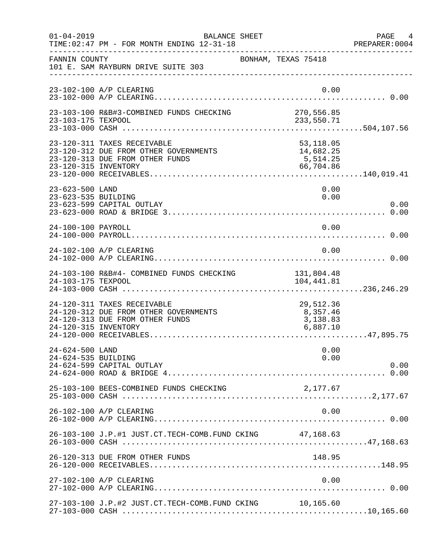| $01 - 04 - 2019$                       | BALANCE SHEET<br>TIME: 02:47 PM - FOR MONTH ENDING 12-31-18                                             |                                                   | PAGE 4<br>PREPARER: 0004 |
|----------------------------------------|---------------------------------------------------------------------------------------------------------|---------------------------------------------------|--------------------------|
| FANNIN COUNTY                          | 101 E. SAM RAYBURN DRIVE SUITE 303                                                                      | BONHAM, TEXAS 75418                               |                          |
|                                        | 23-102-100 A/P CLEARING                                                                                 | 0.00                                              |                          |
| 23-103-175 TEXPOOL                     | 23-103-100 R&B#3-COMBINED FUNDS CHECKING                                                                | 270,556.85<br>233,550.71                          |                          |
| 23-120-315 INVENTORY                   | 23-120-311 TAXES RECEIVABLE<br>23-120-312 DUE FROM OTHER GOVERNMENTS<br>23-120-313 DUE FROM OTHER FUNDS | 53, 118.05<br>14,682.25<br>5, 514.25<br>66,704.86 |                          |
| 23-623-500 LAND<br>23-623-535 BUILDING | 23-623-599 CAPITAL OUTLAY                                                                               | 0.00<br>0.00                                      | 0.00                     |
| 24-100-100 PAYROLL                     |                                                                                                         | 0.00                                              |                          |
|                                        | 24-102-100 A/P CLEARING                                                                                 | 0.00                                              |                          |
| 24-103-175 TEXPOOL                     | 24-103-100 R&B#4- COMBINED FUNDS CHECKING                                                               | 131,804.48<br>104,441.81                          |                          |
| 24-120-315 INVENTORY                   | 24-120-311 TAXES RECEIVABLE<br>24-120-312 DUE FROM OTHER GOVERNMENTS<br>24-120-313 DUE FROM OTHER FUNDS | 29,512.36<br>8,357.46<br>3,138.83<br>6,887.10     |                          |
| 24-624-500 LAND<br>24-624-535 BUILDING | 24-624-599 CAPITAL OUTLAY                                                                               | 0.00<br>0.00                                      | 0.00                     |
|                                        | 25-103-100 BEES-COMBINED FUNDS CHECKING                                                                 | 2,177.67                                          |                          |
|                                        | 26-102-100 A/P CLEARING                                                                                 | 0.00                                              |                          |
|                                        | 26-103-100 J.P.#1 JUST.CT.TECH-COMB.FUND CKING 47,168.63                                                |                                                   |                          |
|                                        | 26-120-313 DUE FROM OTHER FUNDS                                                                         | 148.95                                            |                          |
|                                        | 27-102-100 A/P CLEARING                                                                                 | 0.00                                              |                          |
|                                        | 27-103-100 J.P.#2 JUST.CT.TECH-COMB.FUND CKING 10,165.60                                                |                                                   |                          |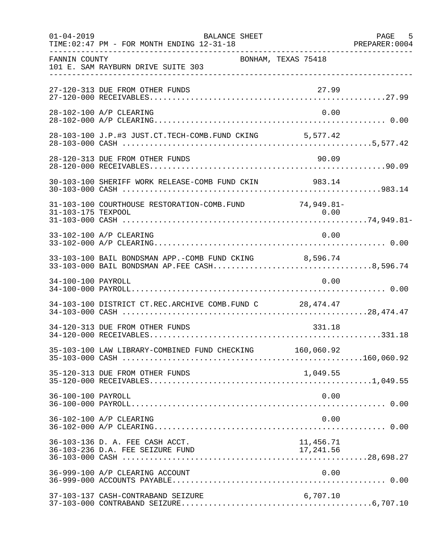| $01 - 04 - 2019$   | <b>BALANCE SHEET</b><br>TIME: 02:47 PM - FOR MONTH ENDING 12-31-18  |                         | PAGE 5 |
|--------------------|---------------------------------------------------------------------|-------------------------|--------|
| FANNIN COUNTY      | 101 E. SAM RAYBURN DRIVE SUITE 303                                  | BONHAM, TEXAS 75418     |        |
|                    | 27-120-313 DUE FROM OTHER FUNDS                                     | 27.99                   |        |
|                    | 28-102-100 A/P CLEARING                                             | 0.00                    |        |
|                    | 28-103-100 J.P.#3 JUST.CT.TECH-COMB.FUND CKING 5,577.42             |                         |        |
|                    | 28-120-313 DUE FROM OTHER FUNDS                                     | 90.09                   |        |
|                    | 30-103-100 SHERIFF WORK RELEASE-COMB FUND CKIN 983.14               |                         |        |
|                    | 31-103-100 COURTHOUSE RESTORATION-COMB. FUND 74,949.81-             |                         |        |
|                    | 33-102-100 A/P CLEARING                                             | 0.00                    |        |
|                    | 33-103-100 BAIL BONDSMAN APP.-COMB FUND CKING 8,596.74              |                         |        |
| 34-100-100 PAYROLL |                                                                     | 0.00                    |        |
|                    | 34-103-100 DISTRICT CT.REC.ARCHIVE COMB.FUND C 28,474.47            |                         |        |
|                    | 34-120-313 DUE FROM OTHER FUNDS                                     | 331.18                  |        |
|                    | 35-103-100 LAW LIBRARY-COMBINED FUND CHECKING 160,060.92            |                         |        |
|                    | 35-120-313 DUE FROM OTHER FUNDS                                     | 1,049.55                |        |
| 36-100-100 PAYROLL |                                                                     | 0.00                    |        |
|                    | 36-102-100 A/P CLEARING                                             | 0.00                    |        |
|                    | 36-103-136 D. A. FEE CASH ACCT.<br>36-103-236 D.A. FEE SEIZURE FUND | 11,456.71<br>17, 241.56 |        |
|                    | 36-999-100 A/P CLEARING ACCOUNT                                     | 0.00                    |        |
|                    | 37-103-137 CASH-CONTRABAND SEIZURE                                  | 6,707.10                |        |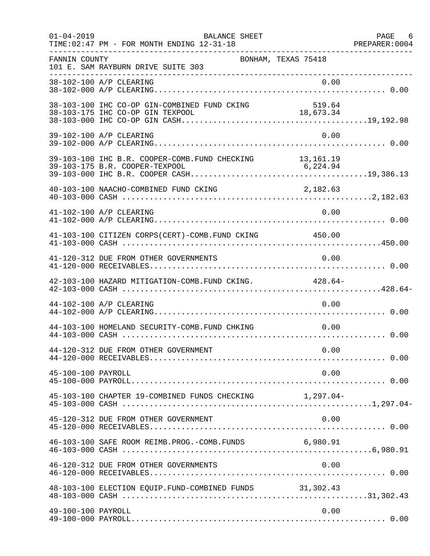| $01 - 04 - 2019$   | BALANCE SHEET<br>TIME: 02:47 PM - FOR MONTH ENDING 12-31-18 |                     | PAGE 6<br>PREPARER: 0004 |
|--------------------|-------------------------------------------------------------|---------------------|--------------------------|
| FANNIN COUNTY      | 101 E. SAM RAYBURN DRIVE SUITE 303                          | BONHAM, TEXAS 75418 |                          |
|                    | 38-102-100 A/P CLEARING                                     | 0.00                |                          |
|                    | 38-103-100 IHC CO-OP GIN-COMBINED FUND CKING                | 519.64              |                          |
|                    | 39-102-100 A/P CLEARING                                     | 0.00                |                          |
|                    | 39-103-100 IHC B.R. COOPER-COMB. FUND CHECKING 13,161.19    |                     |                          |
|                    | 40-103-100 NAACHO-COMBINED FUND CKING                       | 2,182.63            |                          |
|                    | 41-102-100 A/P CLEARING                                     | 0.00                |                          |
|                    | 41-103-100 CITIZEN CORPS(CERT)-COMB. FUND CKING 450.00      |                     |                          |
|                    | 41-120-312 DUE FROM OTHER GOVERNMENTS                       | 0.00                |                          |
|                    | 42-103-100 HAZARD MITIGATION-COMB. FUND CKING. 428.64-      |                     |                          |
|                    | 44-102-100 A/P CLEARING                                     | 0.00                |                          |
|                    | 44-103-100 HOMELAND SECURITY-COMB.FUND CHKING               | 0.00                |                          |
|                    | 44-120-312 DUE FROM OTHER GOVERNMENT                        | 0.00                |                          |
| 45-100-100 PAYROLL |                                                             | 0.00                |                          |
|                    | 45-103-100 CHAPTER 19-COMBINED FUNDS CHECKING 1,297.04-     |                     |                          |
|                    | 45-120-312 DUE FROM OTHER GOVERNMENT                        | 0.00                |                          |
|                    | 46-103-100 SAFE ROOM REIMB. PROG. - COMB. FUNDS 6,980.91    |                     |                          |
|                    | 46-120-312 DUE FROM OTHER GOVERNMENTS                       | 0.00                |                          |
|                    | 48-103-100 ELECTION EQUIP. FUND-COMBINED FUNDS 31,302.43    |                     |                          |
| 49-100-100 PAYROLL |                                                             | 0.00                |                          |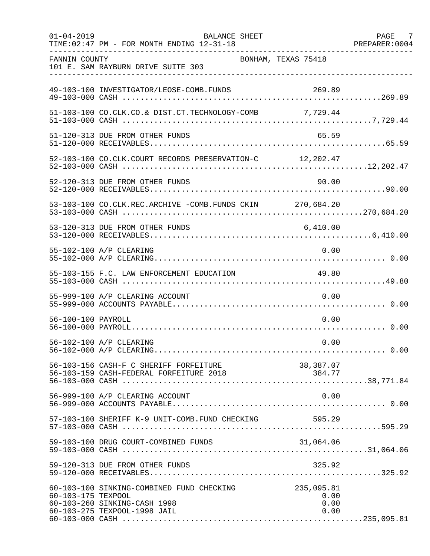| $01 - 04 - 2019$   | <b>BALANCE SHEET</b><br>TIME: 02:47 PM - FOR MONTH ENDING 12-31-18                                        |                                    | PAGE 7<br>PREPARER: 0004 |
|--------------------|-----------------------------------------------------------------------------------------------------------|------------------------------------|--------------------------|
| FANNIN COUNTY      | 101 E. SAM RAYBURN DRIVE SUITE 303                                                                        | BONHAM, TEXAS 75418                |                          |
|                    | 49-103-100 INVESTIGATOR/LEOSE-COMB.FUNDS                                                                  | 269.89                             |                          |
|                    | 51-103-100 CO.CLK.CO.& DIST.CT.TECHNOLOGY-COMB 7,729.44                                                   |                                    |                          |
|                    | 51-120-313 DUE FROM OTHER FUNDS                                                                           | 65.59                              |                          |
|                    | 52-103-100 CO.CLK.COURT RECORDS PRESERVATION-C 12,202.47                                                  |                                    |                          |
|                    | 52-120-313 DUE FROM OTHER FUNDS                                                                           | 90.00                              |                          |
|                    | 53-103-100 CO.CLK.REC.ARCHIVE -COMB.FUNDS CKIN 270,684.20                                                 |                                    |                          |
|                    | 53-120-313 DUE FROM OTHER FUNDS                                                                           | 6,410.00                           |                          |
|                    | 55-102-100 A/P CLEARING                                                                                   | 0.00                               |                          |
|                    | 55-103-155 F.C. LAW ENFORCEMENT EDUCATION                                                                 | 49.80                              |                          |
|                    | 55-999-100 A/P CLEARING ACCOUNT                                                                           | 0.00                               |                          |
| 56-100-100 PAYROLL |                                                                                                           | 0.00                               |                          |
|                    | 56-102-100 A/P CLEARING                                                                                   | 0.00                               |                          |
|                    | 56-103-156 CASH-F C SHERIFF FORFEITURE                                                                    | 38,387.07                          |                          |
|                    | 56-999-100 A/P CLEARING ACCOUNT                                                                           | 0.00                               |                          |
|                    | 57-103-100 SHERIFF K-9 UNIT-COMB.FUND CHECKING                                                            | 595.29                             |                          |
|                    | 59-103-100 DRUG COURT-COMBINED FUNDS                                                                      | 31,064.06                          |                          |
|                    | 59-120-313 DUE FROM OTHER FUNDS                                                                           | 325.92                             |                          |
| 60-103-175 TEXPOOL | 60-103-100 SINKING-COMBINED FUND CHECKING<br>60-103-260 SINKING-CASH 1998<br>60-103-275 TEXPOOL-1998 JAIL | 235,095.81<br>0.00<br>0.00<br>0.00 |                          |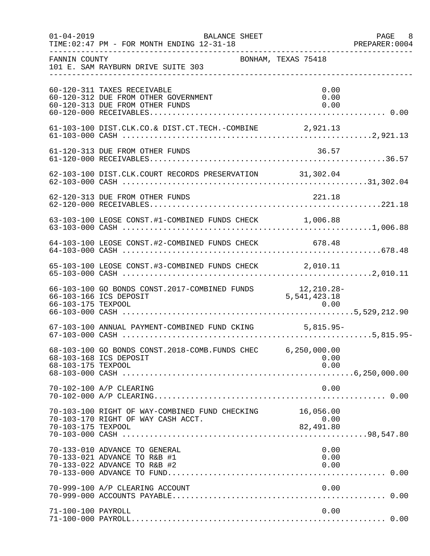| $01 - 04 - 2019$   | BALANCE SHEET<br>TIME: 02:47 PM - FOR MONTH ENDING 12-31-18                                            |                                           | PAGE 8<br>PREPARER:0004 |
|--------------------|--------------------------------------------------------------------------------------------------------|-------------------------------------------|-------------------------|
| FANNIN COUNTY      | 101 E. SAM RAYBURN DRIVE SUITE 303                                                                     | BONHAM, TEXAS 75418                       |                         |
|                    | 60-120-311 TAXES RECEIVABLE<br>60-120-312 DUE FROM OTHER GOVERNMENT<br>60-120-313 DUE FROM OTHER FUNDS | 0.00<br>0.00<br>0.00                      |                         |
|                    | 61-103-100 DIST.CLK.CO.& DIST.CT.TECH.-COMBINE 2,921.13                                                |                                           |                         |
|                    | 61-120-313 DUE FROM OTHER FUNDS                                                                        | 36.57                                     |                         |
|                    | 62-103-100 DIST.CLK.COURT RECORDS PRESERVATION 31,302.04                                               |                                           |                         |
|                    | 62-120-313 DUE FROM OTHER FUNDS                                                                        | 221.18                                    |                         |
|                    | 63-103-100 LEOSE CONST.#1-COMBINED FUNDS CHECK 1,006.88                                                |                                           |                         |
|                    | 64-103-100 LEOSE CONST.#2-COMBINED FUNDS CHECK 678.48                                                  |                                           |                         |
|                    | 65-103-100 LEOSE CONST.#3-COMBINED FUNDS CHECK 2,010.11                                                |                                           |                         |
|                    | 66-103-100 GO BONDS CONST.2017-COMBINED FUNDS<br>66-103-166 ICS DEPOSIT                                | 12,210.28-<br>5,541,423.18                |                         |
|                    | 67-103-100 ANNUAL PAYMENT-COMBINED FUND CKING 5,815.95-                                                |                                           |                         |
| 68-103-175 TEXPOOL | 68-103-100 GO BONDS CONST. 2018-COMB. FUNDS CHEC 6, 250, 000.00<br>68-103-168 ICS DEPOSIT              | 0.00<br>0.00                              |                         |
|                    | 70-102-100 A/P CLEARING                                                                                | 0.00                                      |                         |
| 70-103-175 TEXPOOL | 70-103-100 RIGHT OF WAY-COMBINED FUND CHECKING<br>70-103-170 RIGHT OF WAY CASH ACCT.                   | 16,056.00<br>82.00.00<br>0.00<br>82.00.00 |                         |
|                    | 70-133-010 ADVANCE TO GENERAL<br>70-133-021 ADVANCE TO R&B #1<br>70-133-022 ADVANCE TO R&B #2          | 0.00<br>0.00<br>0.00                      |                         |
|                    | 70-999-100 A/P CLEARING ACCOUNT                                                                        | 0.00                                      |                         |
| 71-100-100 PAYROLL |                                                                                                        | 0.00                                      |                         |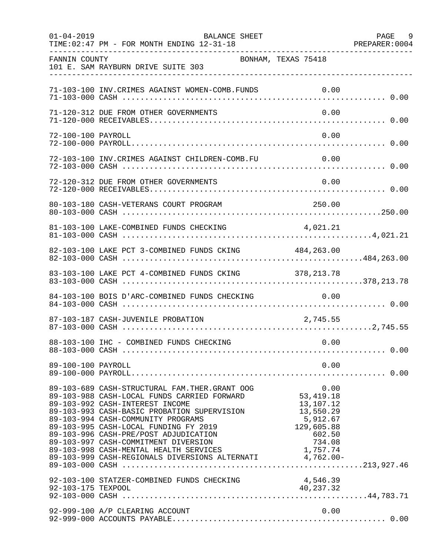| $01 - 04 - 2019$   | <b>BALANCE SHEET</b><br>TIME: 02:47 PM - FOR MONTH ENDING 12-31-18                                                                                                                                                                                                                                                                                                                                                                                                                                                                           | PAGE 9<br>PREPARER: 0004 |
|--------------------|----------------------------------------------------------------------------------------------------------------------------------------------------------------------------------------------------------------------------------------------------------------------------------------------------------------------------------------------------------------------------------------------------------------------------------------------------------------------------------------------------------------------------------------------|--------------------------|
| FANNIN COUNTY      | BONHAM, TEXAS 75418<br>101 E. SAM RAYBURN DRIVE SUITE 303                                                                                                                                                                                                                                                                                                                                                                                                                                                                                    |                          |
|                    | 71-103-100 INV. CRIMES AGAINST WOMEN-COMB. FUNDS                                                                                                                                                                                                                                                                                                                                                                                                                                                                                             | 0.00                     |
|                    | 71-120-312 DUE FROM OTHER GOVERNMENTS                                                                                                                                                                                                                                                                                                                                                                                                                                                                                                        | 0.00                     |
| 72-100-100 PAYROLL |                                                                                                                                                                                                                                                                                                                                                                                                                                                                                                                                              | 0.00                     |
|                    | 72-103-100 INV.CRIMES AGAINST CHILDREN-COMB.FU                                                                                                                                                                                                                                                                                                                                                                                                                                                                                               | 0.00                     |
|                    | 72-120-312 DUE FROM OTHER GOVERNMENTS                                                                                                                                                                                                                                                                                                                                                                                                                                                                                                        | 0.00                     |
|                    | 80-103-180 CASH-VETERANS COURT PROGRAM<br>250.00                                                                                                                                                                                                                                                                                                                                                                                                                                                                                             |                          |
|                    | 81-103-100 LAKE-COMBINED FUNDS CHECKING 4,021.21                                                                                                                                                                                                                                                                                                                                                                                                                                                                                             |                          |
|                    | 82-103-100 LAKE PCT 3-COMBINED FUNDS CKING 484,263.00                                                                                                                                                                                                                                                                                                                                                                                                                                                                                        |                          |
|                    | 83-103-100 LAKE PCT 4-COMBINED FUNDS CKING 378,213.78                                                                                                                                                                                                                                                                                                                                                                                                                                                                                        |                          |
|                    | 84-103-100 BOIS D'ARC-COMBINED FUNDS CHECKING                                                                                                                                                                                                                                                                                                                                                                                                                                                                                                | 0.00                     |
|                    | 2,745.55<br>87-103-187 CASH-JUVENILE PROBATION                                                                                                                                                                                                                                                                                                                                                                                                                                                                                               |                          |
|                    | 88-103-100 IHC - COMBINED FUNDS CHECKING                                                                                                                                                                                                                                                                                                                                                                                                                                                                                                     | 0.00                     |
| 89-100-100 PAYROLL |                                                                                                                                                                                                                                                                                                                                                                                                                                                                                                                                              | 0.00                     |
|                    | 89-103-689 CASH-STRUCTURAL FAM.THER.GRANT OOG<br>53, 419.18<br>89-103-988 CASH-LOCAL FUNDS CARRIED FORWARD<br>13,107.12<br>89-103-992 CASH-INTEREST INCOME<br>13,550.29<br>89-103-993 CASH-BASIC PROBATION SUPERVISION<br>89-103-994 CASH-COMMUNITY PROGRAMS<br>5,912.67<br>89-103-995 CASH-LOCAL FUNDING FY 2019<br>129,605.88<br>602.50<br>89-103-996 CASH-PRE/POST ADJUDICATION<br>89-103-997 CASH-COMMITMENT DIVERSION<br>1,757.74<br>89-103-998 CASH-MENTAL HEALTH SERVICES<br>89-103-999 CASH-REGIONALS DIVERSIONS ALTERNATI 4,762.00- | 0.00<br>734.08           |
| 92-103-175 TEXPOOL | 92-103-100 STATZER-COMBINED FUNDS CHECKING<br>4,546.39<br>40, 237.32                                                                                                                                                                                                                                                                                                                                                                                                                                                                         |                          |
|                    | 92-999-100 A/P CLEARING ACCOUNT                                                                                                                                                                                                                                                                                                                                                                                                                                                                                                              | 0.00                     |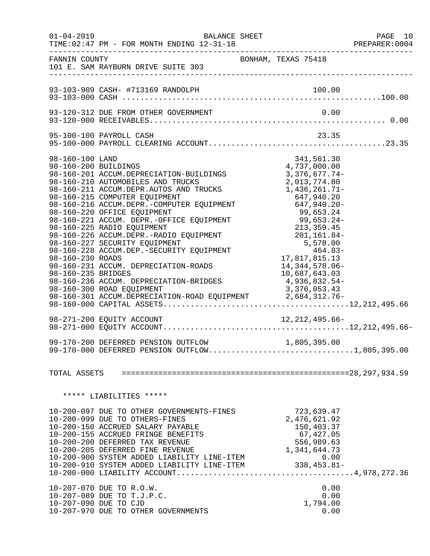|                                                                                   | $01 - 04 - 2019$<br>BALANCE SHEET<br>TIME: 02:47 PM - FOR MONTH ENDING 12-31-18                                                                                                                                                                                                                                                                                                                                                                                                                                                                                                                                     |                                                                                                |                                              |                                                                                                                                                              |                      | PAGE 10<br>PREPARER:0004 |
|-----------------------------------------------------------------------------------|---------------------------------------------------------------------------------------------------------------------------------------------------------------------------------------------------------------------------------------------------------------------------------------------------------------------------------------------------------------------------------------------------------------------------------------------------------------------------------------------------------------------------------------------------------------------------------------------------------------------|------------------------------------------------------------------------------------------------|----------------------------------------------|--------------------------------------------------------------------------------------------------------------------------------------------------------------|----------------------|--------------------------|
| FANNIN COUNTY                                                                     | 101 E. SAM RAYBURN DRIVE SUITE 303                                                                                                                                                                                                                                                                                                                                                                                                                                                                                                                                                                                  | BONHAM, TEXAS 75418                                                                            |                                              |                                                                                                                                                              |                      |                          |
|                                                                                   |                                                                                                                                                                                                                                                                                                                                                                                                                                                                                                                                                                                                                     |                                                                                                |                                              |                                                                                                                                                              |                      |                          |
|                                                                                   | 93-120-312 DUE FROM OTHER GOVERNMENT                                                                                                                                                                                                                                                                                                                                                                                                                                                                                                                                                                                |                                                                                                |                                              | 0.00                                                                                                                                                         |                      |                          |
|                                                                                   | 95-100-100 PAYROLL CASH                                                                                                                                                                                                                                                                                                                                                                                                                                                                                                                                                                                             |                                                                                                |                                              |                                                                                                                                                              | 23.35                |                          |
| 98-160-100 LAND<br>98-160-200 BUILDINGS<br>98-160-230 ROADS<br>98-160-235 BRIDGES | 98-160-201 ACCUM.DEPRECIATION-BUILDINGS<br>98-160-210 AUTOMOBILES AND TRUCKS<br>98-160-211 ACCUM.DEPR.AUTOS AND TRUCKS<br>98-160-215 COMPUTER EQUIPMENT<br>98-160-215 COMPUTER EQUIPMENT<br>98-160-216 ACCUM.DEPR.-COMPUTER EQUIPMENT<br>98-160-220 OFFICE EOUIPMENT<br>98-160-220 OFFICE EQUIPMENT<br>98-160-221 ACCUM. DEPR.-OFFICE EQUIPMENT<br>98-160-225 RADIO EQUIPMENT<br>98-160-226 ACCUM.DEPR.-RADIO EQUIPMENT<br>98-160-227 SECURITY EQUIPMENT<br>98-160-228 ACCUM.DEP.-SECURITY EQUIPMENT<br>98-160-231 ACCUM. DEPRECIATION-ROADS<br>98-160-236 ACCUM. DEPRECIATION-BRIDGES<br>98-160-300 ROAD EQUIPMENT | $99,653.24$<br>99,653.24-<br>213,359.45<br>201,161.84-<br>5,578.00<br>-464.83<br>17,817,815.13 | 1,436,261.71-<br>647,940.20<br>4,936,832.54- | 341,561.30<br>4,737,000.00<br>$3,376,677.74-$<br>2,013,774.80<br>647,940.20-<br>99,653.24<br>99,653.24-<br>14, 344, 578.06-<br>10,687,643.03<br>3,376,053.43 |                      |                          |
|                                                                                   | 99-170-200 DEFERRED PENSION OUTFLOW<br>99-170-000 DEFERRED PENSION OUTFLOW1,805,395.00                                                                                                                                                                                                                                                                                                                                                                                                                                                                                                                              |                                                                                                |                                              | 1,805,395.00                                                                                                                                                 |                      |                          |
|                                                                                   |                                                                                                                                                                                                                                                                                                                                                                                                                                                                                                                                                                                                                     |                                                                                                |                                              |                                                                                                                                                              |                      |                          |
|                                                                                   | ***** LIABILITIES *****                                                                                                                                                                                                                                                                                                                                                                                                                                                                                                                                                                                             |                                                                                                |                                              |                                                                                                                                                              |                      |                          |
|                                                                                   | 10-200-097 DUE TO OTHER GOVERNMENTS-FINES<br>10-200-099 DUE TO OTHERS-FINES<br>10-200-150 ACCRUED SALARY PAYABLE<br>10-200-155 ACCRUED FRINGE BENEFITS<br>10-200-200 DEFERRED TAX REVENUE<br>10-200-205 DEFERRED FINE REVENUE<br>10-200-900 SYSTEM ADDED LIABILITY LINE-ITEM<br>$10-200-910$ SYSTEM ADDED LIABILITY LINE-ITEM $338,453.81-$<br>10-200-910 SYSTEM ADDED LIABILITY LINE-ITEM $338,453.81-$                                                                                                                                                                                                            |                                                                                                |                                              | 723,639.47<br>2,476,621.92<br>150,403.37<br>67,427.05<br>556,989.63<br>1,341,644.73                                                                          | 0.00                 |                          |
|                                                                                   | 10-207-070 DUE TO R.O.W.<br>10-207-089 DUE TO T.J.P.C.<br>10-207-090 DUE TO CJD<br>10-207-970 DUE TO OTHER GOVERNMENTS                                                                                                                                                                                                                                                                                                                                                                                                                                                                                              |                                                                                                |                                              | 1,794.00                                                                                                                                                     | 0.00<br>0.00<br>0.00 |                          |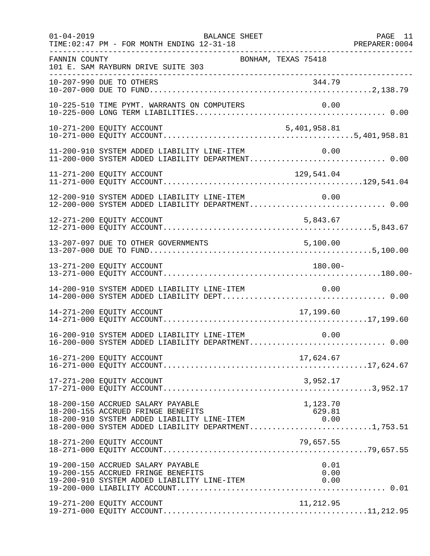| $01 - 04 - 2019$ | BALANCE SHEET<br>TIME: 02:47 PM - FOR MONTH ENDING 12-31-18                                                                                                                           |                      | PAGE 11 |
|------------------|---------------------------------------------------------------------------------------------------------------------------------------------------------------------------------------|----------------------|---------|
| FANNIN COUNTY    | BONHAM, TEXAS 75418<br>101 E. SAM RAYBURN DRIVE SUITE 303                                                                                                                             |                      |         |
|                  | 10-207-990 DUE TO OTHERS                                                                                                                                                              | 344.79               |         |
|                  | 10-225-510 TIME PYMT. WARRANTS ON COMPUTERS                                                                                                                                           |                      |         |
|                  | 10-271-200 EQUITY ACCOUNT                                                                                                                                                             | 5,401,958.81         |         |
|                  | 11-200-910 SYSTEM ADDED LIABILITY LINE-ITEM<br>11-200-000 SYSTEM ADDED LIABILITY DEPARTMENT 0.00                                                                                      | 0.00                 |         |
|                  | 11-271-200 EQUITY ACCOUNT                                                                                                                                                             | 129,541.04           |         |
|                  | 12-200-910 SYSTEM ADDED LIABILITY LINE-ITEM<br>12-200-000 SYSTEM ADDED LIABILITY DEPARTMENT 0.00                                                                                      | 0.00                 |         |
|                  | 12-271-200 EQUITY ACCOUNT                                                                                                                                                             | 5,843.67             |         |
|                  | 13-207-097 DUE TO OTHER GOVERNMENTS                                                                                                                                                   | 5,100.00             |         |
|                  | 13-271-200 EQUITY ACCOUNT                                                                                                                                                             | $180.00 -$           |         |
|                  | 14-200-910 SYSTEM ADDED LIABILITY LINE-ITEM                                                                                                                                           | 0.00                 |         |
|                  | 14-271-200 EQUITY ACCOUNT                                                                                                                                                             | 17,199.60            |         |
|                  | 16-200-910 SYSTEM ADDED LIABILITY LINE-ITEM<br>16-200-000 SYSTEM ADDED LIABILITY DEPARTMENT 0.00                                                                                      | 0.00                 |         |
|                  | 16-271-200 EQUITY ACCOUNT                                                                                                                                                             | 17,624.67            |         |
|                  | 17-271-200 EQUITY ACCOUNT                                                                                                                                                             | 3,952.17             |         |
|                  | 18-200-150 ACCRUED SALARY PAYABLE<br>18-200-155 ACCRUED FRINGE BENEFITS<br>18-200-910 SYSTEM ADDED LIABILITY LINE-ITEM $0.00$<br>18-200-000 SYSTEM ADDED LIABILITY DEPARTMENT1,753.51 | 1,123.70<br>629.81   |         |
|                  | 18-271-200 EQUITY ACCOUNT                                                                                                                                                             | 79,657.55            |         |
|                  | 19-200-150 ACCRUED SALARY PAYABLE<br>19-200-155 ACCRUED FRINGE BENEFITS<br>19-200-910 SYSTEM ADDED LIABILITY LINE-ITEM                                                                | 0.01<br>0.00<br>0.00 |         |
|                  | 19-271-200 EQUITY ACCOUNT                                                                                                                                                             | 11,212.95            |         |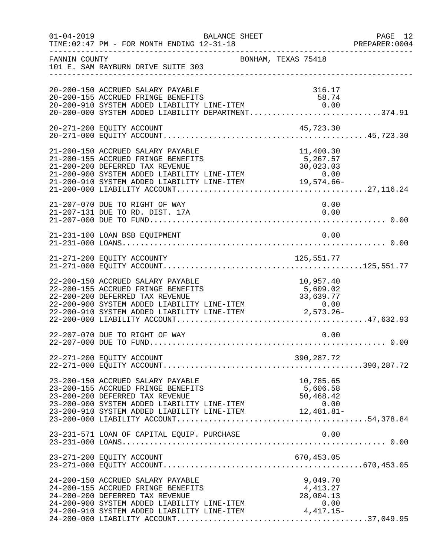| $01 - 04 - 2019$ | TIME: 02:47 PM - FOR MONTH ENDING 12-31-18                                                                                                                                                                                                                 | BALANCE SHEET       |                                            | PAGE 12<br>PREPARER: 0004 |
|------------------|------------------------------------------------------------------------------------------------------------------------------------------------------------------------------------------------------------------------------------------------------------|---------------------|--------------------------------------------|---------------------------|
| FANNIN COUNTY    | 101 E. SAM RAYBURN DRIVE SUITE 303                                                                                                                                                                                                                         | BONHAM, TEXAS 75418 |                                            |                           |
|                  | 20-200-150 ACCRUED SALARY PAYABLE<br>20-200-155 ACCRUED FRINGE BENEFITS<br>20-200-910 SYSTEM ADDED LIABILITY LINE-ITEM 0.00<br>20-200-000 SYSTEM ADDED LIABILITY DEPARTMENT374.91                                                                          |                     | 316.17<br>58.74                            |                           |
|                  | 20-271-200 EQUITY ACCOUNT                                                                                                                                                                                                                                  |                     | 45,723.30                                  |                           |
|                  | 21-200-150 ACCRUED SALARY PAYABLE<br>21-200-155 ACCRUED FRINGE BENEFITS<br>21-200-200 DEFERRED TAX REVENUE<br>21-200-900 SYSTEM ADDED LIABILITY LINE-ITEM<br>21-200-910 SYSTEM ADDED LIABILITY LINE-ITEM 19,574.66-                                        |                     | 11,400.30<br>5,267.57<br>30,023.03<br>0.00 |                           |
|                  | 21-207-070 DUE TO RIGHT OF WAY<br>21-207-131 DUE TO RD. DIST. 17A                                                                                                                                                                                          |                     | 0.00<br>0.00                               |                           |
|                  | 21-231-100 LOAN BSB EQUIPMENT                                                                                                                                                                                                                              |                     | 0.00                                       |                           |
|                  |                                                                                                                                                                                                                                                            |                     |                                            |                           |
|                  | 22-200-150 ACCRUED SALARY PAYABLE<br>22-200-155 ACCRUED FRINGE BENEFITS<br>22 200 155 ACCREAD IRINGS DERIVERED TAX REVENUE<br>22-200-900 SYSTEM ADDED LIABILITY LINE-ITEM 0.00<br>22-200-910 SYSTEM ADDED LIABILITY LINE-ITEM 2,573.26-                    |                     | 10,957.40<br>5,609.02                      |                           |
|                  | 22-207-070 DUE TO RIGHT OF WAY                                                                                                                                                                                                                             |                     | 0.00                                       |                           |
|                  | 22-271-200 EQUITY ACCOUNT                                                                                                                                                                                                                                  |                     | 390,287.72                                 |                           |
|                  | 23-200-150 ACCRUED SALARY PAYABLE<br>23-200-155 ACCRUED FRINGE BENEFITS<br>23-200-200 DEFERRED TAX REVENUE<br>23-200-900 SYSTEM ADDED LIABILITY LINE-ITEM 0.00<br>23-200-910 SYSTEM ADDED LIABILITY LINE-ITEM 12,481.81-                                   |                     | 10,785.65<br>5,606.58<br>50,468.42         |                           |
|                  | 23-231-571 LOAN OF CAPITAL EQUIP. PURCHASE                                                                                                                                                                                                                 |                     | 0.00                                       |                           |
|                  | 23-271-200 EQUITY ACCOUNT                                                                                                                                                                                                                                  |                     | 670,453.05                                 |                           |
|                  | 24-200-150 ACCRUED SALARY PAYABLE<br>24-200-155 ACCRUED FRINGE BENEFITS<br>24-200-200 DEFERRED TAX REVENUE<br>24-200-200 DEFERRED TAX REVENUE<br>24-200-900 SYSTEM ADDED LIABILITY LINE-ITEM 0.00<br>24-200-910 SYSTEM ADDED LIABILITY LINE-ITEM 4,417.15- |                     | 9,049.70<br>4,413.27<br>28,004.13          |                           |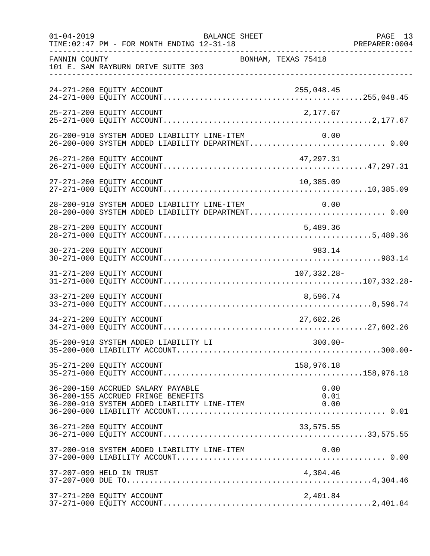| $01 - 04 - 2019$ | <b>BALANCE SHEET</b><br>TIME: 02:47 PM - FOR MONTH ENDING 12-31-18                                                     | PREPARER: 0004       | PAGE 13 |
|------------------|------------------------------------------------------------------------------------------------------------------------|----------------------|---------|
| FANNIN COUNTY    | 101 E. SAM RAYBURN DRIVE SUITE 303                                                                                     | BONHAM, TEXAS 75418  |         |
|                  | 24-271-200 EQUITY ACCOUNT                                                                                              | 255,048.45           |         |
|                  | 25-271-200 EQUITY ACCOUNT                                                                                              | 2,177.67             |         |
|                  | 26-200-910 SYSTEM ADDED LIABILITY LINE-ITEM<br>26-200-000 SYSTEM ADDED LIABILITY DEPARTMENT 0.00                       | 0.00                 |         |
|                  | 26-271-200 EQUITY ACCOUNT                                                                                              | 47,297.31            |         |
|                  | 27-271-200 EQUITY ACCOUNT                                                                                              | 10,385.09            |         |
|                  | 28-200-910 SYSTEM ADDED LIABILITY LINE-ITEM<br>28-200-000 SYSTEM ADDED LIABILITY DEPARTMENT 0.00                       | 0.00                 |         |
|                  | 28-271-200 EQUITY ACCOUNT                                                                                              | 5,489.36             |         |
|                  | 30-271-200 EQUITY ACCOUNT                                                                                              | 983.14               |         |
|                  | 31-271-200 EQUITY ACCOUNT                                                                                              | 107, 332. 28-        |         |
|                  | 33-271-200 EQUITY ACCOUNT                                                                                              | 8,596.74             |         |
|                  | 34-271-200 EQUITY ACCOUNT                                                                                              | 27,602.26            |         |
|                  | 35-200-910 SYSTEM ADDED LIABILITY LI                                                                                   | $300.00 -$           |         |
|                  | 35-271-200 EQUITY ACCOUNT                                                                                              | 158,976.18           |         |
|                  | 36-200-150 ACCRUED SALARY PAYABLE<br>36-200-155 ACCRUED FRINGE BENEFITS<br>36-200-910 SYSTEM ADDED LIABILITY LINE-ITEM | 0.00<br>0.01<br>0.00 |         |
|                  | 36-271-200 EQUITY ACCOUNT                                                                                              | 33,575.55            |         |
|                  | 37-200-910 SYSTEM ADDED LIABILITY LINE-ITEM                                                                            | 0.00                 |         |
|                  | 37-207-099 HELD IN TRUST                                                                                               | 4,304.46             |         |
|                  | 37-271-200 EQUITY ACCOUNT                                                                                              | 2,401.84             |         |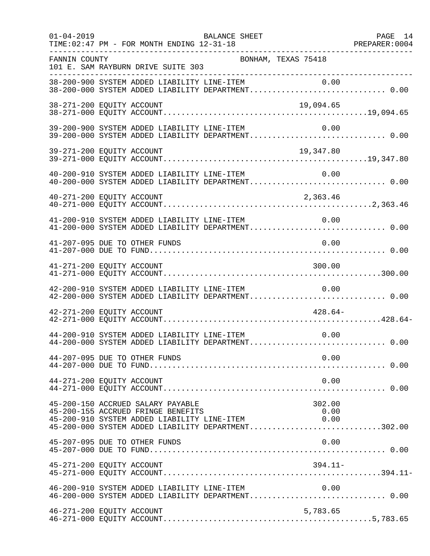| $01 - 04 - 2019$          | TIME: 02:47 PM - FOR MONTH ENDING 12-31-18                                                                             | BALANCE SHEET |                                                                                                                   | PAGE 14 |
|---------------------------|------------------------------------------------------------------------------------------------------------------------|---------------|-------------------------------------------------------------------------------------------------------------------|---------|
| FANNIN COUNTY             | 101 E. SAM RAYBURN DRIVE SUITE 303                                                                                     |               | BONHAM, TEXAS 75418                                                                                               |         |
|                           |                                                                                                                        |               | 38-200-900 SYSTEM ADDED LIABILITY LINE-ITEM 0.00<br>38-200-000 SYSTEM ADDED LIABILITY DEPARTMENT 0.00             |         |
| 38-271-200 EQUITY ACCOUNT |                                                                                                                        |               | 19,094.65<br>19,094.65 1994.05 1994.05 1994.05 1994.05 1994.00 EQUITY ACCOUNT.                                    |         |
|                           | 39-200-900 SYSTEM ADDED LIABILITY LINE-ITEM                                                                            |               | 0.00                                                                                                              |         |
| 39-271-200 EQUITY ACCOUNT |                                                                                                                        |               | 19,347.80                                                                                                         |         |
|                           |                                                                                                                        |               | 40-200-910 SYSTEM ADDED LIABILITY LINE-ITEM 0.00<br>40-200-000 SYSTEM ADDED LIABILITY DEPARTMENT 0.00             |         |
|                           |                                                                                                                        |               |                                                                                                                   |         |
|                           |                                                                                                                        |               |                                                                                                                   |         |
|                           | 41-207-095 DUE TO OTHER FUNDS                                                                                          |               | 0.00                                                                                                              |         |
| 41-271-200 EQUITY ACCOUNT |                                                                                                                        |               | 300.00                                                                                                            |         |
|                           | 42-200-910 SYSTEM ADDED LIABILITY LINE-ITEM                                                                            |               | 0.00                                                                                                              |         |
| 42-271-200 EQUITY ACCOUNT |                                                                                                                        |               | $428.64-$                                                                                                         |         |
|                           | 44-200-910 SYSTEM ADDED LIABILITY LINE-ITEM                                                                            |               | 0.00<br>44-200-000 SYSTEM ADDED LIABILITY DEPARTMENT 0.00                                                         |         |
|                           | 44-207-095 DUE TO OTHER FUNDS                                                                                          |               | 0.00                                                                                                              |         |
| 44-271-200 EQUITY ACCOUNT |                                                                                                                        |               | 0.00                                                                                                              |         |
|                           | 45-200-150 ACCRUED SALARY PAYABLE<br>45-200-155 ACCRUED FRINGE BENEFITS<br>45-200-910 SYSTEM ADDED LIABILITY LINE-ITEM |               | 302.00<br>0.00<br>$\begin{array}{ccc} & & 0.00 \end{array}$<br>45-200-000 SYSTEM ADDED LIABILITY DEPARTMENT302.00 |         |
|                           | 45-207-095 DUE TO OTHER FUNDS                                                                                          |               | 0.00                                                                                                              |         |
| 45-271-200 EQUITY ACCOUNT |                                                                                                                        |               | $394.11-$                                                                                                         |         |
|                           | 46-200-910 SYSTEM ADDED LIABILITY LINE-ITEM                                                                            |               | 0.00                                                                                                              |         |
| 46-271-200 EQUITY ACCOUNT |                                                                                                                        |               | 5,783.65                                                                                                          |         |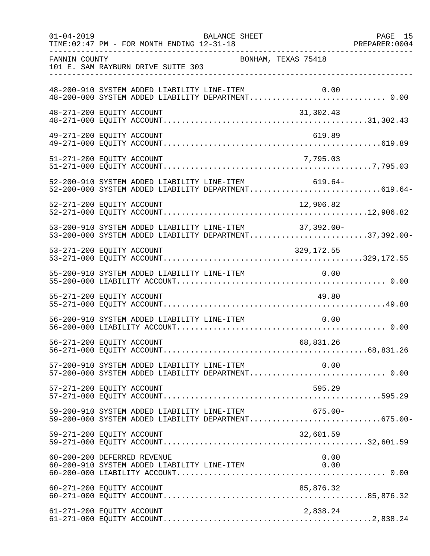| $01 - 04 - 2019$ | BALANCE SHEET<br>TIME: 02:47 PM - FOR MONTH ENDING 12-31-18                                                      | PAGE 15 |
|------------------|------------------------------------------------------------------------------------------------------------------|---------|
| FANNIN COUNTY    | BONHAM, TEXAS 75418<br>101 E. SAM RAYBURN DRIVE SUITE 303                                                        |         |
|                  | 48-200-910 SYSTEM ADDED LIABILITY LINE-ITEM<br>0.00                                                              |         |
|                  | 48-271-200 EQUITY ACCOUNT<br>31,302.43                                                                           |         |
|                  | 619.89<br>49-271-200 EQUITY ACCOUNT                                                                              |         |
|                  | 7,795.03<br>51-271-200 EQUITY ACCOUNT                                                                            |         |
|                  | 52-200-910 SYSTEM ADDED LIABILITY LINE-ITEM 619.64-<br>52-200-000 SYSTEM ADDED LIABILITY DEPARTMENT619.64-       |         |
|                  |                                                                                                                  |         |
|                  | 53-200-910 SYSTEM ADDED LIABILITY LINE-ITEM 37,392.00-<br>53-200-000 SYSTEM ADDED LIABILITY DEPARTMENT37,392.00- |         |
|                  | 53-271-200 EQUITY ACCOUNT<br>329,172.55                                                                          |         |
|                  | 55-200-910 SYSTEM ADDED LIABILITY LINE-ITEM<br>0.00                                                              |         |
|                  | 55-271-200 EQUITY ACCOUNT<br>49.80                                                                               |         |
|                  | 56-200-910 SYSTEM ADDED LIABILITY LINE-ITEM<br>0.00                                                              |         |
|                  | 56-271-200 EQUITY ACCOUNT<br>68,831.26                                                                           |         |
|                  | 57-200-910 SYSTEM ADDED LIABILITY LINE-ITEM 0.00<br>57-200-000 SYSTEM ADDED LIABILITY DEPARTMENT 0.00            |         |
|                  | 57-271-200 EQUITY ACCOUNT<br>595.29                                                                              |         |
|                  | 59-200-910 SYSTEM ADDED LIABILITY LINE-ITEM<br>$675.00 -$<br>59-200-000 SYSTEM ADDED LIABILITY DEPARTMENT675.00- |         |
|                  | 32,601.59<br>59-271-200 EQUITY ACCOUNT                                                                           |         |
|                  | 60-200-200 DEFERRED REVENUE<br>0.00<br>60-200-910 SYSTEM ADDED LIABILITY LINE-ITEM<br>0.00                       |         |
|                  |                                                                                                                  |         |
|                  | 61-271-200 EQUITY ACCOUNT<br>2,838.24                                                                            |         |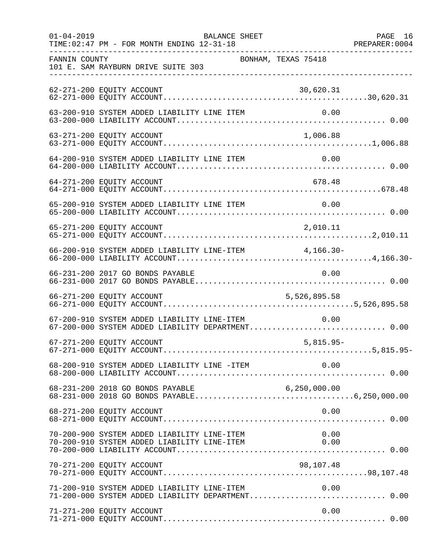| $01 - 04 - 2019$ | BALANCE SHEET<br>TIME: 02:47 PM - FOR MONTH ENDING 12-31-18                                      |                     | PAGE 16 |
|------------------|--------------------------------------------------------------------------------------------------|---------------------|---------|
| FANNIN COUNTY    | 101 E. SAM RAYBURN DRIVE SUITE 303                                                               | BONHAM, TEXAS 75418 |         |
|                  | 62-271-200 EQUITY ACCOUNT                                                                        | 30,620.31           |         |
|                  | 63-200-910 SYSTEM ADDED LIABILITY LINE ITEM                                                      | 0.00                |         |
|                  | 63-271-200 EQUITY ACCOUNT                                                                        | 1,006.88            |         |
|                  | 64-200-910 SYSTEM ADDED LIABILITY LINE ITEM                                                      | 0.00                |         |
|                  | 64-271-200 EQUITY ACCOUNT                                                                        | 678.48              |         |
|                  | 65-200-910 SYSTEM ADDED LIABILITY LINE ITEM                                                      | 0.00                |         |
|                  | 65-271-200 EQUITY ACCOUNT                                                                        | 2,010.11            |         |
|                  | 66-200-910 SYSTEM ADDED LIABILITY LINE-ITEM 4,166.30-                                            |                     |         |
|                  | 66-231-200 2017 GO BONDS PAYABLE                                                                 | 0.00                |         |
|                  | 66-271-200 EQUITY ACCOUNT                                                                        | 5,526,895.58        |         |
|                  | 67-200-910 SYSTEM ADDED LIABILITY LINE-ITEM<br>67-200-000 SYSTEM ADDED LIABILITY DEPARTMENT 0.00 | 0.00                |         |
|                  | 67-271-200 EQUITY ACCOUNT                                                                        | $5,815.95-$         |         |
|                  | 68-200-910 SYSTEM ADDED LIABILITY LINE -ITEM                                                     | 0.00                |         |
|                  | 68-231-200 2018 GO BONDS PAYABLE                                                                 |                     |         |
|                  | 68-271-200 EQUITY ACCOUNT                                                                        | 0.00                |         |
|                  | 70-200-900 SYSTEM ADDED LIABILITY LINE-ITEM<br>70-200-910 SYSTEM ADDED LIABILITY LINE-ITEM       | 0.00<br>0.00        |         |
|                  | 70-271-200 EQUITY ACCOUNT                                                                        | 98,107.48           |         |
|                  | 71-200-910 SYSTEM ADDED LIABILITY LINE-ITEM                                                      | 0.00                |         |
|                  | 71-271-200 EQUITY ACCOUNT                                                                        | 0.00                |         |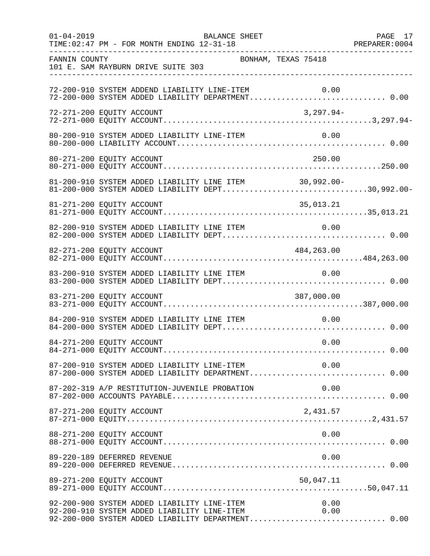| $01 - 04 - 2019$ | BALANCE SHEET<br>TIME: 02:47 PM - FOR MONTH ENDING 12-31-18                                                                                                     | PAGE 17 |
|------------------|-----------------------------------------------------------------------------------------------------------------------------------------------------------------|---------|
| FANNIN COUNTY    | BONHAM, TEXAS 75418<br>101 E. SAM RAYBURN DRIVE SUITE 303                                                                                                       |         |
|                  | 72-200-910 SYSTEM ADDEND LIABILITY LINE-ITEM<br>0.00                                                                                                            |         |
|                  | 72-271-200 EQUITY ACCOUNT<br>3,297.94-                                                                                                                          |         |
|                  | 80-200-910 SYSTEM ADDED LIABILITY LINE-ITEM<br>0.00                                                                                                             |         |
|                  | 250.00<br>80-271-200 EQUITY ACCOUNT                                                                                                                             |         |
|                  | 81-200-910 SYSTEM ADDED LIABILITY LINE ITEM 30,992.00-<br>81-200-000 SYSTEM ADDED LIABILITY DEPT30,992.00-                                                      |         |
|                  | 81-271-200 EQUITY ACCOUNT<br>35,013.21                                                                                                                          |         |
|                  | 82-200-910 SYSTEM ADDED LIABILITY LINE ITEM<br>0.00                                                                                                             |         |
|                  | 82-271-200 EQUITY ACCOUNT<br>484,263.00                                                                                                                         |         |
|                  | 83-200-910 SYSTEM ADDED LIABILITY LINE ITEM<br>0.00                                                                                                             |         |
|                  | 83-271-200 EQUITY ACCOUNT<br>387,000.00                                                                                                                         |         |
|                  | 84-200-910 SYSTEM ADDED LIABILITY LINE ITEM<br>0.00                                                                                                             |         |
|                  | 84-271-200 EQUITY ACCOUNT<br>0.00                                                                                                                               |         |
|                  | 87-200-910 SYSTEM ADDED LIABILITY LINE-ITEM 0.00<br>87-200-000 SYSTEM ADDED LIABILITY DEPARTMENT 0.00                                                           |         |
|                  | 87-202-319 A/P RESTITUTION-JUVENILE PROBATION<br>0.00                                                                                                           |         |
|                  | 87-271-200 EQUITY ACCOUNT<br>2,431.57                                                                                                                           |         |
|                  | 0.00<br>88-271-200 EQUITY ACCOUNT                                                                                                                               |         |
|                  | 89-220-189 DEFERRED REVENUE<br>0.00                                                                                                                             |         |
|                  | 89-271-200 EQUITY ACCOUNT<br>50,047.11                                                                                                                          |         |
|                  | 92-200-900 SYSTEM ADDED LIABILITY LINE-ITEM<br>92-200-910 SYSTEM ADDED LIABILITY LINE-ITEM<br>0.00<br>0.00<br>92-200-000 SYSTEM ADDED LIABILITY DEPARTMENT 0.00 |         |